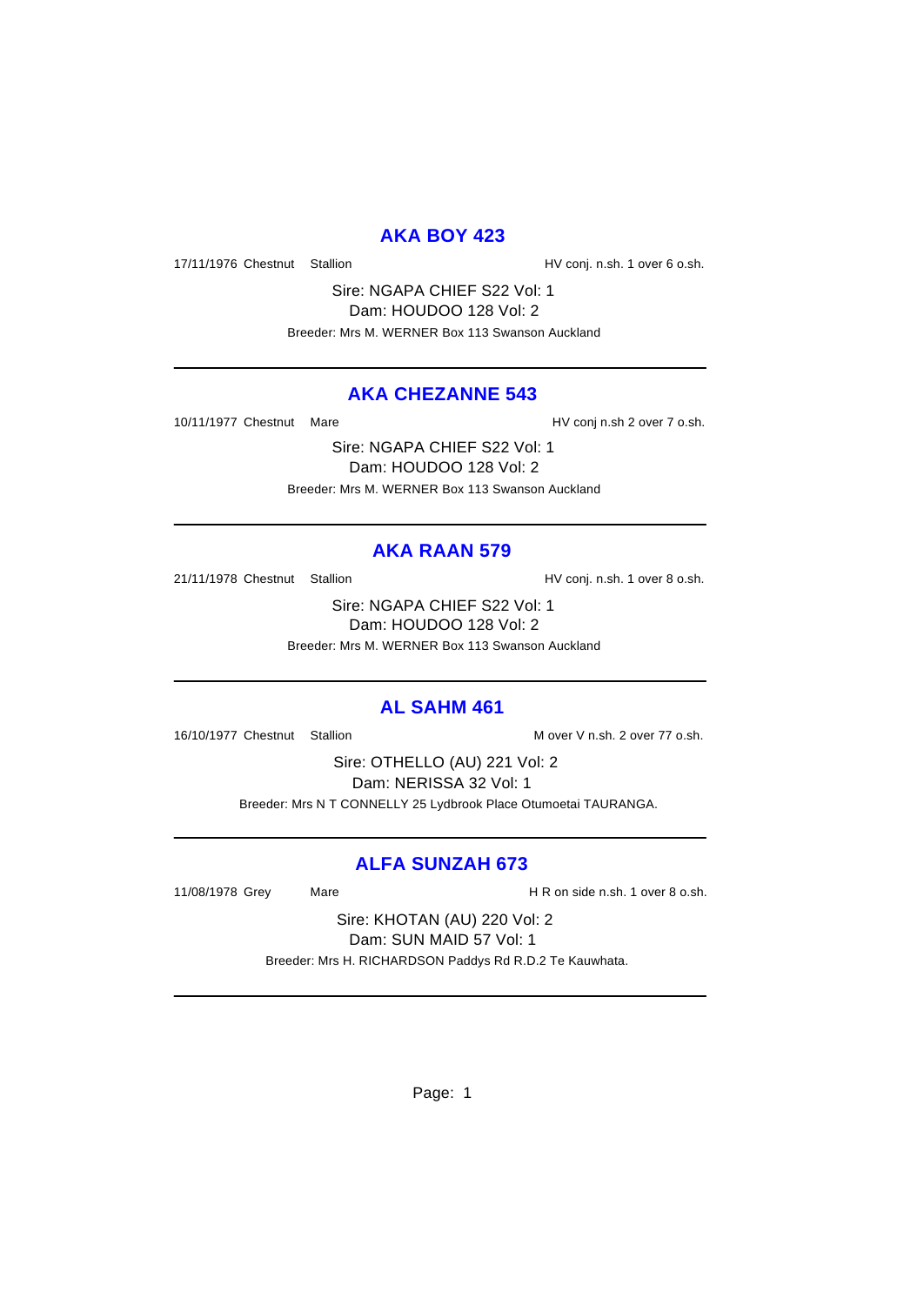# **AKA BOY 423**

17/11/1976 Chestnut Stallion HV conj. n.sh. 1 over 6 o.sh.

Sire: NGAPA CHIEF S22 Vol: 1 Dam: HOUDOO 128 Vol: 2 Breeder: Mrs M. WERNER Box 113 Swanson Auckland

# **AKA CHEZANNE 543**

10/11/1977 Chestnut Mare **Market Channel Accompany** HV conj n.sh 2 over 7 o.sh.

Sire: NGAPA CHIEF S22 Vol: 1 Dam: HOUDOO 128 Vol: 2 Breeder: Mrs M. WERNER Box 113 Swanson Auckland

# **AKA RAAN 579**

21/11/1978 Chestnut Stallion HV conj. n.sh. 1 over 8 o.sh.

Sire: NGAPA CHIEF S22 Vol: 1 Dam: HOUDOO 128 Vol: 2 Breeder: Mrs M. WERNER Box 113 Swanson Auckland

## **AL SAHM 461**

16/10/1977 Chestnut Stallion Mover V n.sh. 2 over 77 o.sh.

Sire: OTHELLO (AU) 221 Vol: 2 Dam: NERISSA 32 Vol: 1 Breeder: Mrs N T CONNELLY 25 Lydbrook Place Otumoetai TAURANGA.

# **ALFA SUNZAH 673**

11/08/1978 Grey Mare H R on side n.sh. 1 over 8 o.sh.

Sire: KHOTAN (AU) 220 Vol: 2 Dam: SUN MAID 57 Vol: 1 Breeder: Mrs H. RICHARDSON Paddys Rd R.D.2 Te Kauwhata.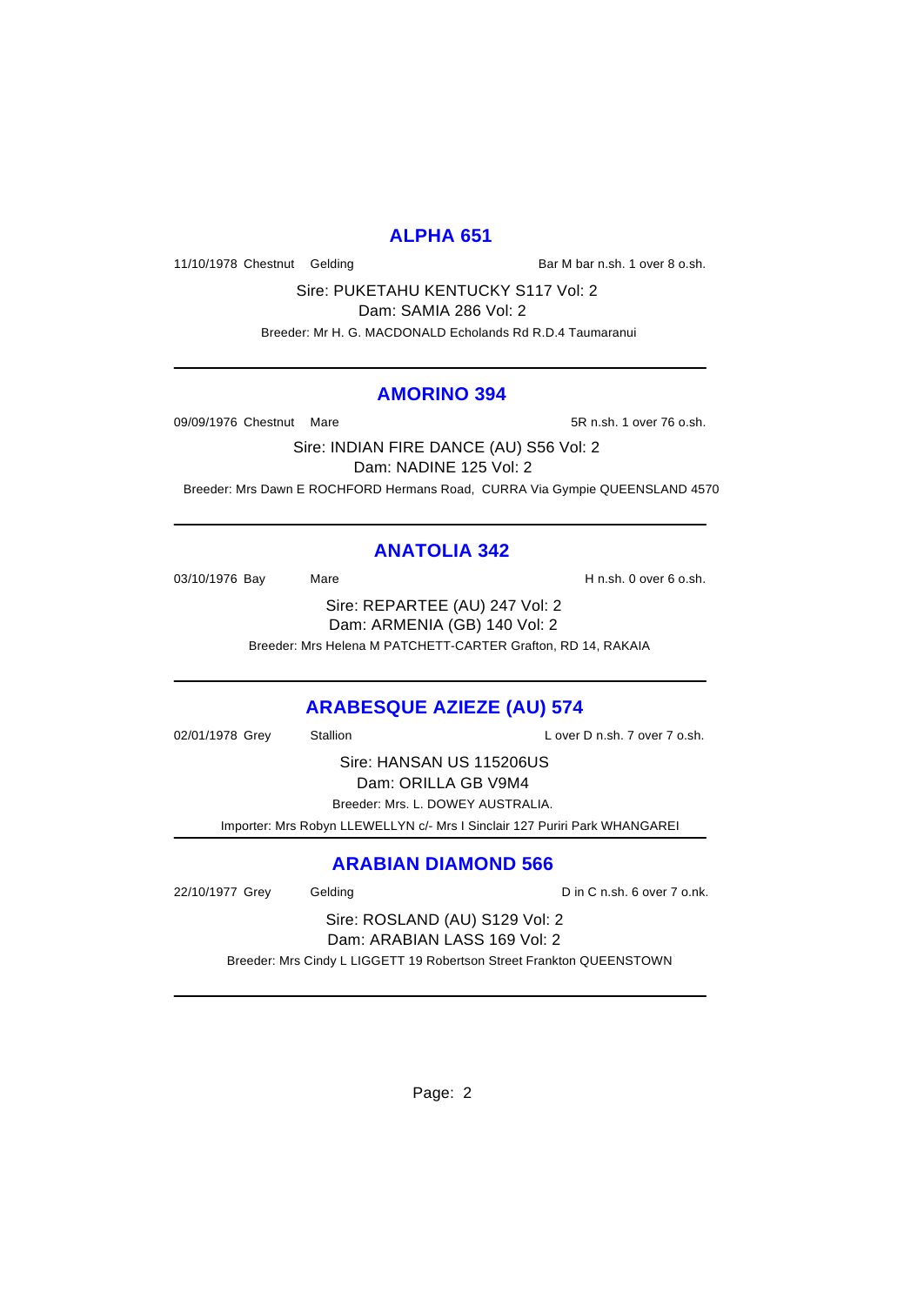# **ALPHA 651**

11/10/1978 Chestnut Gelding Bar M bar n.sh. 1 over 8 o.sh.

Sire: PUKETAHU KENTUCKY S117 Vol: 2

Dam: SAMIA 286 Vol: 2

Breeder: Mr H. G. MACDONALD Echolands Rd R.D.4 Taumaranui

#### **AMORINO 394**

09/09/1976 Chestnut Mare 68/09/1976 Chestnut Mare 5R n.sh. 1 over 76 o.sh.

Sire: INDIAN FIRE DANCE (AU) S56 Vol: 2 Dam: NADINE 125 Vol: 2 Breeder: Mrs Dawn E ROCHFORD Hermans Road, CURRA Via Gympie QUEENSLAND 4570

# **ANATOLIA 342**

03/10/1976 Bay Mare Mare H n.sh. 0 over 6 o.sh. Sire: REPARTEE (AU) 247 Vol: 2 Dam: ARMENIA (GB) 140 Vol: 2

Breeder: Mrs Helena M PATCHETT-CARTER Grafton, RD 14, RAKAIA

# **ARABESQUE AZIEZE (AU) 574**

02/01/1978 Grey Stallion Controller Lover D n.sh. 7 over 7 o.sh.

Sire: HANSAN US 115206US Dam: ORILLA GB V9M4

Breeder: Mrs. L. DOWEY AUSTRALIA.

Importer: Mrs Robyn LLEWELLYN c/- Mrs I Sinclair 127 Puriri Park WHANGAREI

# **ARABIAN DIAMOND 566**

22/10/1977 Grey Gelding Cash C in C n.sh. 6 over 7 o.nk.

Sire: ROSLAND (AU) S129 Vol: 2 Dam: ARABIAN LASS 169 Vol: 2

Breeder: Mrs Cindy L LIGGETT 19 Robertson Street Frankton QUEENSTOWN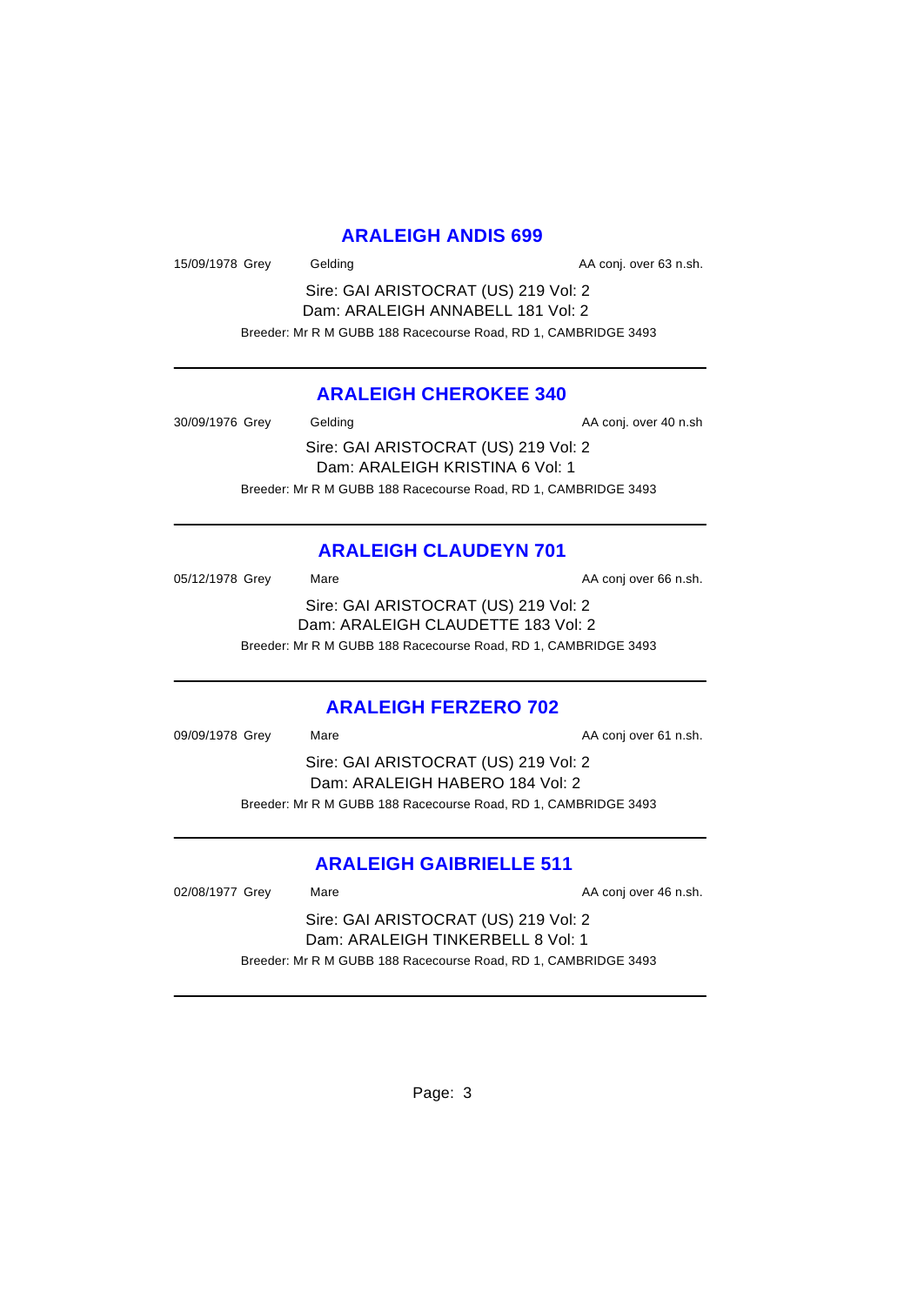# **ARALEIGH ANDIS 699**

15/09/1978 Grey Gelding Case Conj. over 63 n.sh.

Sire: GAI ARISTOCRAT (US) 219 Vol: 2 Dam: ARALEIGH ANNABELL 181 Vol: 2 Breeder: Mr R M GUBB 188 Racecourse Road, RD 1, CAMBRIDGE 3493

# **ARALEIGH CHEROKEE 340**

30/09/1976 Grey Gelding Gelding AA conj. over 40 n.sh Sire: GAI ARISTOCRAT (US) 219 Vol: 2 Dam: ARALEIGH KRISTINA 6 Vol: 1 Breeder: Mr R M GUBB 188 Racecourse Road, RD 1, CAMBRIDGE 3493

# **ARALEIGH CLAUDEYN 701**

05/12/1978 Grey Mare Mare AA conj over 66 n.sh. Sire: GAI ARISTOCRAT (US) 219 Vol: 2 Dam: ARALEIGH CLAUDETTE 183 Vol: 2 Breeder: Mr R M GUBB 188 Racecourse Road, RD 1, CAMBRIDGE 3493

# **ARALEIGH FERZERO 702**

| 09/09/1978 Grey | Mare                                                           | AA conj over 61 n.sh. |
|-----------------|----------------------------------------------------------------|-----------------------|
|                 | Sire: GAI ARISTOCRAT (US) 219 Vol: 2                           |                       |
|                 | Dam: ARALEIGH HABERO 184 Vol: 2                                |                       |
|                 | Breeder: Mr R M GUBB 188 Racecourse Road, RD 1, CAMBRIDGE 3493 |                       |
|                 |                                                                |                       |

# **ARALEIGH GAIBRIELLE 511**

02/08/1977 Grey Mare Mare AA conj over 46 n.sh.

Sire: GAI ARISTOCRAT (US) 219 Vol: 2 Dam: ARALEIGH TINKERBELL 8 Vol: 1 Breeder: Mr R M GUBB 188 Racecourse Road, RD 1, CAMBRIDGE 3493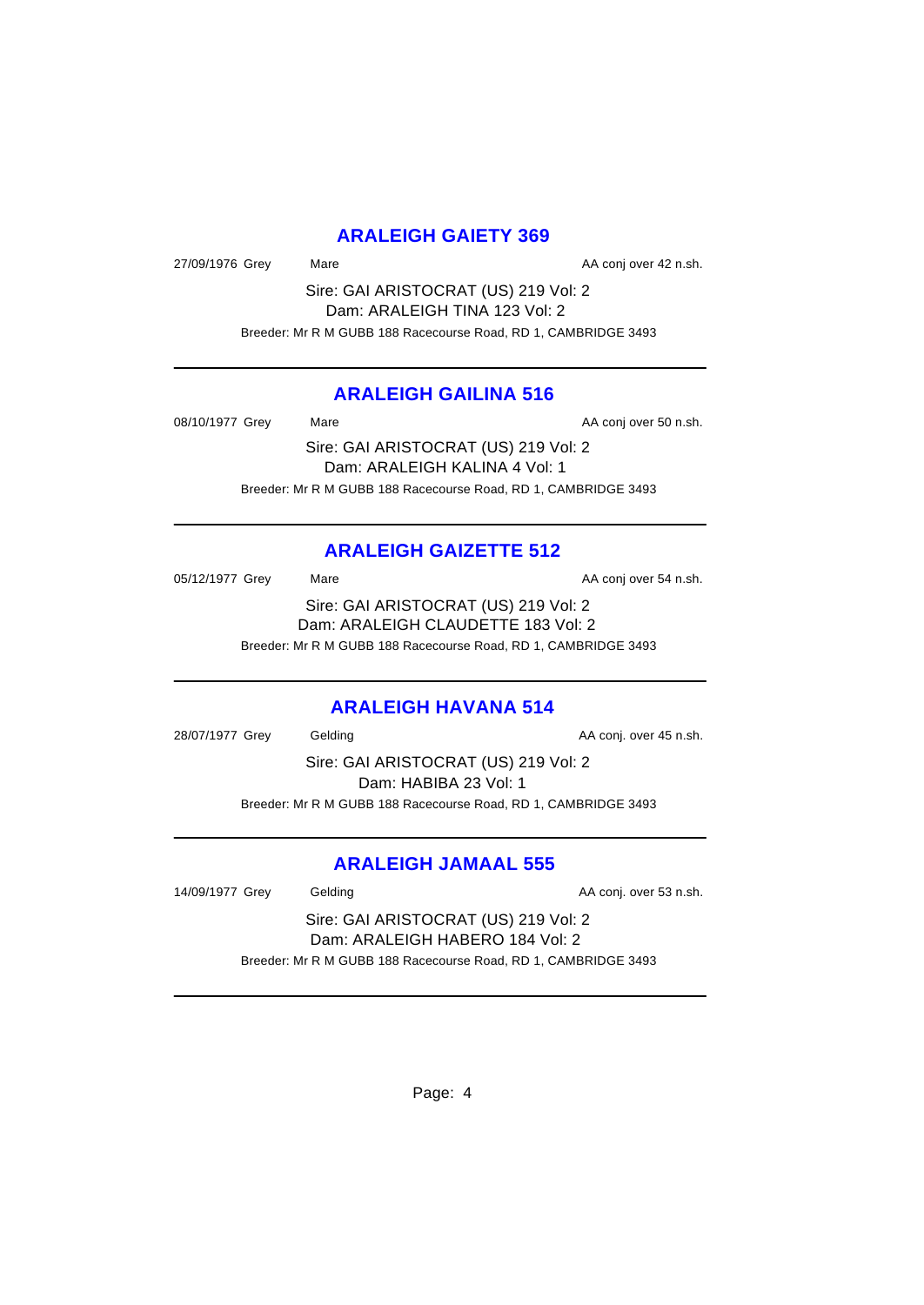# **ARALEIGH GAIETY 369**

27/09/1976 Grey Mare Mare AA conj over 42 n.sh.

Sire: GAI ARISTOCRAT (US) 219 Vol: 2 Dam: ARALEIGH TINA 123 Vol: 2 Breeder: Mr R M GUBB 188 Racecourse Road, RD 1, CAMBRIDGE 3493

# **ARALEIGH GAILINA 516**

08/10/1977 Grey Mare Mare AA conj over 50 n.sh.

Sire: GAI ARISTOCRAT (US) 219 Vol: 2 Dam: ARALEIGH KALINA 4 Vol: 1 Breeder: Mr R M GUBB 188 Racecourse Road, RD 1, CAMBRIDGE 3493

# **ARALEIGH GAIZETTE 512**

05/12/1977 Grey Mare Mare AA conj over 54 n.sh. Sire: GAI ARISTOCRAT (US) 219 Vol: 2 Dam: ARALEIGH CLAUDETTE 183 Vol: 2 Breeder: Mr R M GUBB 188 Racecourse Road, RD 1, CAMBRIDGE 3493

# **ARALEIGH HAVANA 514**

28/07/1977 Grey Gelding Construction Construction AA conj. over 45 n.sh. Sire: GAI ARISTOCRAT (US) 219 Vol: 2 Dam: HABIBA 23 Vol: 1 Breeder: Mr R M GUBB 188 Racecourse Road, RD 1, CAMBRIDGE 3493

# **ARALEIGH JAMAAL 555**

14/09/1977 Grey Gelding Case Conj. over 53 n.sh.

Sire: GAI ARISTOCRAT (US) 219 Vol: 2 Dam: ARALEIGH HABERO 184 Vol: 2 Breeder: Mr R M GUBB 188 Racecourse Road, RD 1, CAMBRIDGE 3493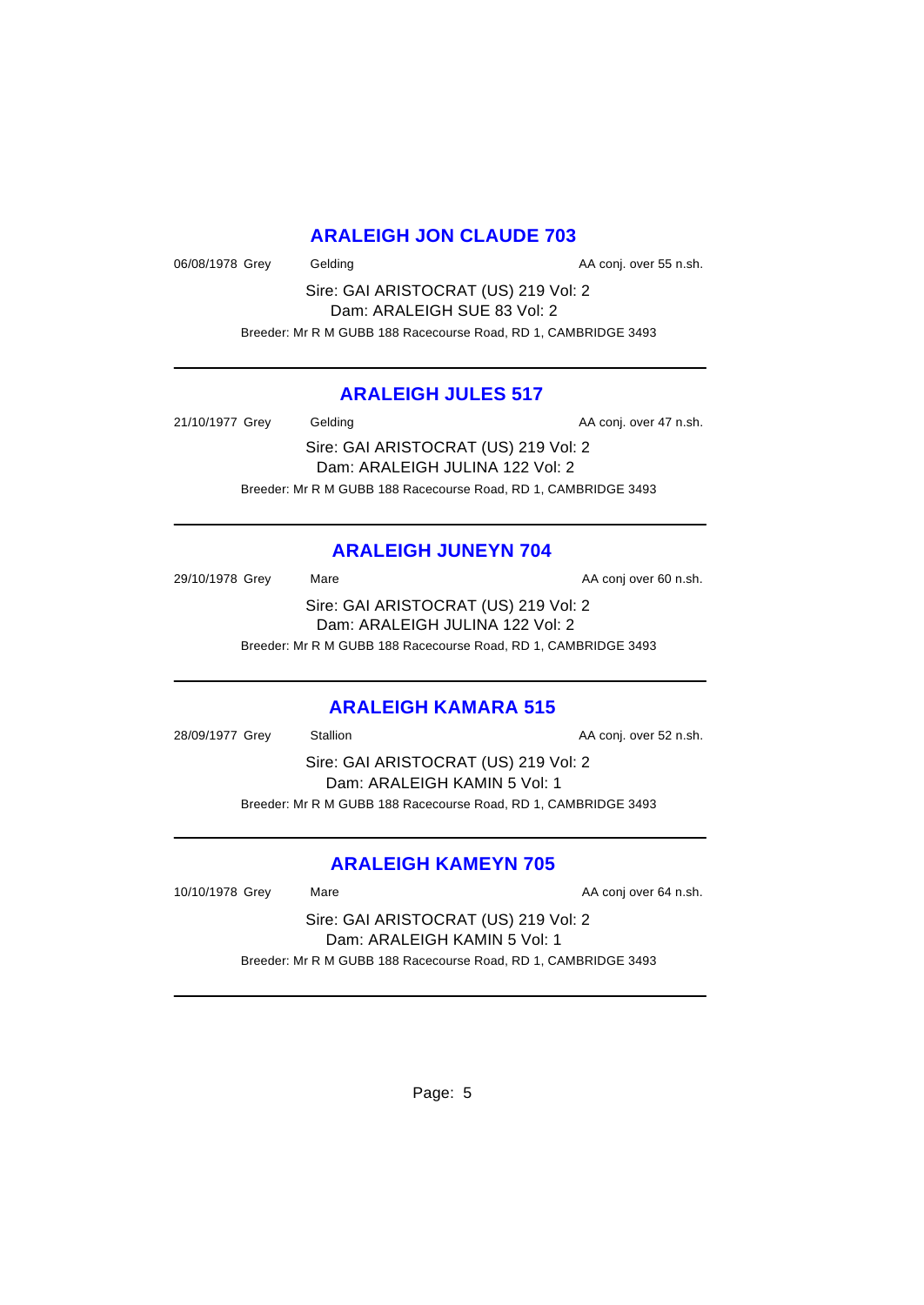# **ARALEIGH JON CLAUDE 703**

06/08/1978 Grey Gelding Construction Construction AA conj. over 55 n.sh.

Sire: GAI ARISTOCRAT (US) 219 Vol: 2 Dam: ARALEIGH SUE 83 Vol: 2 Breeder: Mr R M GUBB 188 Racecourse Road, RD 1, CAMBRIDGE 3493

# **ARALEIGH JULES 517**

21/10/1977 Grey Gelding Case Conj. over 47 n.sh. Sire: GAI ARISTOCRAT (US) 219 Vol: 2 Dam: ARALEIGH JULINA 122 Vol: 2 Breeder: Mr R M GUBB 188 Racecourse Road, RD 1, CAMBRIDGE 3493

# **ARALEIGH JUNEYN 704**

29/10/1978 Grey Mare Mare AA conj over 60 n.sh. Sire: GAI ARISTOCRAT (US) 219 Vol: 2 Dam: ARALEIGH JULINA 122 Vol: 2 Breeder: Mr R M GUBB 188 Racecourse Road, RD 1, CAMBRIDGE 3493

# **ARALEIGH KAMARA 515**

28/09/1977 Grey Stallion Stallion State AA conj. over 52 n.sh. Sire: GAI ARISTOCRAT (US) 219 Vol: 2 Dam: ARALEIGH KAMIN 5 Vol: 1 Breeder: Mr R M GUBB 188 Racecourse Road, RD 1, CAMBRIDGE 3493

# **ARALEIGH KAMEYN 705**

10/10/1978 Grey Mare Mare AA conj over 64 n.sh.

Sire: GAI ARISTOCRAT (US) 219 Vol: 2 Dam: ARALEIGH KAMIN 5 Vol: 1 Breeder: Mr R M GUBB 188 Racecourse Road, RD 1, CAMBRIDGE 3493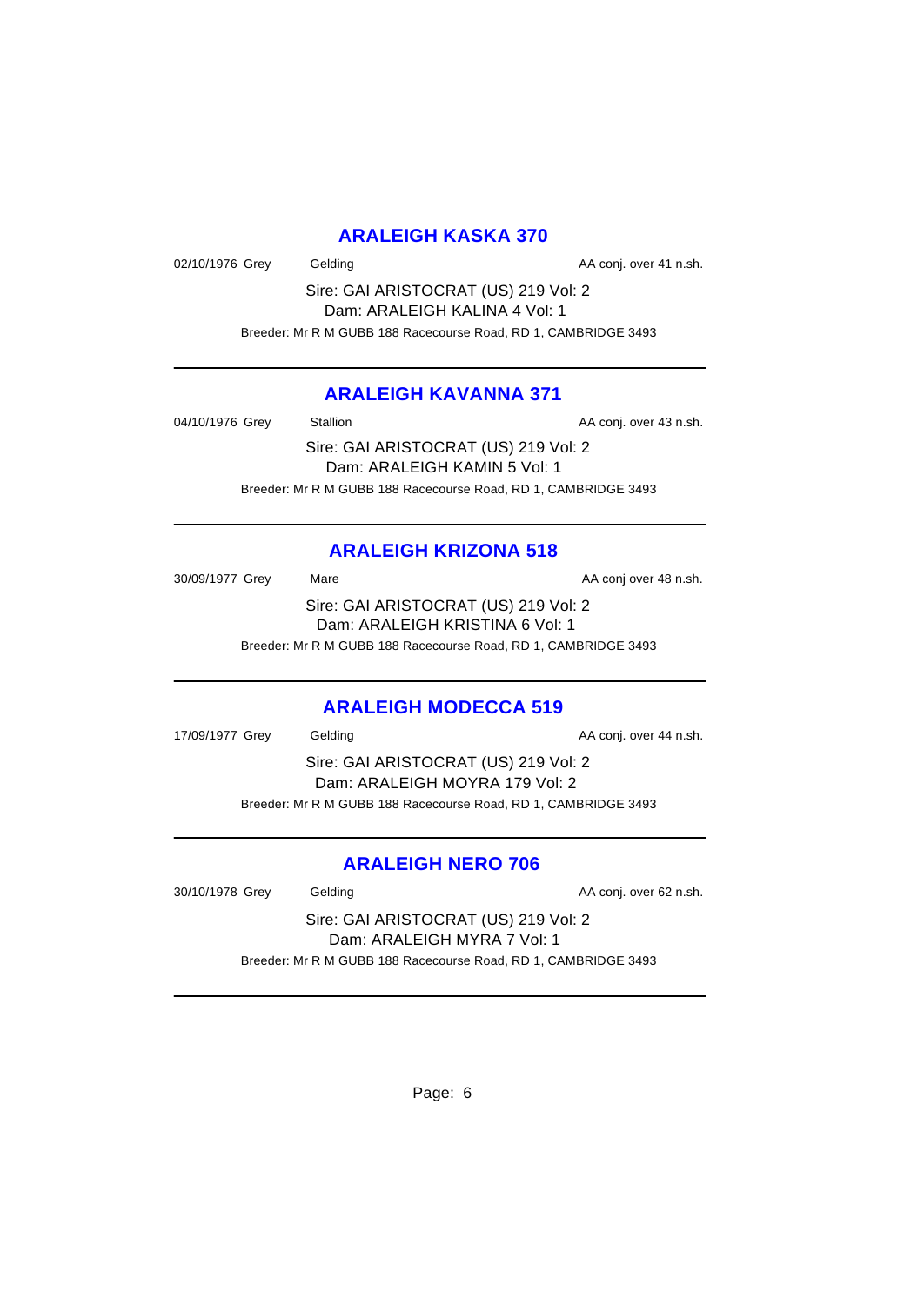# **ARALEIGH KASKA 370**

02/10/1976 Grey Gelding Constanting COM CONSERVIATION AA conj. over 41 n.sh.

Sire: GAI ARISTOCRAT (US) 219 Vol: 2 Dam: ARALEIGH KALINA 4 Vol: 1 Breeder: Mr R M GUBB 188 Racecourse Road, RD 1, CAMBRIDGE 3493

# **ARALEIGH KAVANNA 371**

04/10/1976 Grey Stallion Stallion State AA conj. over 43 n.sh.

Sire: GAI ARISTOCRAT (US) 219 Vol: 2 Dam: ARALEIGH KAMIN 5 Vol: 1 Breeder: Mr R M GUBB 188 Racecourse Road, RD 1, CAMBRIDGE 3493

# **ARALEIGH KRIZONA 518**

30/09/1977 Grey Mare Mare AA conj over 48 n.sh. Sire: GAI ARISTOCRAT (US) 219 Vol: 2 Dam: ARALEIGH KRISTINA 6 Vol: 1 Breeder: Mr R M GUBB 188 Racecourse Road, RD 1, CAMBRIDGE 3493

# **ARALEIGH MODECCA 519**

17/09/1977 Grey Gelding Cases Conj. over 44 n.sh. Sire: GAI ARISTOCRAT (US) 219 Vol: 2 Dam: ARALEIGH MOYRA 179 Vol: 2 Breeder: Mr R M GUBB 188 Racecourse Road, RD 1, CAMBRIDGE 3493

# **ARALEIGH NERO 706**

30/10/1978 Grey Gelding Gelding AA conj. over 62 n.sh.

Sire: GAI ARISTOCRAT (US) 219 Vol: 2 Dam: ARALEIGH MYRA 7 Vol: 1 Breeder: Mr R M GUBB 188 Racecourse Road, RD 1, CAMBRIDGE 3493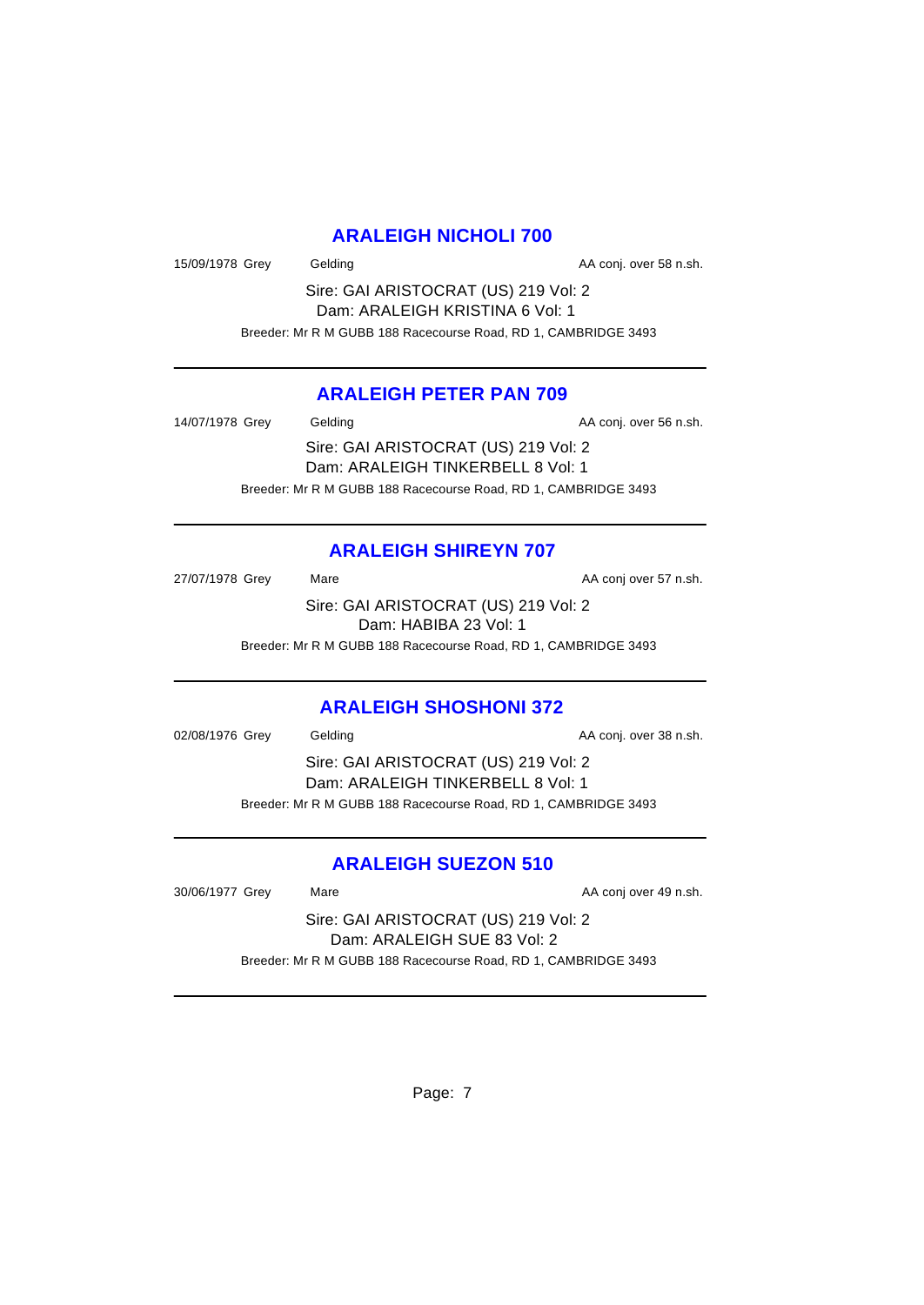# **ARALEIGH NICHOLI 700**

15/09/1978 Grey Gelding Case Conj. over 58 n.sh.

Sire: GAI ARISTOCRAT (US) 219 Vol: 2 Dam: ARALEIGH KRISTINA 6 Vol: 1 Breeder: Mr R M GUBB 188 Racecourse Road, RD 1, CAMBRIDGE 3493

# **ARALEIGH PETER PAN 709**

14/07/1978 Grey Gelding Case Conj. over 56 n.sh. Sire: GAI ARISTOCRAT (US) 219 Vol: 2 Dam: ARALEIGH TINKERBELL 8 Vol: 1 Breeder: Mr R M GUBB 188 Racecourse Road, RD 1, CAMBRIDGE 3493

# **ARALEIGH SHIREYN 707**

27/07/1978 Grey Mare Mare AA conj over 57 n.sh. Sire: GAI ARISTOCRAT (US) 219 Vol: 2 Dam: HABIBA 23 Vol: 1 Breeder: Mr R M GUBB 188 Racecourse Road, RD 1, CAMBRIDGE 3493

# **ARALEIGH SHOSHONI 372**

02/08/1976 Grey Gelding Construction Construction AA conj. over 38 n.sh. Sire: GAI ARISTOCRAT (US) 219 Vol: 2 Dam: ARALEIGH TINKERBELL 8 Vol: 1 Breeder: Mr R M GUBB 188 Racecourse Road, RD 1, CAMBRIDGE 3493

# **ARALEIGH SUEZON 510**

30/06/1977 Grey Mare Mare AA conj over 49 n.sh.

Sire: GAI ARISTOCRAT (US) 219 Vol: 2 Dam: ARALEIGH SUE 83 Vol: 2 Breeder: Mr R M GUBB 188 Racecourse Road, RD 1, CAMBRIDGE 3493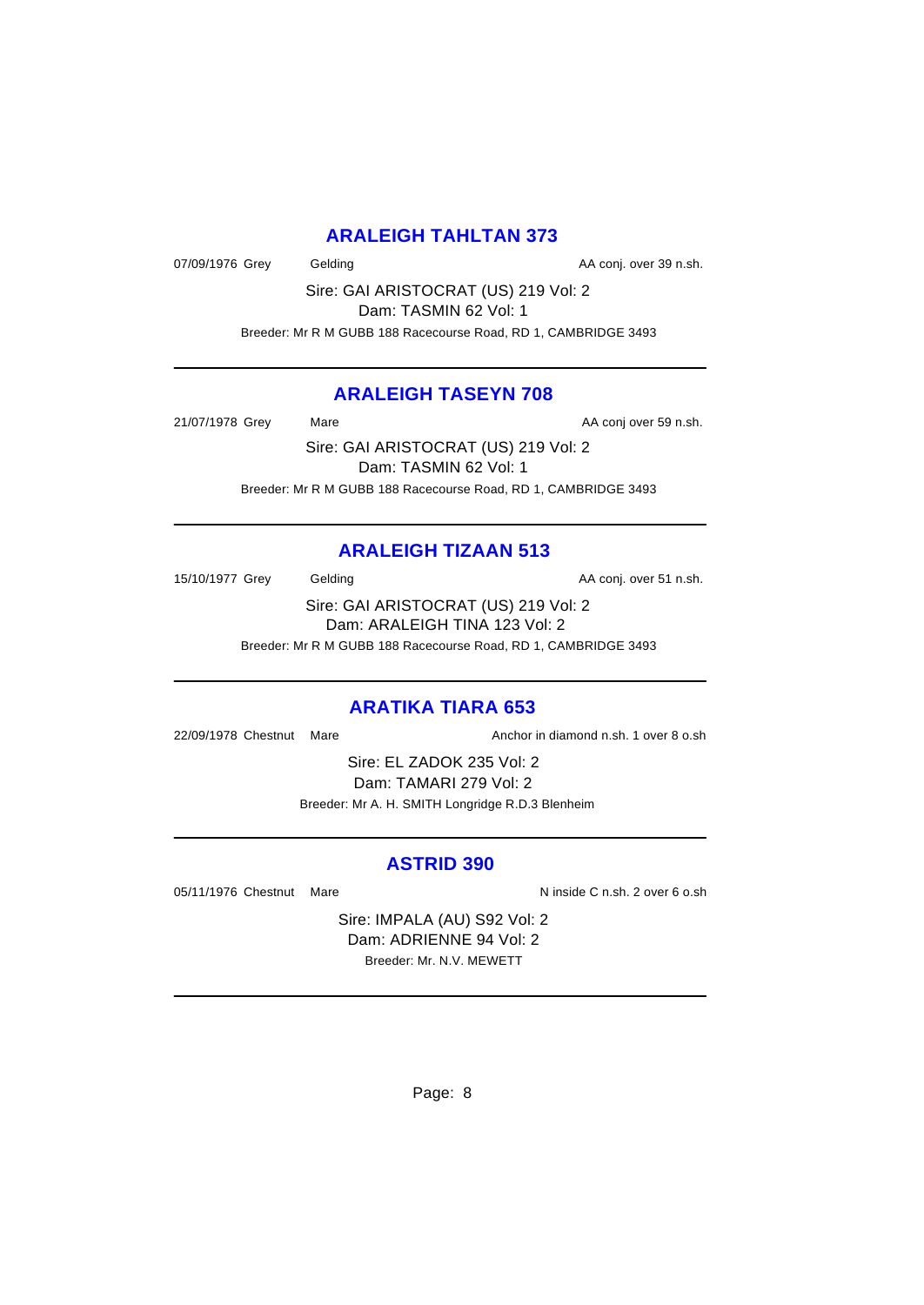# **ARALEIGH TAHLTAN 373**

07/09/1976 Grey Gelding Case Conj. over 39 n.sh.

Sire: GAI ARISTOCRAT (US) 219 Vol: 2 Dam: TASMIN 62 Vol: 1

Breeder: Mr R M GUBB 188 Racecourse Road, RD 1, CAMBRIDGE 3493

# **ARALEIGH TASEYN 708**

21/07/1978 Grey Mare Mare AA conj over 59 n.sh.

Sire: GAI ARISTOCRAT (US) 219 Vol: 2 Dam: TASMIN 62 Vol: 1 Breeder: Mr R M GUBB 188 Racecourse Road, RD 1, CAMBRIDGE 3493

# **ARALEIGH TIZAAN 513**

15/10/1977 Grey Gelding Case Conj. over 51 n.sh.

Sire: GAI ARISTOCRAT (US) 219 Vol: 2 Dam: ARALEIGH TINA 123 Vol: 2 Breeder: Mr R M GUBB 188 Racecourse Road, RD 1, CAMBRIDGE 3493

# **ARATIKA TIARA 653**

22/09/1978 Chestnut Mare Anchor in diamond n.sh. 1 over 8 o.sh

Sire: EL ZADOK 235 Vol: 2 Dam: TAMARI 279 Vol: 2 Breeder: Mr A. H. SMITH Longridge R.D.3 Blenheim

# **ASTRID 390**

05/11/1976 Chestnut Mare  $\overline{N}$  inside C n.sh. 2 over 6 o.sh

Sire: IMPALA (AU) S92 Vol: 2 Dam: ADRIENNE 94 Vol: 2 Breeder: Mr. N.V. MEWETT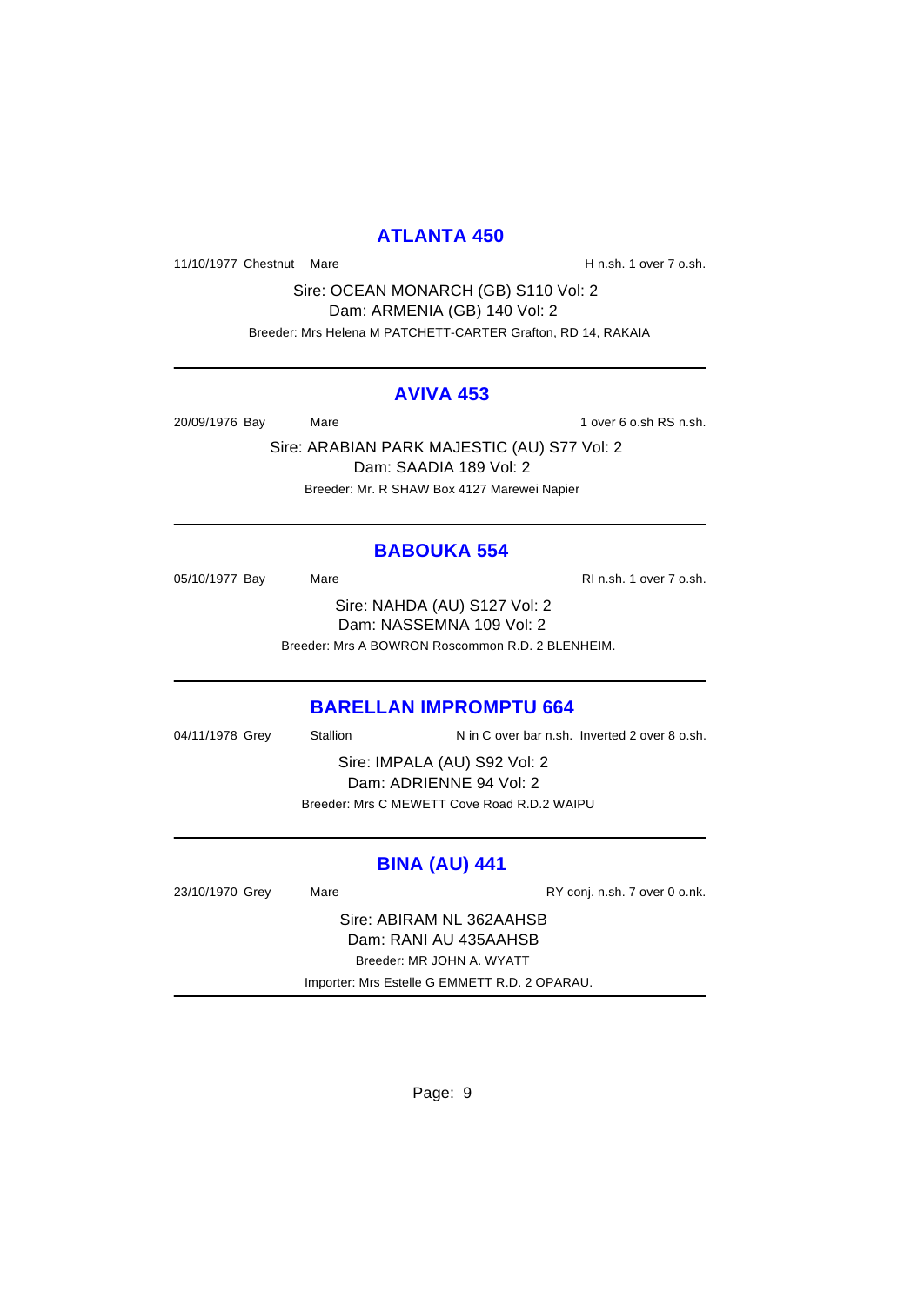# **ATLANTA 450**

11/10/1977 Chestnut Mare **H** n.sh. 1 over 7 o.sh.

Sire: OCEAN MONARCH (GB) S110 Vol: 2 Dam: ARMENIA (GB) 140 Vol: 2 Breeder: Mrs Helena M PATCHETT-CARTER Grafton, RD 14, RAKAIA

#### **AVIVA 453**

20/09/1976 Bay Mare 1 over 6 o.sh RS n.sh.

Sire: ARABIAN PARK MAJESTIC (AU) S77 Vol: 2 Dam: SAADIA 189 Vol: 2 Breeder: Mr. R SHAW Box 4127 Marewei Napier

# **BABOUKA 554**

05/10/1977 Bay Mare Mare RI n.sh. 1 over 7 o.sh. Sire: NAHDA (AU) S127 Vol: 2 Dam: NASSEMNA 109 Vol: 2 Breeder: Mrs A BOWRON Roscommon R.D. 2 BLENHEIM.

# **BARELLAN IMPROMPTU 664**

04/11/1978 Grey Stallion N in C over bar n.sh. Inverted 2 over 8 o.sh.

Sire: IMPALA (AU) S92 Vol: 2 Dam: ADRIENNE 94 Vol: 2 Breeder: Mrs C MEWETT Cove Road R.D.2 WAIPU

# **BINA (AU) 441**

| 23/10/1970 Grey           | Mare                                          | RY conj. n.sh. 7 over 0 o.nk. |  |
|---------------------------|-----------------------------------------------|-------------------------------|--|
| Sire: ABIRAM NL 362AAHSB  |                                               |                               |  |
| Dam: RANI AU 435AAHSB     |                                               |                               |  |
| Breeder: MR JOHN A. WYATT |                                               |                               |  |
|                           | Importer: Mrs Estelle G EMMETT R.D. 2 OPARAU. |                               |  |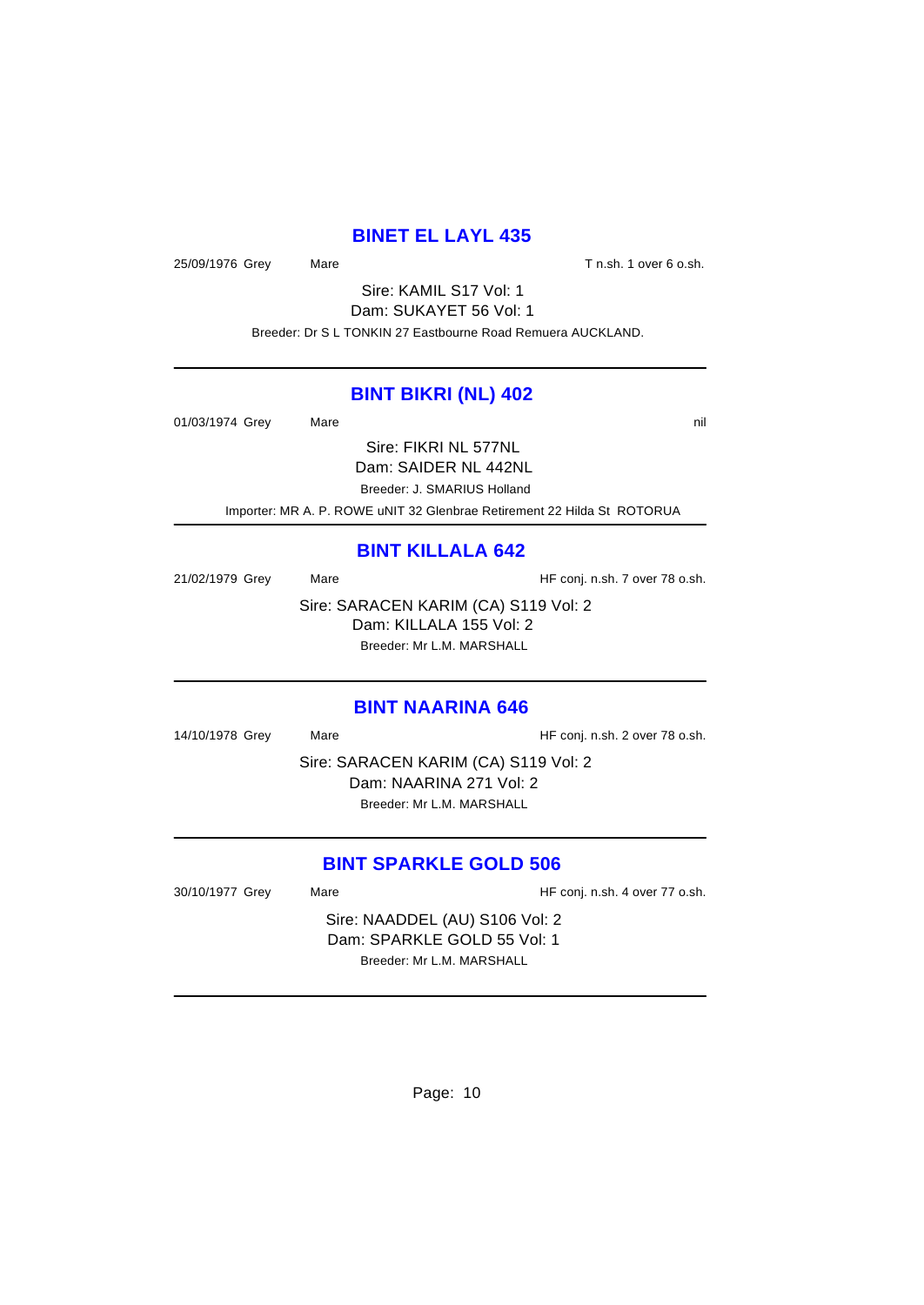# **BINET EL LAYL 435**

25/09/1976 Grey Mare Mare T n.sh. 1 over 6 o.sh.

Sire: KAMIL S17 Vol: 1 Dam: SUKAYET 56 Vol: 1 Breeder: Dr S L TONKIN 27 Eastbourne Road Remuera AUCKLAND.

#### **BINT BIKRI (NL) 402**

01/03/1974 Grey Mare natural Mare nill and Mare nill and Mare nill and Mare nill and Mare nill and Mare nill and Mare nill and Mare nill and Mare nill and Mare nill and Mare nill and Mare nill and Mare nill and Mare nill a Sire: FIKRI NL 577NL Dam: SAIDER NL 442NL

Breeder: J. SMARIUS Holland

Importer: MR A. P. ROWE uNIT 32 Glenbrae Retirement 22 Hilda St ROTORUA

# **BINT KILLALA 642**

21/02/1979 Grey Mare Mare HF conj. n.sh. 7 over 78 o.sh.

Sire: SARACEN KARIM (CA) S119 Vol: 2 Dam: KILLALA 155 Vol: 2 Breeder: Mr L.M. MARSHALL

#### **BINT NAARINA 646**

14/10/1978 Grey Mare Mare HF conj. n.sh. 2 over 78 o.sh.

Sire: SARACEN KARIM (CA) S119 Vol: 2 Dam: NAARINA 271 Vol: 2 Breeder: Mr L.M. MARSHALL

# **BINT SPARKLE GOLD 506**

30/10/1977 Grey Mare Mare HF conj. n.sh. 4 over 77 o.sh.

Sire: NAADDEL (AU) S106 Vol: 2 Dam: SPARKLE GOLD 55 Vol: 1 Breeder: Mr L.M. MARSHALL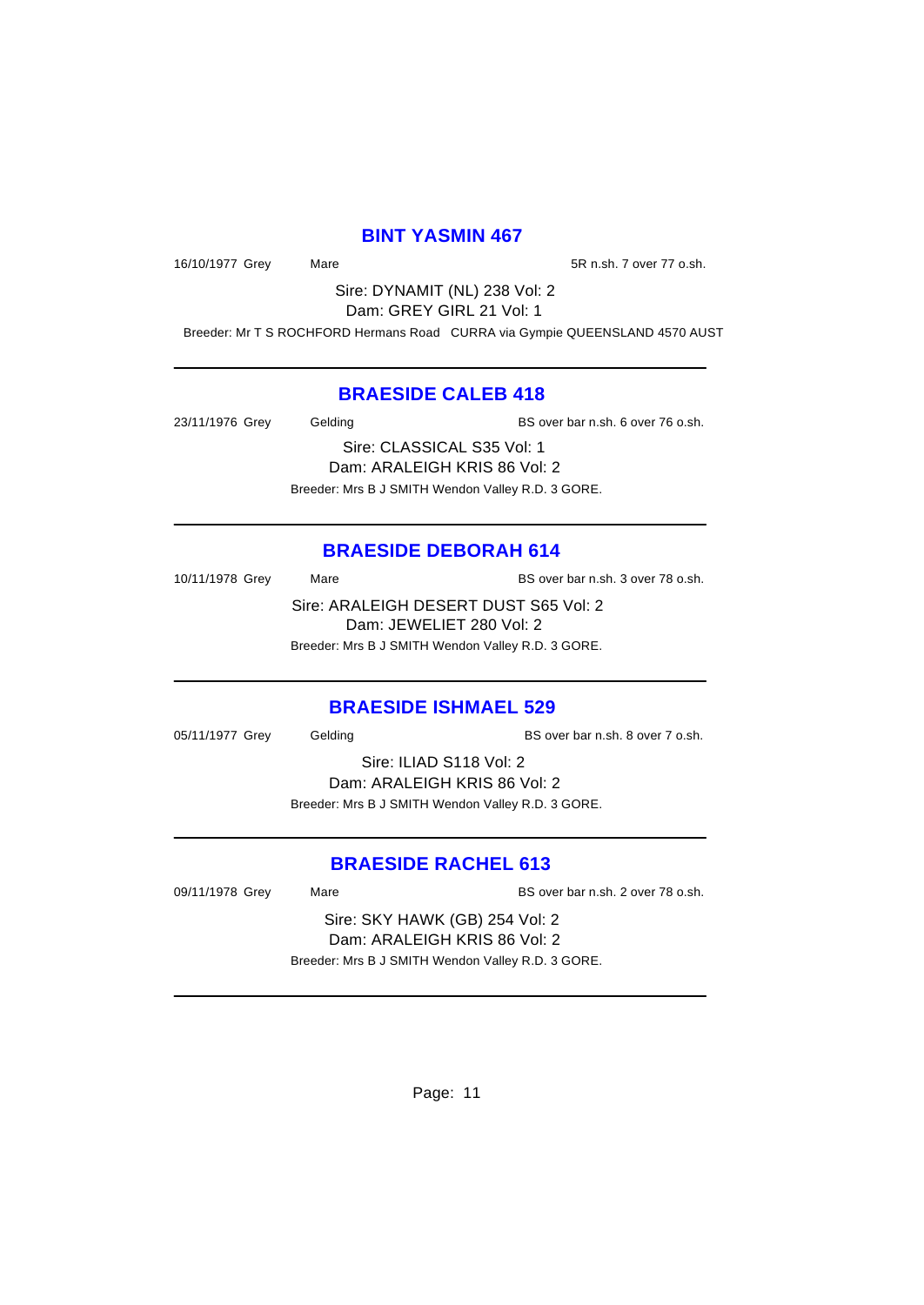# **BINT YASMIN 467**

16/10/1977 Grey Mare 16/10/1977 Grey Mare

Sire: DYNAMIT (NL) 238 Vol: 2 Dam: GREY GIRL 21 Vol: 1

Breeder: Mr T S ROCHFORD Hermans Road CURRA via Gympie QUEENSLAND 4570 AUST

# **BRAESIDE CALEB 418**

23/11/1976 Grey Gelding BS over bar n.sh. 6 over 76 o.sh. Sire: CLASSICAL S35 Vol: 1

> Dam: ARALEIGH KRIS 86 Vol: 2 Breeder: Mrs B J SMITH Wendon Valley R.D. 3 GORE.

# **BRAESIDE DEBORAH 614**

10/11/1978 Grey Mare Mare BS over bar n.sh. 3 over 78 o.sh. Sire: ARALEIGH DESERT DUST S65 Vol: 2 Dam: JEWELIET 280 Vol: 2

Breeder: Mrs B J SMITH Wendon Valley R.D. 3 GORE.

# **BRAESIDE ISHMAEL 529**

05/11/1977 Grey Gelding BS over bar n.sh. 8 over 7 o.sh.

Sire: ILIAD S118 Vol: 2 Dam: ARALEIGH KRIS 86 Vol: 2 Breeder: Mrs B J SMITH Wendon Valley R.D. 3 GORE.

# **BRAESIDE RACHEL 613**

09/11/1978 Grey Mare Mare BS over bar n.sh. 2 over 78 o.sh.

Sire: SKY HAWK (GB) 254 Vol: 2 Dam: ARALEIGH KRIS 86 Vol: 2 Breeder: Mrs B J SMITH Wendon Valley R.D. 3 GORE.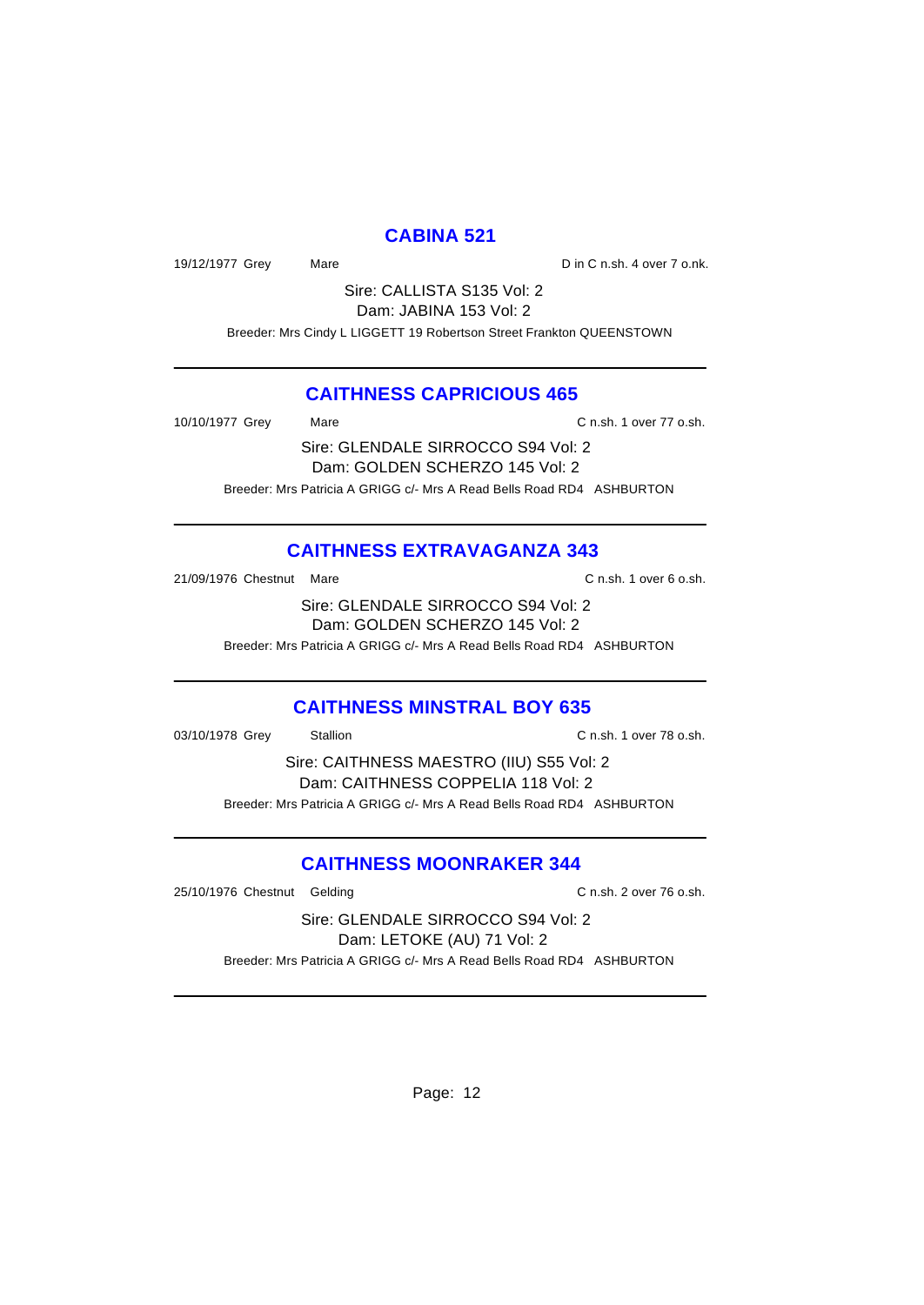# **CABINA 521**

19/12/1977 Grey Mare Mare Din C n.sh. 4 over 7 o.nk.

Sire: CALLISTA S135 Vol: 2 Dam: JABINA 153 Vol: 2

Breeder: Mrs Cindy L LIGGETT 19 Robertson Street Frankton QUEENSTOWN

# **CAITHNESS CAPRICIOUS 465**

10/10/1977 Grey Mare Mare C n.sh. 1 over 77 o.sh.

Sire: GLENDALE SIRROCCO S94 Vol: 2 Dam: GOLDEN SCHERZO 145 Vol: 2 Breeder: Mrs Patricia A GRIGG c/- Mrs A Read Bells Road RD4 ASHBURTON

# **CAITHNESS EXTRAVAGANZA 343**

21/09/1976 Chestnut Mare C n.sh. 1 over 6 o.sh.

Sire: GLENDALE SIRROCCO S94 Vol: 2 Dam: GOLDEN SCHERZO 145 Vol: 2

Breeder: Mrs Patricia A GRIGG c/- Mrs A Read Bells Road RD4 ASHBURTON

# **CAITHNESS MINSTRAL BOY 635**

03/10/1978 Grey Stallion C n.sh. 1 over 78 o.sh.

Sire: CAITHNESS MAESTRO (IIU) S55 Vol: 2 Dam: CAITHNESS COPPELIA 118 Vol: 2 Breeder: Mrs Patricia A GRIGG c/- Mrs A Read Bells Road RD4 ASHBURTON

# **CAITHNESS MOONRAKER 344**

25/10/1976 Chestnut Gelding C n.sh. 2 over 76 o.sh.

Sire: GLENDALE SIRROCCO S94 Vol: 2 Dam: LETOKE (AU) 71 Vol: 2 Breeder: Mrs Patricia A GRIGG c/- Mrs A Read Bells Road RD4 ASHBURTON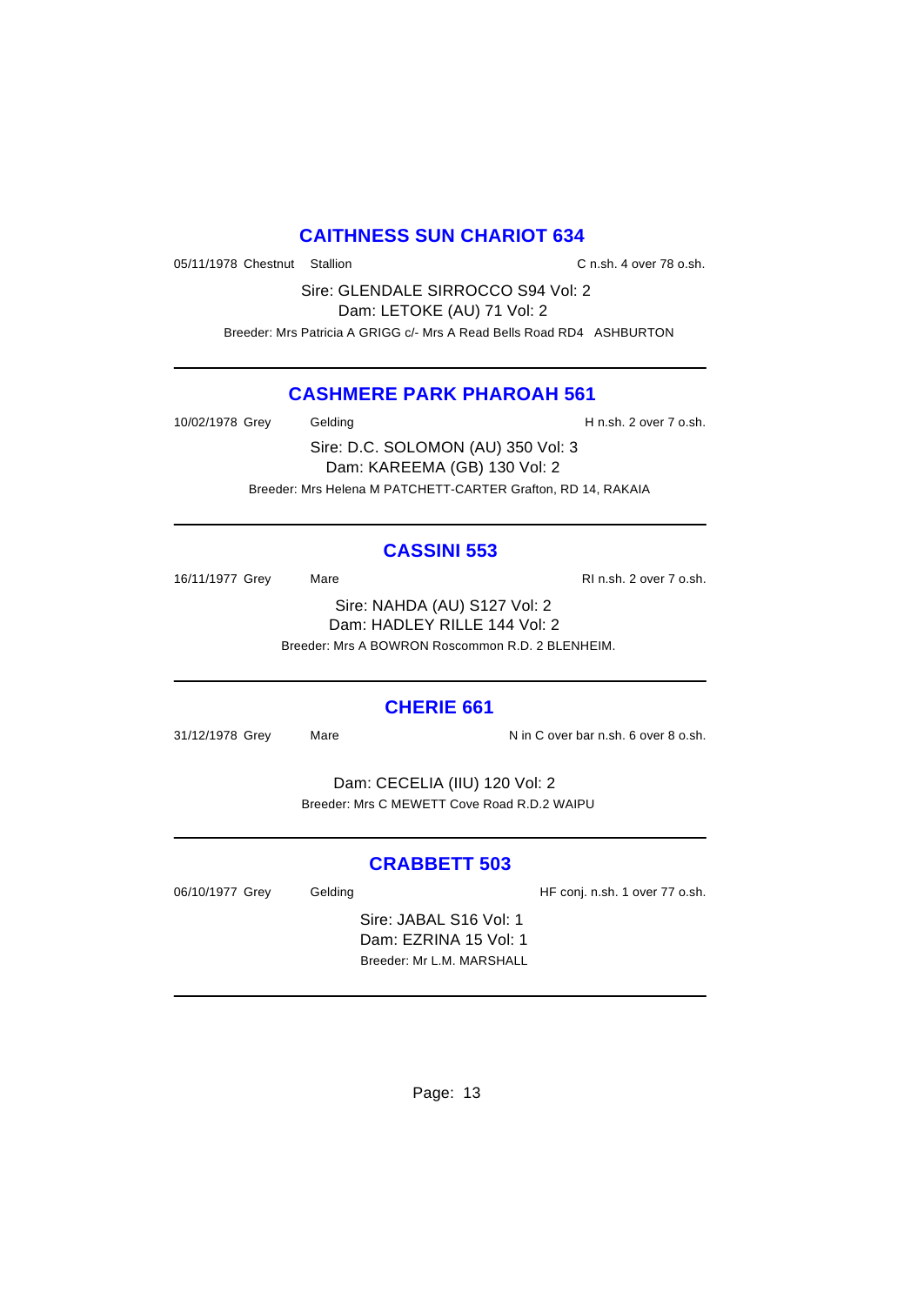# **CAITHNESS SUN CHARIOT 634**

05/11/1978 Chestnut Stallion C n.sh. 4 over 78 o.sh.

Sire: GLENDALE SIRROCCO S94 Vol: 2 Dam: LETOKE (AU) 71 Vol: 2 Breeder: Mrs Patricia A GRIGG c/- Mrs A Read Bells Road RD4 ASHBURTON

# **CASHMERE PARK PHAROAH 561**

10/02/1978 Grey Gelding Gelding H n.sh. 2 over 7 o.sh.

Sire: D.C. SOLOMON (AU) 350 Vol: 3 Dam: KAREEMA (GB) 130 Vol: 2 Breeder: Mrs Helena M PATCHETT-CARTER Grafton, RD 14, RAKAIA

# **CASSINI 553**

16/11/1977 Grey Mare Mare RI n.sh. 2 over 7 o.sh. Sire: NAHDA (AU) S127 Vol: 2 Dam: HADLEY RILLE 144 Vol: 2 Breeder: Mrs A BOWRON Roscommon R.D. 2 BLENHEIM.

# **CHERIE 661**

31/12/1978 Grey Mare National Assembly N in C over bar n.sh. 6 over 8 o.sh.

Dam: CECELIA (IIU) 120 Vol: 2 Breeder: Mrs C MEWETT Cove Road R.D.2 WAIPU

# **CRABBETT 503**

06/10/1977 Grey Gelding Gelding HF conj. n.sh. 1 over 77 o.sh.

Sire: JABAL S16 Vol: 1 Dam: EZRINA 15 Vol: 1 Breeder: Mr L.M. MARSHALL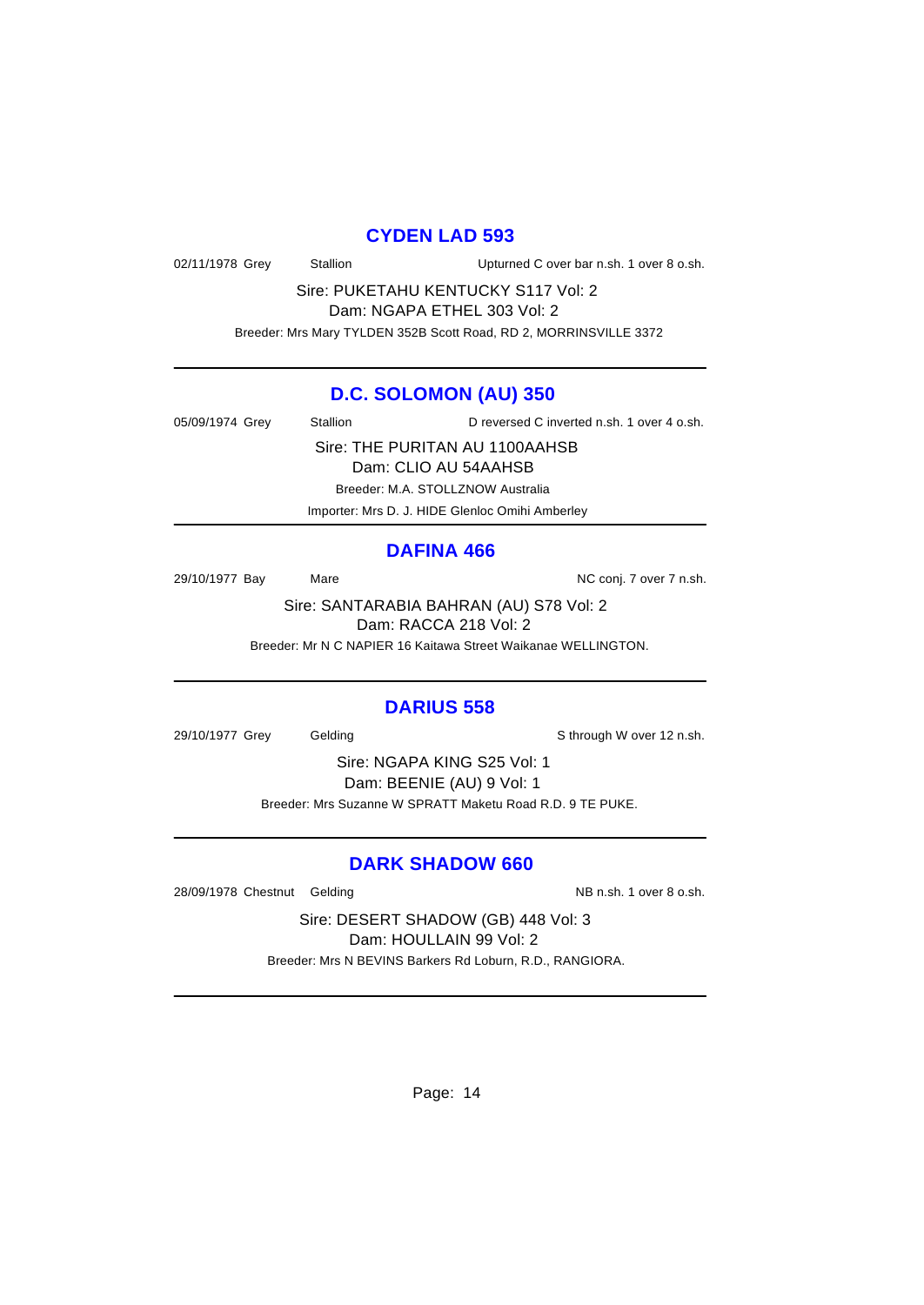#### **CYDEN LAD 593**

02/11/1978 Grey Stallion Upturned C over bar n.sh. 1 over 8 o.sh.

Sire: PUKETAHU KENTUCKY S117 Vol: 2 Dam: NGAPA ETHEL 303 Vol: 2

Breeder: Mrs Mary TYLDEN 352B Scott Road, RD 2, MORRINSVILLE 3372

# **D.C. SOLOMON (AU) 350**

05/09/1974 Grey Stallion D reversed C inverted n.sh. 1 over 4 o.sh.

Sire: THE PURITAN AU 1100AAHSB Dam: CLIO AU 54AAHSB

Breeder: M.A. STOLLZNOW Australia

Importer: Mrs D. J. HIDE Glenloc Omihi Amberley

# **DAFINA 466**

29/10/1977 Bay Mare Mare NC conj. 7 over 7 n.sh.

Sire: SANTARABIA BAHRAN (AU) S78 Vol: 2 Dam: RACCA 218 Vol: 2

Breeder: Mr N C NAPIER 16 Kaitawa Street Waikanae WELLINGTON.

## **DARIUS 558**

29/10/1977 Grey Gelding Sthrough W over 12 n.sh.

Sire: NGAPA KING S25 Vol: 1 Dam: BEENIE (AU) 9 Vol: 1 Breeder: Mrs Suzanne W SPRATT Maketu Road R.D. 9 TE PUKE.

# **DARK SHADOW 660**

28/09/1978 Chestnut Gelding NB n.sh. 1 over 8 o.sh.

Sire: DESERT SHADOW (GB) 448 Vol: 3 Dam: HOULLAIN 99 Vol: 2 Breeder: Mrs N BEVINS Barkers Rd Loburn, R.D., RANGIORA.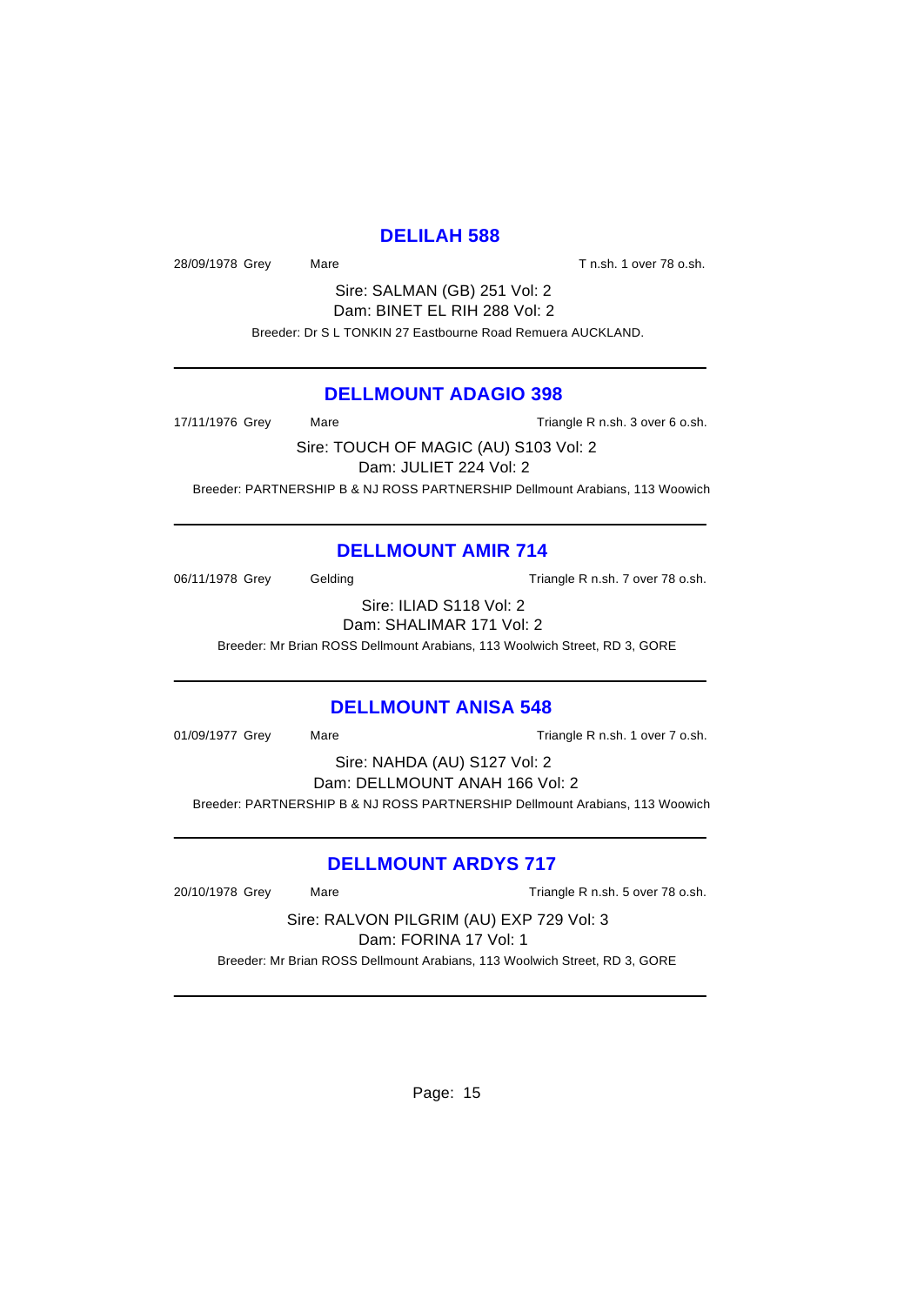# **DELILAH 588**

28/09/1978 Grey Mare Mare T n.sh. 1 over 78 o.sh.

Sire: SALMAN (GB) 251 Vol: 2 Dam: BINET EL RIH 288 Vol: 2 Breeder: Dr S L TONKIN 27 Eastbourne Road Remuera AUCKLAND.

# **DELLMOUNT ADAGIO 398**

17/11/1976 Grey Mare Mare Triangle R n.sh. 3 over 6 o.sh. Sire: TOUCH OF MAGIC (AU) S103 Vol: 2 Dam: JULIET 224 Vol: 2

Breeder: PARTNERSHIP B & NJ ROSS PARTNERSHIP Dellmount Arabians, 113 Woowich

# **DELLMOUNT AMIR 714**

06/11/1978 Grey Gelding Gelding Triangle R n.sh. 7 over 78 o.sh.

Sire: ILIAD S118 Vol: 2 Dam: SHALIMAR 171 Vol: 2

Breeder: Mr Brian ROSS Dellmount Arabians, 113 Woolwich Street, RD 3, GORE

# **DELLMOUNT ANISA 548**

01/09/1977 Grey Mare Mare Triangle R n.sh. 1 over 7 o.sh.

Sire: NAHDA (AU) S127 Vol: 2 Dam: DELLMOUNT ANAH 166 Vol: 2 Breeder: PARTNERSHIP B & NJ ROSS PARTNERSHIP Dellmount Arabians, 113 Woowich

# **DELLMOUNT ARDYS 717**

20/10/1978 Grey Mare Mare Triangle R n.sh. 5 over 78 o.sh.

Sire: RALVON PILGRIM (AU) EXP 729 Vol: 3

Dam: FORINA 17 Vol: 1

Breeder: Mr Brian ROSS Dellmount Arabians, 113 Woolwich Street, RD 3, GORE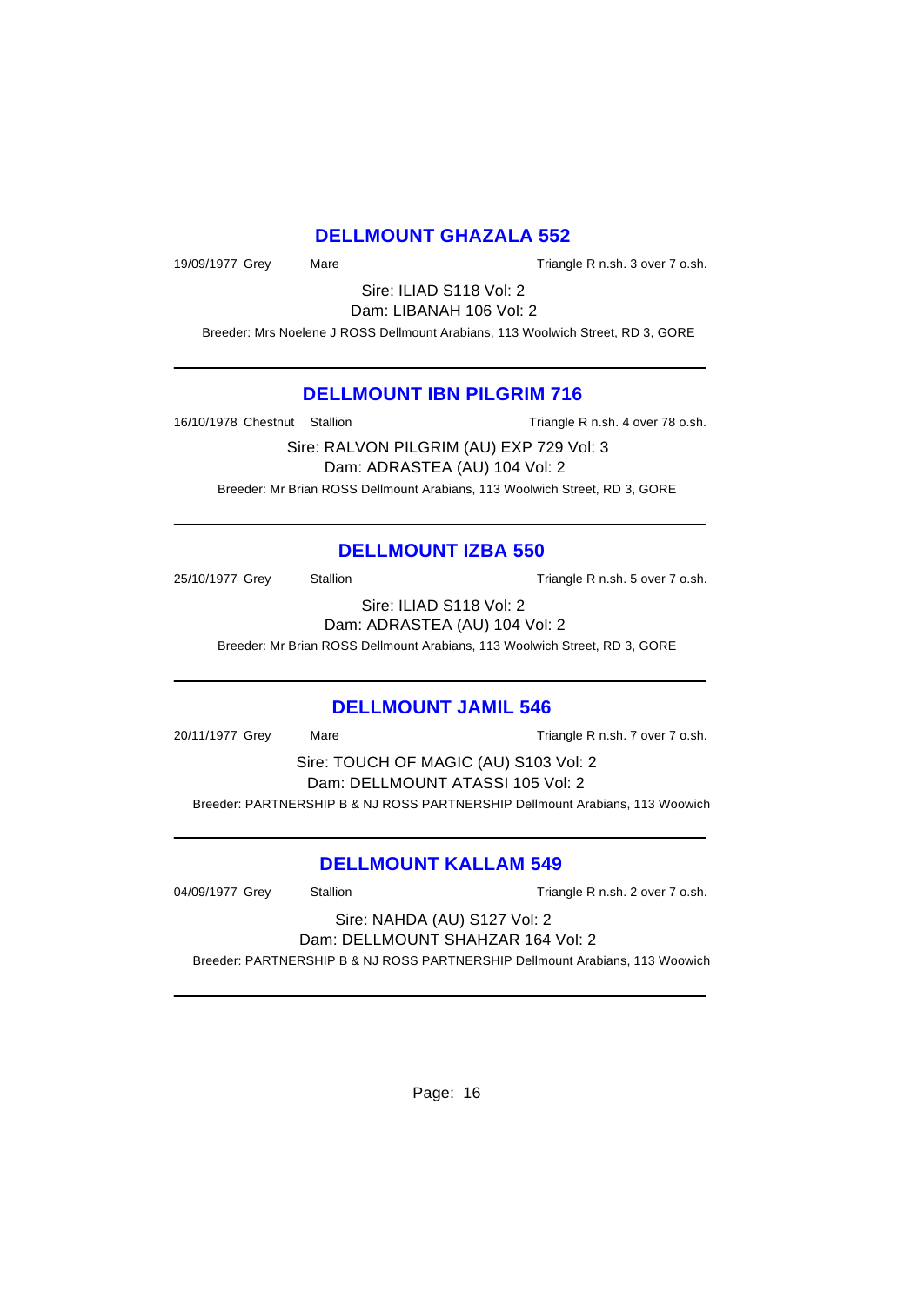# **DELLMOUNT GHAZALA 552**

19/09/1977 Grey Mare Mare Triangle R n.sh. 3 over 7 o.sh.

Sire: ILIAD S118 Vol: 2 Dam: LIBANAH 106 Vol: 2

Breeder: Mrs Noelene J ROSS Dellmount Arabians, 113 Woolwich Street, RD 3, GORE

# **DELLMOUNT IBN PILGRIM 716**

16/10/1978 Chestnut Stallion Triangle R n.sh. 4 over 78 o.sh.

Sire: RALVON PILGRIM (AU) EXP 729 Vol: 3 Dam: ADRASTEA (AU) 104 Vol: 2 Breeder: Mr Brian ROSS Dellmount Arabians, 113 Woolwich Street, RD 3, GORE

# **DELLMOUNT IZBA 550**

25/10/1977 Grey Stallion Stallion State Triangle R n.sh. 5 over 7 o.sh.

Sire: ILIAD S118 Vol: 2 Dam: ADRASTEA (AU) 104 Vol: 2

Breeder: Mr Brian ROSS Dellmount Arabians, 113 Woolwich Street, RD 3, GORE

# **DELLMOUNT JAMIL 546**

20/11/1977 Grey Mare Mare Triangle R n.sh. 7 over 7 o.sh.

Sire: TOUCH OF MAGIC (AU) S103 Vol: 2 Dam: DELLMOUNT ATASSI 105 Vol: 2 Breeder: PARTNERSHIP B & NJ ROSS PARTNERSHIP Dellmount Arabians, 113 Woowich

# **DELLMOUNT KALLAM 549**

04/09/1977 Grey Stallion Stallion Triangle R n.sh. 2 over 7 o.sh.

Sire: NAHDA (AU) S127 Vol: 2 Dam: DELLMOUNT SHAHZAR 164 Vol: 2

Breeder: PARTNERSHIP B & NJ ROSS PARTNERSHIP Dellmount Arabians, 113 Woowich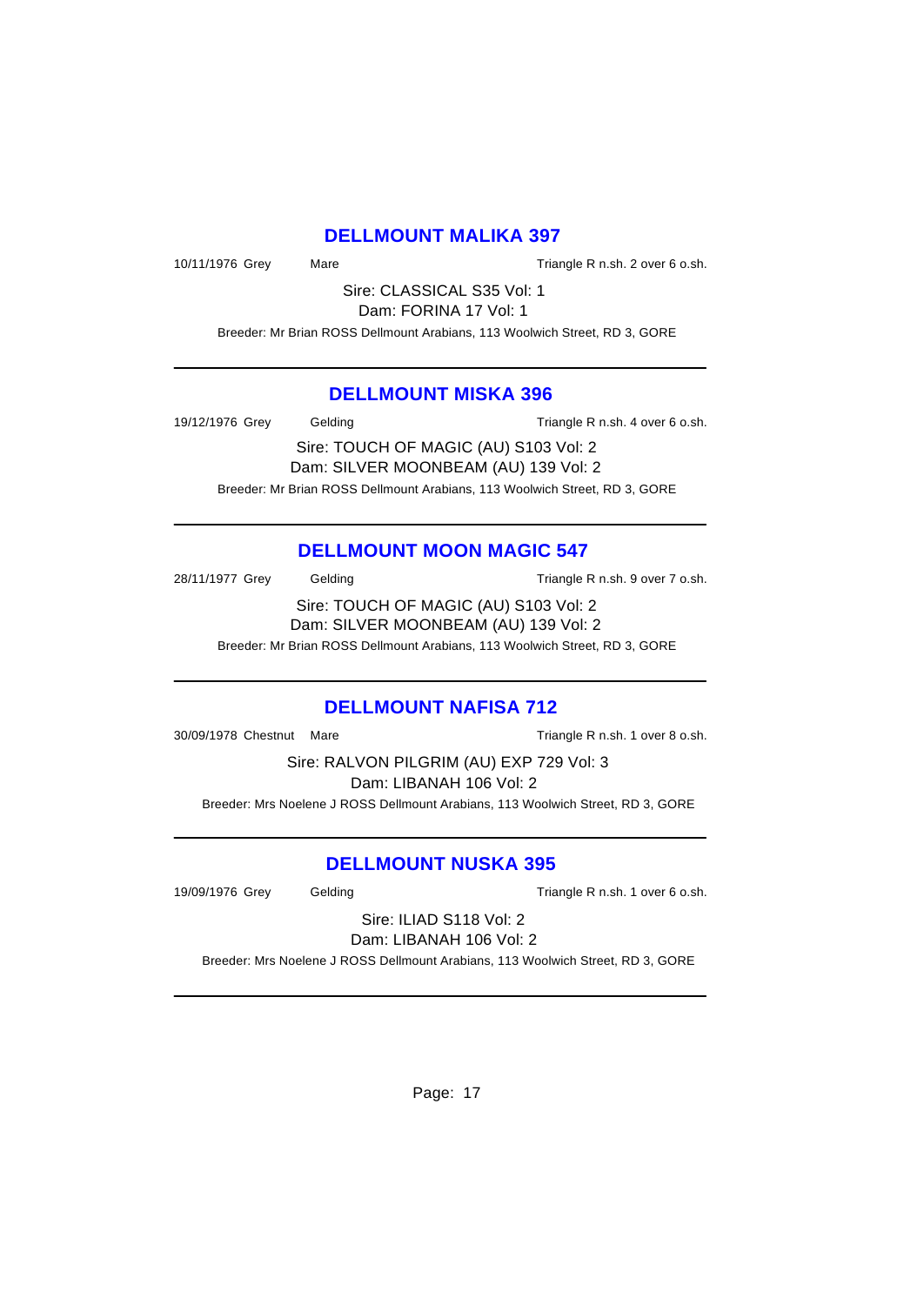# **DELLMOUNT MALIKA 397**

10/11/1976 Grey Mare Mare Triangle R n.sh. 2 over 6 o.sh.

Sire: CLASSICAL S35 Vol: 1 Dam: FORINA 17 Vol: 1

Breeder: Mr Brian ROSS Dellmount Arabians, 113 Woolwich Street, RD 3, GORE

#### **DELLMOUNT MISKA 396**

19/12/1976 Grey Gelding Gelding Triangle R n.sh. 4 over 6 o.sh.

Sire: TOUCH OF MAGIC (AU) S103 Vol: 2 Dam: SILVER MOONBEAM (AU) 139 Vol: 2 Breeder: Mr Brian ROSS Dellmount Arabians, 113 Woolwich Street, RD 3, GORE

# **DELLMOUNT MOON MAGIC 547**

28/11/1977 Grey Gelding Cassett Contract Triangle R n.sh. 9 over 7 o.sh.

Sire: TOUCH OF MAGIC (AU) S103 Vol: 2 Dam: SILVER MOONBEAM (AU) 139 Vol: 2

Breeder: Mr Brian ROSS Dellmount Arabians, 113 Woolwich Street, RD 3, GORE

# **DELLMOUNT NAFISA 712**

30/09/1978 Chestnut Mare Triangle R n.sh. 1 over 8 o.sh.

Sire: RALVON PILGRIM (AU) EXP 729 Vol: 3 Dam: LIBANAH 106 Vol: 2

Breeder: Mrs Noelene J ROSS Dellmount Arabians, 113 Woolwich Street, RD 3, GORE

# **DELLMOUNT NUSKA 395**

19/09/1976 Grey Gelding Triangle R n.sh. 1 over 6 o.sh.

Sire: ILIAD S118 Vol: 2 Dam: LIBANAH 106 Vol: 2

Breeder: Mrs Noelene J ROSS Dellmount Arabians, 113 Woolwich Street, RD 3, GORE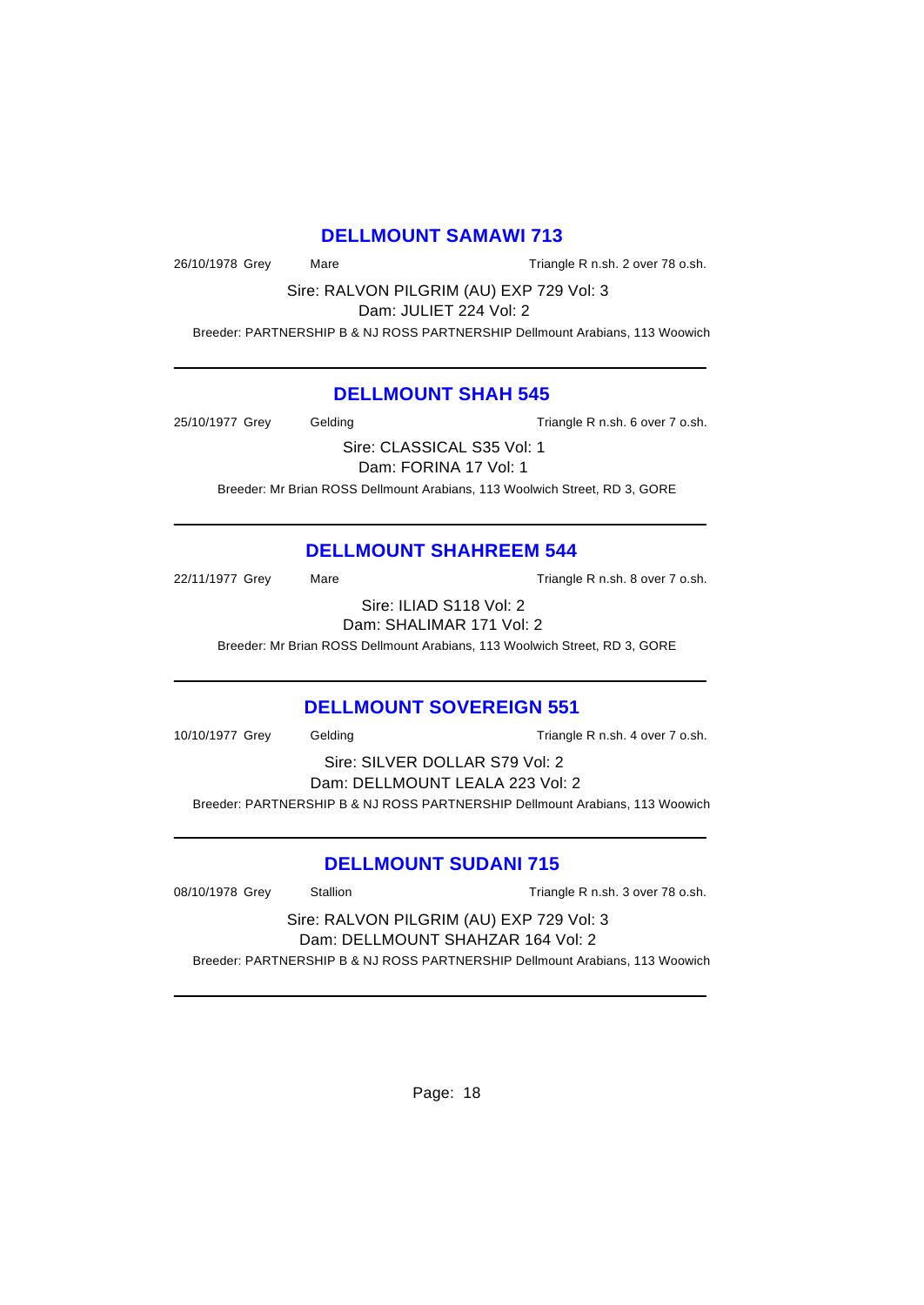# **DELLMOUNT SAMAWI 713**

26/10/1978 Grey Mare Triangle R n.sh. 2 over 78 o.sh.

Sire: RALVON PILGRIM (AU) EXP 729 Vol: 3

Dam: JULIET 224 Vol: 2

Breeder: PARTNERSHIP B & NJ ROSS PARTNERSHIP Dellmount Arabians, 113 Woowich

# **DELLMOUNT SHAH 545**

25/10/1977 Grey Gelding Cassett Controller R n.sh. 6 over 7 o.sh.

Sire: CLASSICAL S35 Vol: 1 Dam: FORINA 17 Vol: 1

Breeder: Mr Brian ROSS Dellmount Arabians, 113 Woolwich Street, RD 3, GORE

# **DELLMOUNT SHAHREEM 544**

22/11/1977 Grey Mare Mare Triangle R n.sh. 8 over 7 o.sh.

Sire: ILIAD S118 Vol: 2 Dam: SHALIMAR 171 Vol: 2

Breeder: Mr Brian ROSS Dellmount Arabians, 113 Woolwich Street, RD 3, GORE

# **DELLMOUNT SOVEREIGN 551**

10/10/1977 Grey Gelding Triangle R n.sh. 4 over 7 o.sh.

Sire: SILVER DOLLAR S79 Vol: 2 Dam: DELLMOUNT LEALA 223 Vol: 2 Breeder: PARTNERSHIP B & NJ ROSS PARTNERSHIP Dellmount Arabians, 113 Woowich

# **DELLMOUNT SUDANI 715**

08/10/1978 Grey Stallion Stallion Stallion Triangle R n.sh. 3 over 78 o.sh. Sire: RALVON PILGRIM (AU) EXP 729 Vol: 3 Dam: DELLMOUNT SHAHZAR 164 Vol: 2

Breeder: PARTNERSHIP B & NJ ROSS PARTNERSHIP Dellmount Arabians, 113 Woowich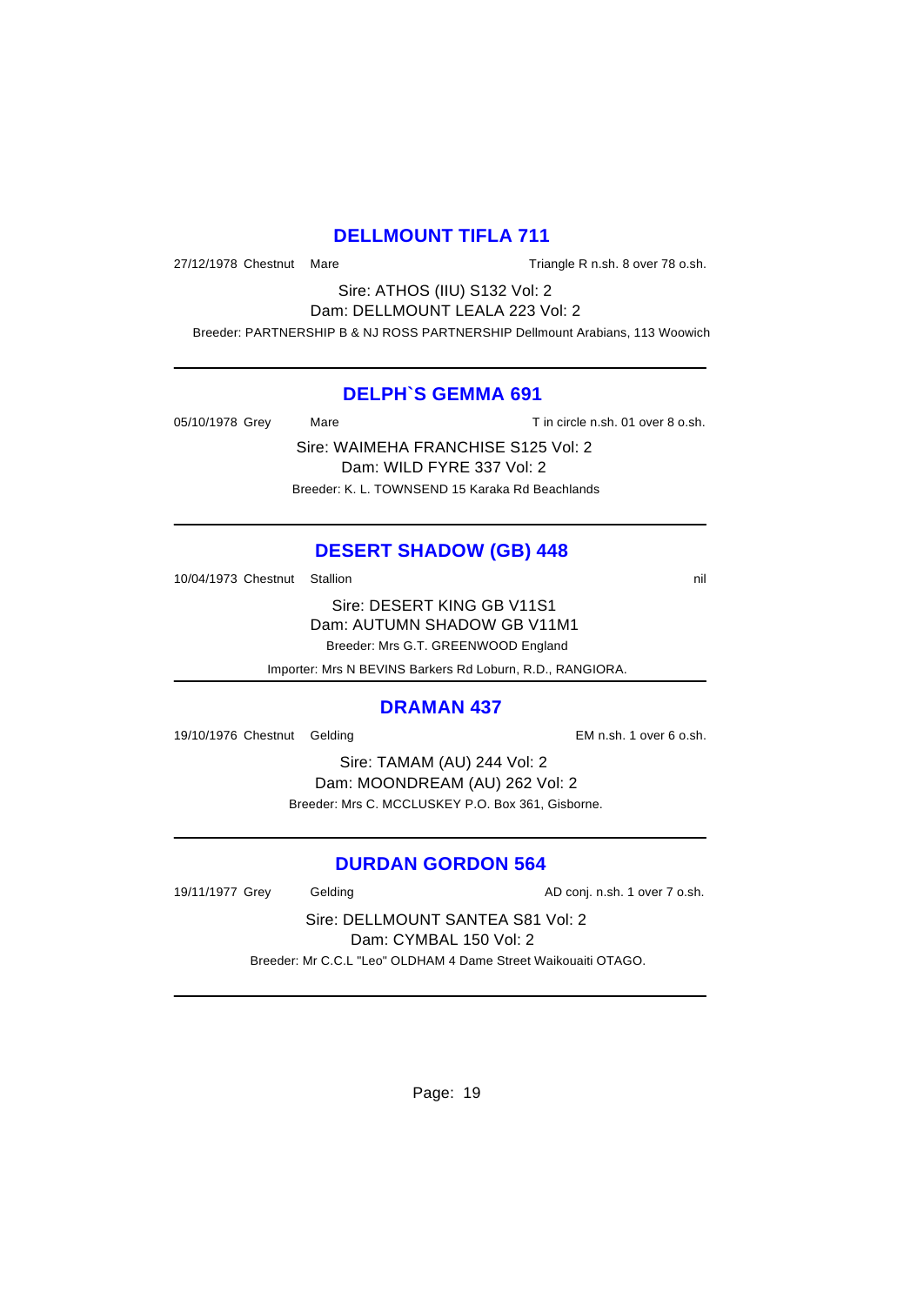# **DELLMOUNT TIFLA 711**

27/12/1978 Chestnut Mare **Triangle R n.sh. 8 over 78 o.sh.** 

Sire: ATHOS (IIU) S132 Vol: 2 Dam: DELLMOUNT LEALA 223 Vol: 2

Breeder: PARTNERSHIP B & NJ ROSS PARTNERSHIP Dellmount Arabians, 113 Woowich

# **DELPH`S GEMMA 691**

05/10/1978 Grey Mare Mare T in circle n.sh. 01 over 8 o.sh.

Sire: WAIMEHA FRANCHISE S125 Vol: 2 Dam: WILD FYRE 337 Vol: 2 Breeder: K. L. TOWNSEND 15 Karaka Rd Beachlands

# **DESERT SHADOW (GB) 448**

10/04/1973 Chestnut Stallion nil

Sire: DESERT KING GB V11S1 Dam: AUTUMN SHADOW GB V11M1 Breeder: Mrs G.T. GREENWOOD England

Importer: Mrs N BEVINS Barkers Rd Loburn, R.D., RANGIORA.

#### **DRAMAN 437**

19/10/1976 Chestnut Gelding EM n.sh. 1 over 6 o.sh.

Sire: TAMAM (AU) 244 Vol: 2 Dam: MOONDREAM (AU) 262 Vol: 2 Breeder: Mrs C. MCCLUSKEY P.O. Box 361, Gisborne.

# **DURDAN GORDON 564**

19/11/1977 Grey Gelding Conj. n.sh. 1 over 7 o.sh.

Sire: DELLMOUNT SANTEA S81 Vol: 2 Dam: CYMBAL 150 Vol: 2 Breeder: Mr C.C.L "Leo" OLDHAM 4 Dame Street Waikouaiti OTAGO.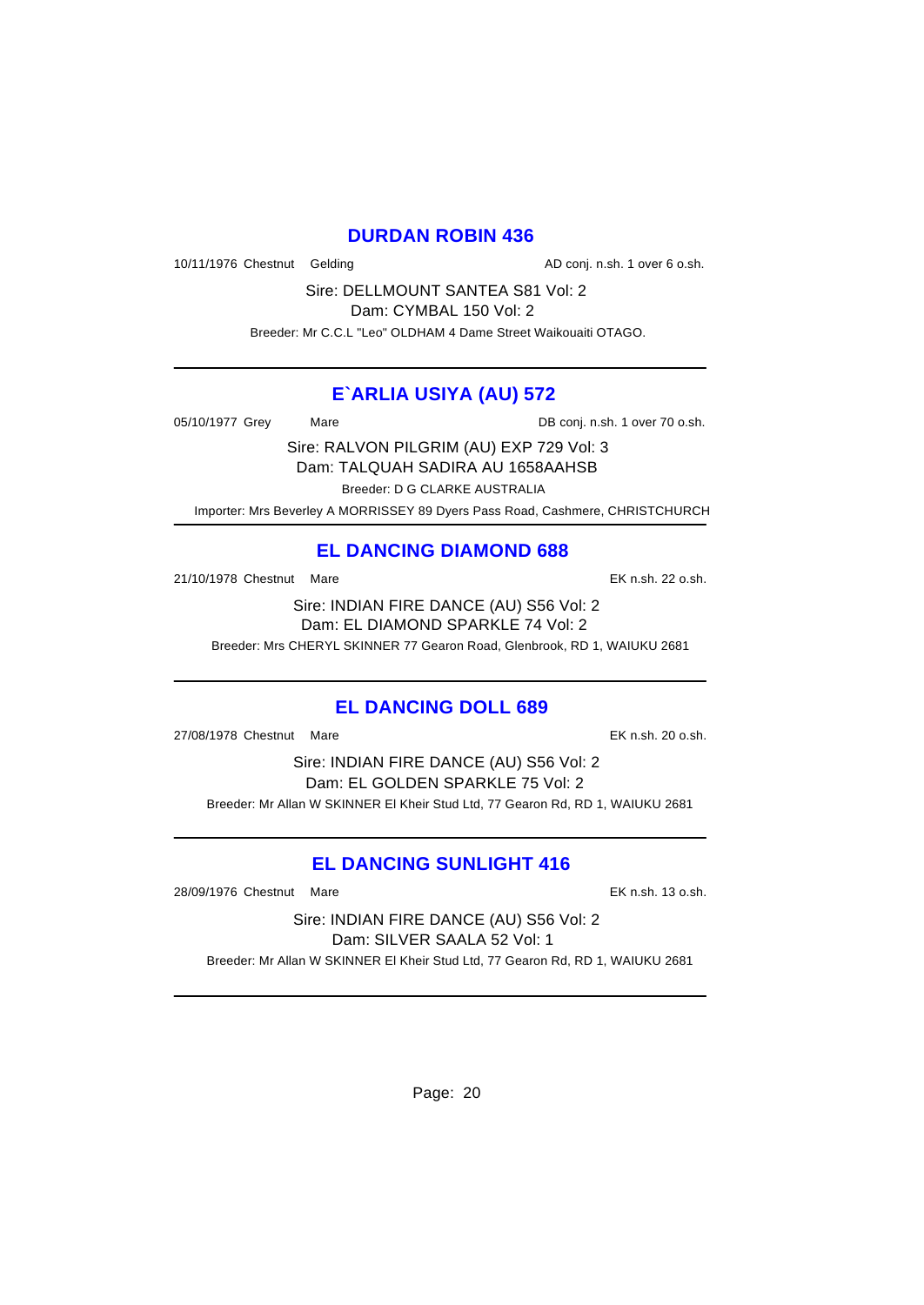# **DURDAN ROBIN 436**

10/11/1976 Chestnut Gelding and and the AD conj. n.sh. 1 over 6 o.sh.

Sire: DELLMOUNT SANTEA S81 Vol: 2

Dam: CYMBAL 150 Vol: 2

Breeder: Mr C.C.L "Leo" OLDHAM 4 Dame Street Waikouaiti OTAGO.

# **E`ARLIA USIYA (AU) 572**

05/10/1977 Grey Mare Mare DB conj. n.sh. 1 over 70 o.sh.

Sire: RALVON PILGRIM (AU) EXP 729 Vol: 3 Dam: TALQUAH SADIRA AU 1658AAHSB Breeder: D G CLARKE AUSTRALIA

Importer: Mrs Beverley A MORRISSEY 89 Dyers Pass Road, Cashmere, CHRISTCHURCH

# **EL DANCING DIAMOND 688**

21/10/1978 Chestnut Mare EK n.sh. 22 o.sh.

Sire: INDIAN FIRE DANCE (AU) S56 Vol: 2 Dam: EL DIAMOND SPARKLE 74 Vol: 2

Breeder: Mrs CHERYL SKINNER 77 Gearon Road, Glenbrook, RD 1, WAIUKU 2681

# **EL DANCING DOLL 689**

27/08/1978 Chestnut Mare EK n.sh. 20 o.sh.

Sire: INDIAN FIRE DANCE (AU) S56 Vol: 2 Dam: EL GOLDEN SPARKLE 75 Vol: 2 Breeder: Mr Allan W SKINNER El Kheir Stud Ltd, 77 Gearon Rd, RD 1, WAIUKU 2681

# **EL DANCING SUNLIGHT 416**

28/09/1976 Chestnut Mare EK n.sh. 13 o.sh.

Sire: INDIAN FIRE DANCE (AU) S56 Vol: 2 Dam: SILVER SAALA 52 Vol: 1 Breeder: Mr Allan W SKINNER El Kheir Stud Ltd, 77 Gearon Rd, RD 1, WAIUKU 2681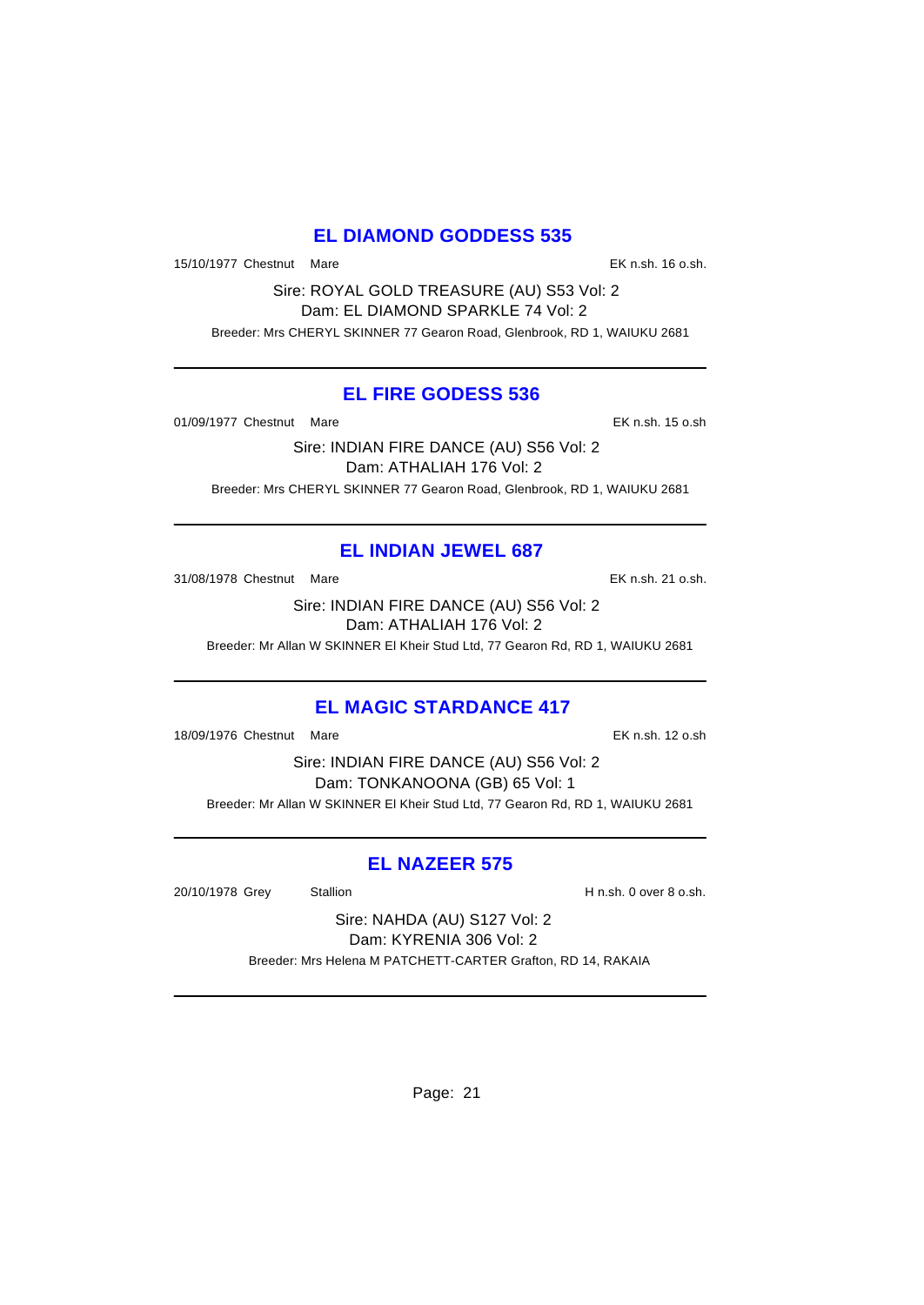# **EL DIAMOND GODDESS 535**

15/10/1977 Chestnut Mare EK n.sh. 16 o.sh.

Sire: ROYAL GOLD TREASURE (AU) S53 Vol: 2 Dam: EL DIAMOND SPARKLE 74 Vol: 2 Breeder: Mrs CHERYL SKINNER 77 Gearon Road, Glenbrook, RD 1, WAIUKU 2681

# **EL FIRE GODESS 536**

01/09/1977 Chestnut Mare **EX n.sh.** 15 o.sh

Sire: INDIAN FIRE DANCE (AU) S56 Vol: 2 Dam: ATHALIAH 176 Vol: 2 Breeder: Mrs CHERYL SKINNER 77 Gearon Road, Glenbrook, RD 1, WAIUKU 2681

# **EL INDIAN JEWEL 687**

31/08/1978 Chestnut Mare EK n.sh. 21 o.sh.

Sire: INDIAN FIRE DANCE (AU) S56 Vol: 2 Dam: ATHALIAH 176 Vol: 2

Breeder: Mr Allan W SKINNER El Kheir Stud Ltd, 77 Gearon Rd, RD 1, WAIUKU 2681

# **EL MAGIC STARDANCE 417**

18/09/1976 Chestnut Mare EK n.sh. 12 o.sh

Sire: INDIAN FIRE DANCE (AU) S56 Vol: 2 Dam: TONKANOONA (GB) 65 Vol: 1 Breeder: Mr Allan W SKINNER El Kheir Stud Ltd, 77 Gearon Rd, RD 1, WAIUKU 2681

# **EL NAZEER 575**

20/10/1978 Grey Stallion H n.sh. 0 over 8 o.sh.

Sire: NAHDA (AU) S127 Vol: 2 Dam: KYRENIA 306 Vol: 2 Breeder: Mrs Helena M PATCHETT-CARTER Grafton, RD 14, RAKAIA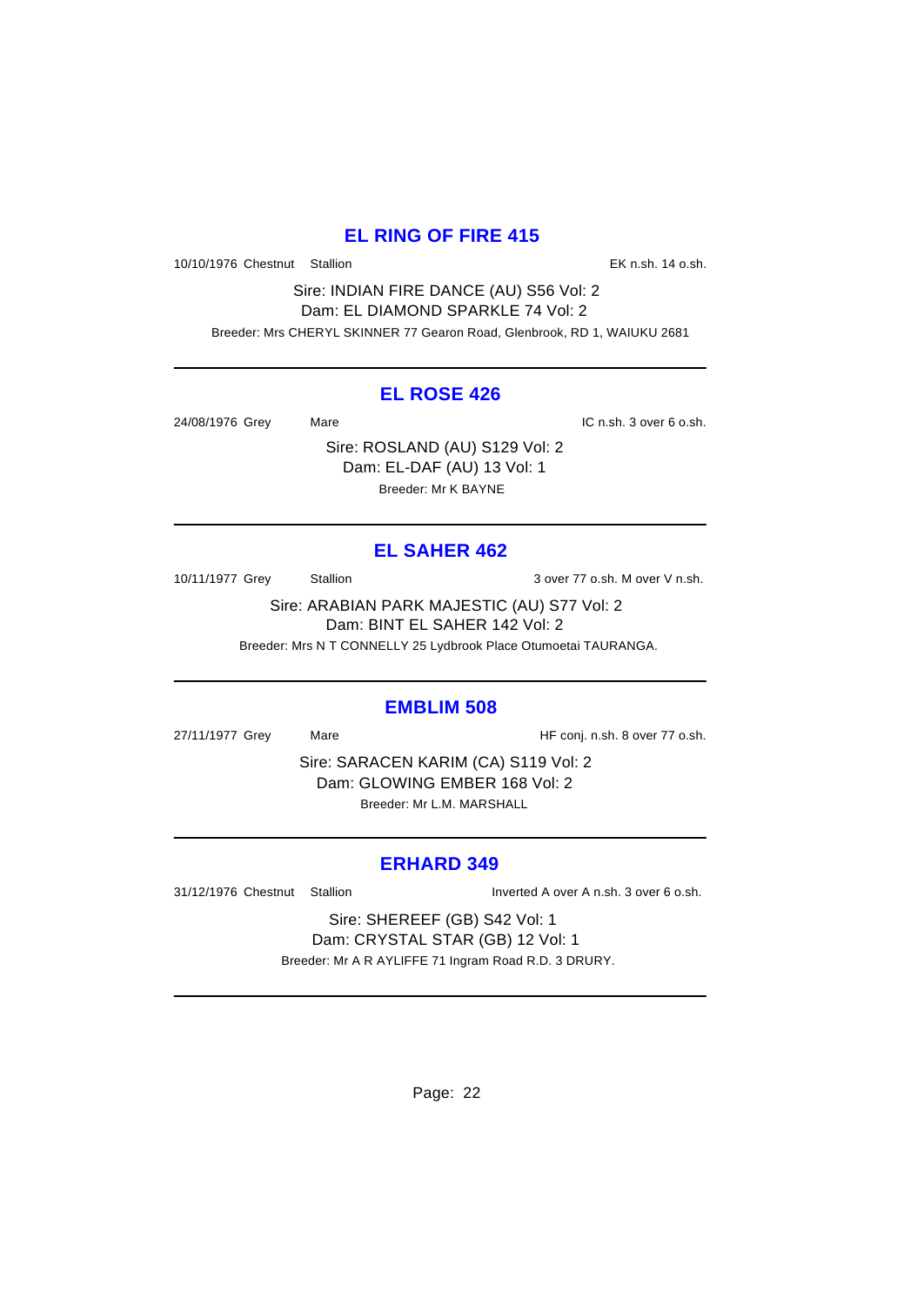# **EL RING OF FIRE 415**

10/10/1976 Chestnut Stallion EK n.sh. 14 o.sh.

Sire: INDIAN FIRE DANCE (AU) S56 Vol: 2 Dam: EL DIAMOND SPARKLE 74 Vol: 2 Breeder: Mrs CHERYL SKINNER 77 Gearon Road, Glenbrook, RD 1, WAIUKU 2681

# **EL ROSE 426**

24/08/1976 Grey Mare Mare IC n.sh. 3 over 6 o.sh.

Sire: ROSLAND (AU) S129 Vol: 2 Dam: EL-DAF (AU) 13 Vol: 1 Breeder: Mr K BAYNE

# **EL SAHER 462**

10/11/1977 Grey Stallion 3 over 77 o.sh. M over V n.sh.

Sire: ARABIAN PARK MAJESTIC (AU) S77 Vol: 2 Dam: BINT EL SAHER 142 Vol: 2

Breeder: Mrs N T CONNELLY 25 Lydbrook Place Otumoetai TAURANGA.

# **EMBLIM 508**

27/11/1977 Grey Mare Mare HF conj. n.sh. 8 over 77 o.sh.

Sire: SARACEN KARIM (CA) S119 Vol: 2 Dam: GLOWING EMBER 168 Vol: 2 Breeder: Mr L.M. MARSHALL

# **ERHARD 349**

31/12/1976 Chestnut Stallion Inverted A over A n.sh. 3 over 6 o.sh.

Sire: SHEREEF (GB) S42 Vol: 1 Dam: CRYSTAL STAR (GB) 12 Vol: 1 Breeder: Mr A R AYLIFFE 71 Ingram Road R.D. 3 DRURY.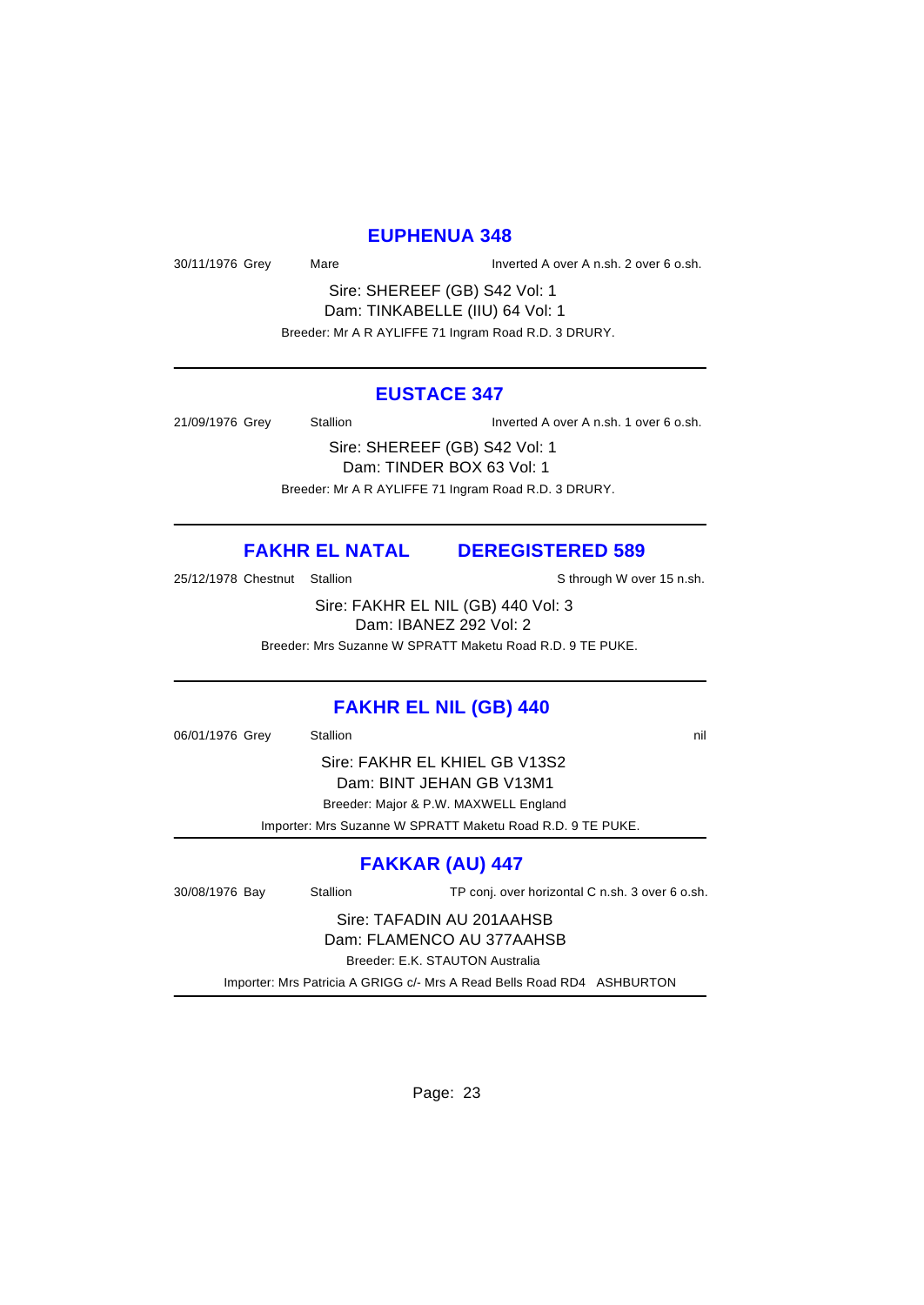#### **EUPHENUA 348**

30/11/1976 Grey Mare Mare Inverted A over A n.sh. 2 over 6 o.sh.

Sire: SHEREEF (GB) S42 Vol: 1 Dam: TINKABELLE (IIU) 64 Vol: 1 Breeder: Mr A R AYLIFFE 71 Ingram Road R.D. 3 DRURY.

#### **EUSTACE 347**

21/09/1976 Grey Stallion Inverted A over A n.sh. 1 over 6 o.sh.

Sire: SHEREEF (GB) S42 Vol: 1 Dam: TINDER BOX 63 Vol: 1 Breeder: Mr A R AYLIFFE 71 Ingram Road R.D. 3 DRURY.

# **FAKHR EL NATAL DEREGISTERED 589**

25/12/1978 Chestnut Stallion Supervisor States States States States States States States States States States

Sire: FAKHR EL NIL (GB) 440 Vol: 3 Dam: IBANEZ 292 Vol: 2

Breeder: Mrs Suzanne W SPRATT Maketu Road R.D. 9 TE PUKE.

# **FAKHR EL NIL (GB) 440**

06/01/1976 Grey Stallion 3. Stallion 3. The State of the State of the State of the State of the State of the State of the State of the State of the State of the State of the State of the State of the State of the State of

Sire: FAKHR EL KHIEL GB V13S2 Dam: BINT JEHAN GB V13M1 Breeder: Major & P.W. MAXWELL England

Importer: Mrs Suzanne W SPRATT Maketu Road R.D. 9 TE PUKE.

# **FAKKAR (AU) 447**

30/08/1976 Bay Stallion TP conj. over horizontal C n.sh. 3 over 6 o.sh.

Sire: TAFADIN AU 201AAHSB Dam: FLAMENCO AU 377AAHSB

Breeder: E.K. STAUTON Australia

Importer: Mrs Patricia A GRIGG c/- Mrs A Read Bells Road RD4 ASHBURTON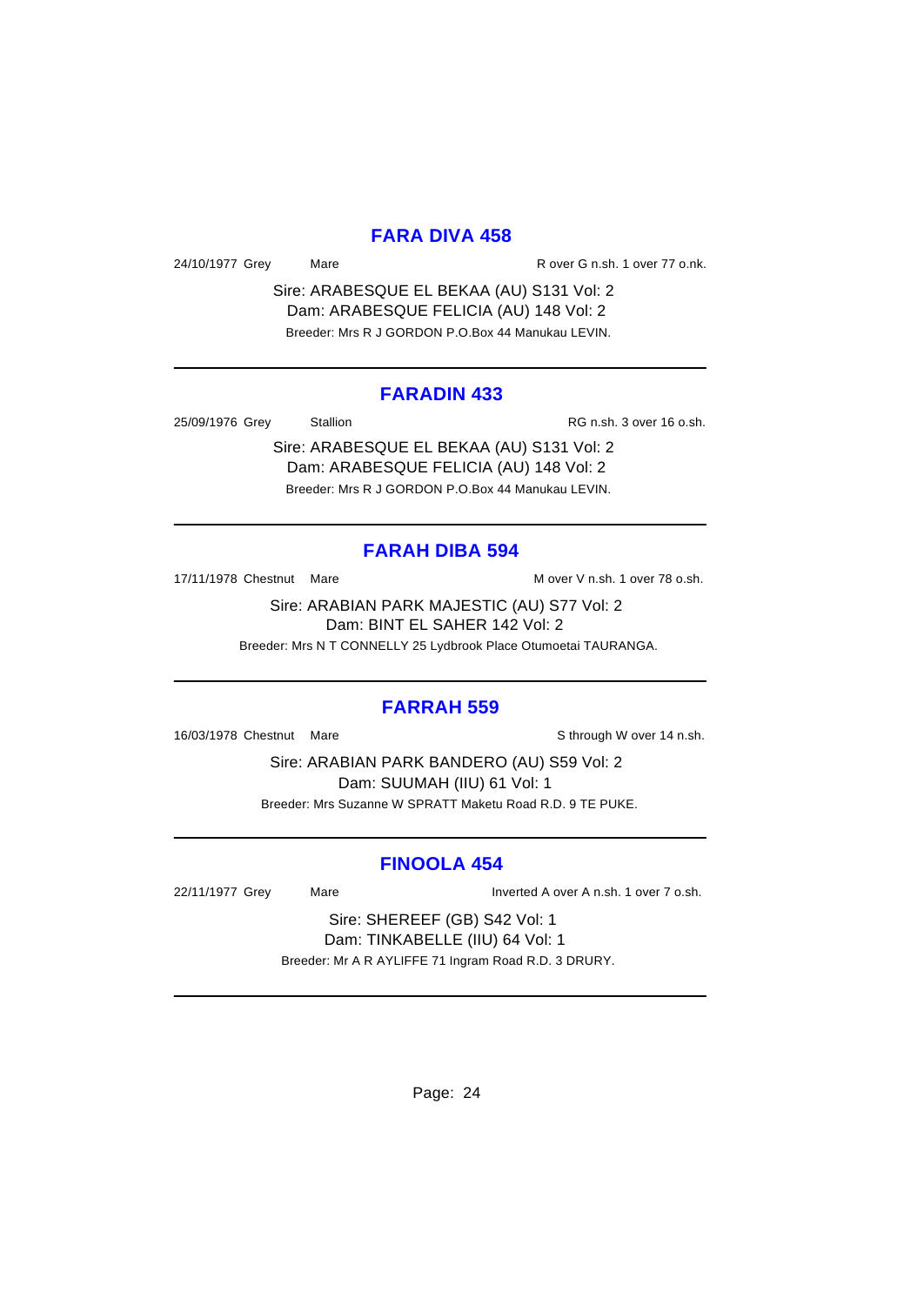# **FARA DIVA 458**

24/10/1977 Grey Mare Mare R over G n.sh. 1 over 77 o.nk.

Sire: ARABESQUE EL BEKAA (AU) S131 Vol: 2 Dam: ARABESQUE FELICIA (AU) 148 Vol: 2 Breeder: Mrs R J GORDON P.O.Box 44 Manukau LEVIN.

#### **FARADIN 433**

25/09/1976 Grey Stallion RG n.sh. 3 over 16 o.sh.

Sire: ARABESQUE EL BEKAA (AU) S131 Vol: 2 Dam: ARABESQUE FELICIA (AU) 148 Vol: 2

Breeder: Mrs R J GORDON P.O.Box 44 Manukau LEVIN.

# **FARAH DIBA 594**

17/11/1978 Chestnut Mare M over V n.sh. 1 over 78 o.sh.

Sire: ARABIAN PARK MAJESTIC (AU) S77 Vol: 2 Dam: BINT EL SAHER 142 Vol: 2 Breeder: Mrs N T CONNELLY 25 Lydbrook Place Otumoetai TAURANGA.

# **FARRAH 559**

16/03/1978 Chestnut Mare Show Sthrough W over 14 n.sh.

Sire: ARABIAN PARK BANDERO (AU) S59 Vol: 2 Dam: SUUMAH (IIU) 61 Vol: 1 Breeder: Mrs Suzanne W SPRATT Maketu Road R.D. 9 TE PUKE.

# **FINOOLA 454**

22/11/1977 Grey Mare Inverted A over A n.sh. 1 over 7 o.sh.

Sire: SHEREEF (GB) S42 Vol: 1 Dam: TINKABELLE (IIU) 64 Vol: 1 Breeder: Mr A R AYLIFFE 71 Ingram Road R.D. 3 DRURY.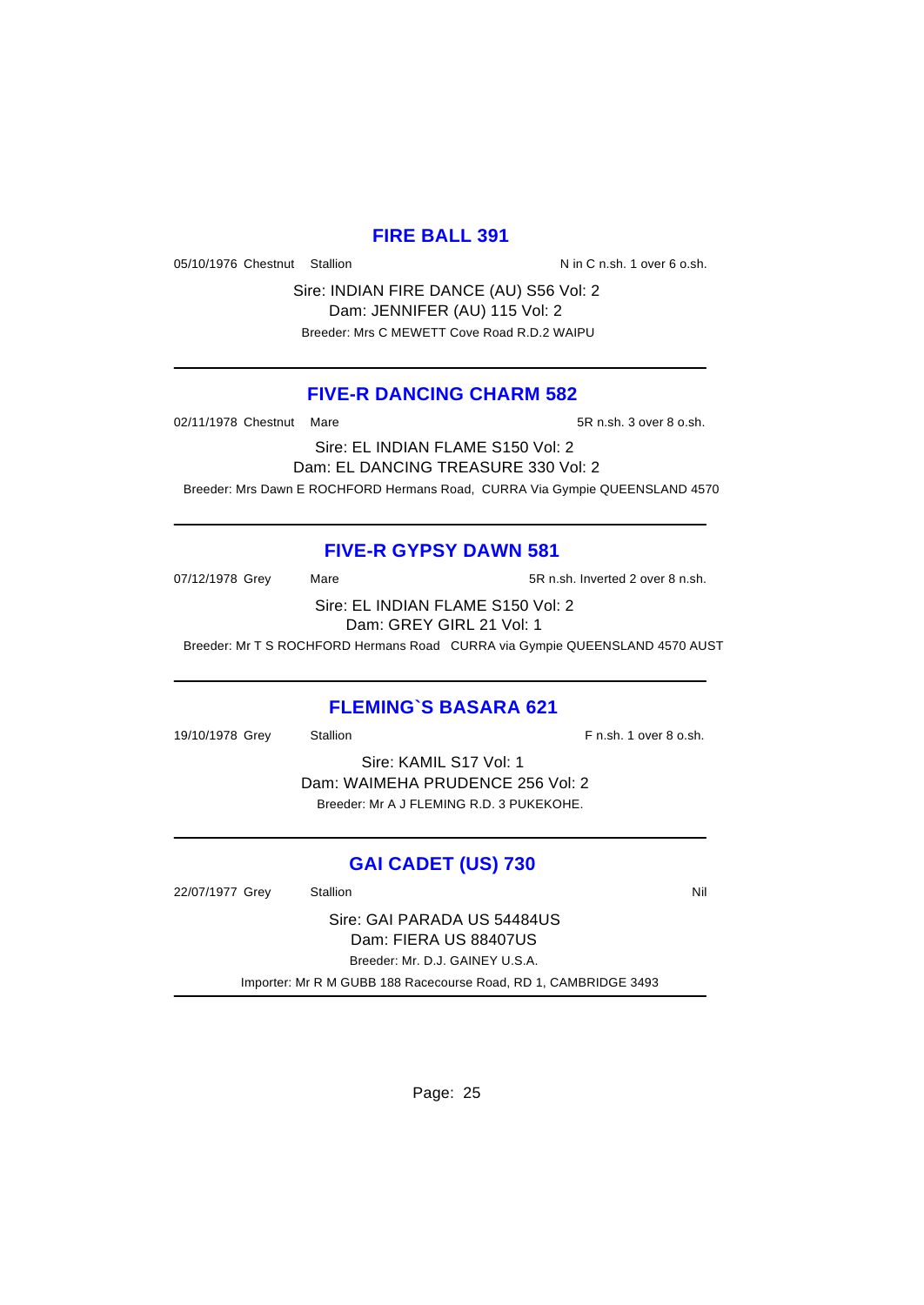# **FIRE BALL 391**

05/10/1976 Chestnut Stallion Nin C n.sh. 1 over 6 o.sh.

Sire: INDIAN FIRE DANCE (AU) S56 Vol: 2 Dam: JENNIFER (AU) 115 Vol: 2 Breeder: Mrs C MEWETT Cove Road R.D.2 WAIPU

# **FIVE-R DANCING CHARM 582**

02/11/1978 Chestnut Mare 5R n.sh. 3 over 8 o.sh.

Sire: EL INDIAN FLAME S150 Vol: 2 Dam: EL DANCING TREASURE 330 Vol: 2 Breeder: Mrs Dawn E ROCHFORD Hermans Road, CURRA Via Gympie QUEENSLAND 4570

# **FIVE-R GYPSY DAWN 581**

07/12/1978 Grey Mare Mare 5R n.sh. Inverted 2 over 8 n.sh. Sire: EL INDIAN FLAME S150 Vol: 2 Dam: GREY GIRL 21 Vol: 1

Breeder: Mr T S ROCHFORD Hermans Road CURRA via Gympie QUEENSLAND 4570 AUST

# **FLEMING`S BASARA 621**

19/10/1978 Grey Stallion F n.sh. 1 over 8 o.sh. Sire: KAMIL S17 Vol: 1 Dam: WAIMEHA PRUDENCE 256 Vol: 2 Breeder: Mr A J FLEMING R.D. 3 PUKEKOHE.

# **GAI CADET (US) 730**

22/07/1977 Grey Stallion Stallion Nil Sire: GAI PARADA US 54484US Dam: FIERA US 88407US Breeder: Mr. D.J. GAINEY U.S.A. Importer: Mr R M GUBB 188 Racecourse Road, RD 1, CAMBRIDGE 3493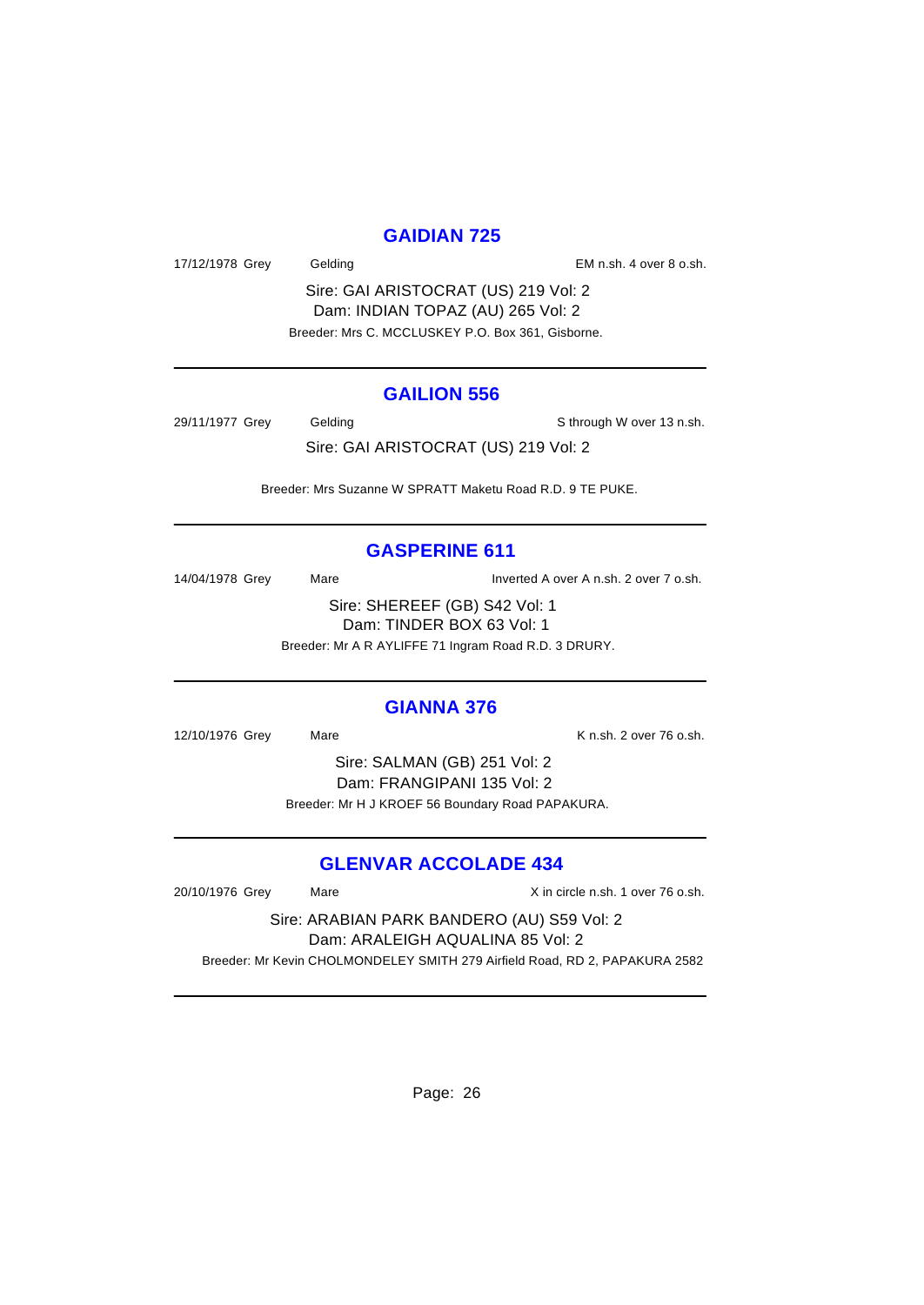# **GAIDIAN 725**

17/12/1978 Grey Gelding Gelding Controller Material Control Control Control Control Control Control Control Control Control Control Control Control Control Control Control Control Control Control Control Control Control Co

Sire: GAI ARISTOCRAT (US) 219 Vol: 2 Dam: INDIAN TOPAZ (AU) 265 Vol: 2 Breeder: Mrs C. MCCLUSKEY P.O. Box 361, Gisborne.

#### **GAILION 556**

29/11/1977 Grey Gelding School and Sthrough W over 13 n.sh.

Sire: GAI ARISTOCRAT (US) 219 Vol: 2

Breeder: Mrs Suzanne W SPRATT Maketu Road R.D. 9 TE PUKE.

# **GASPERINE 611**

14/04/1978 Grey Mare Mare Inverted A over A n.sh. 2 over 7 o.sh. Sire: SHEREEF (GB) S42 Vol: 1

Dam: TINDER BOX 63 Vol: 1

Breeder: Mr A R AYLIFFE 71 Ingram Road R.D. 3 DRURY.

# **GIANNA 376**

12/10/1976 Grey Mare Mare K n.sh. 2 over 76 o.sh.

Sire: SALMAN (GB) 251 Vol: 2 Dam: FRANGIPANI 135 Vol: 2 Breeder: Mr H J KROEF 56 Boundary Road PAPAKURA.

# **GLENVAR ACCOLADE 434**

20/10/1976 Grey Mare X in circle n.sh. 1 over 76 o.sh. Sire: ARABIAN PARK BANDERO (AU) S59 Vol: 2 Dam: ARALEIGH AQUALINA 85 Vol: 2 Breeder: Mr Kevin CHOLMONDELEY SMITH 279 Airfield Road, RD 2, PAPAKURA 2582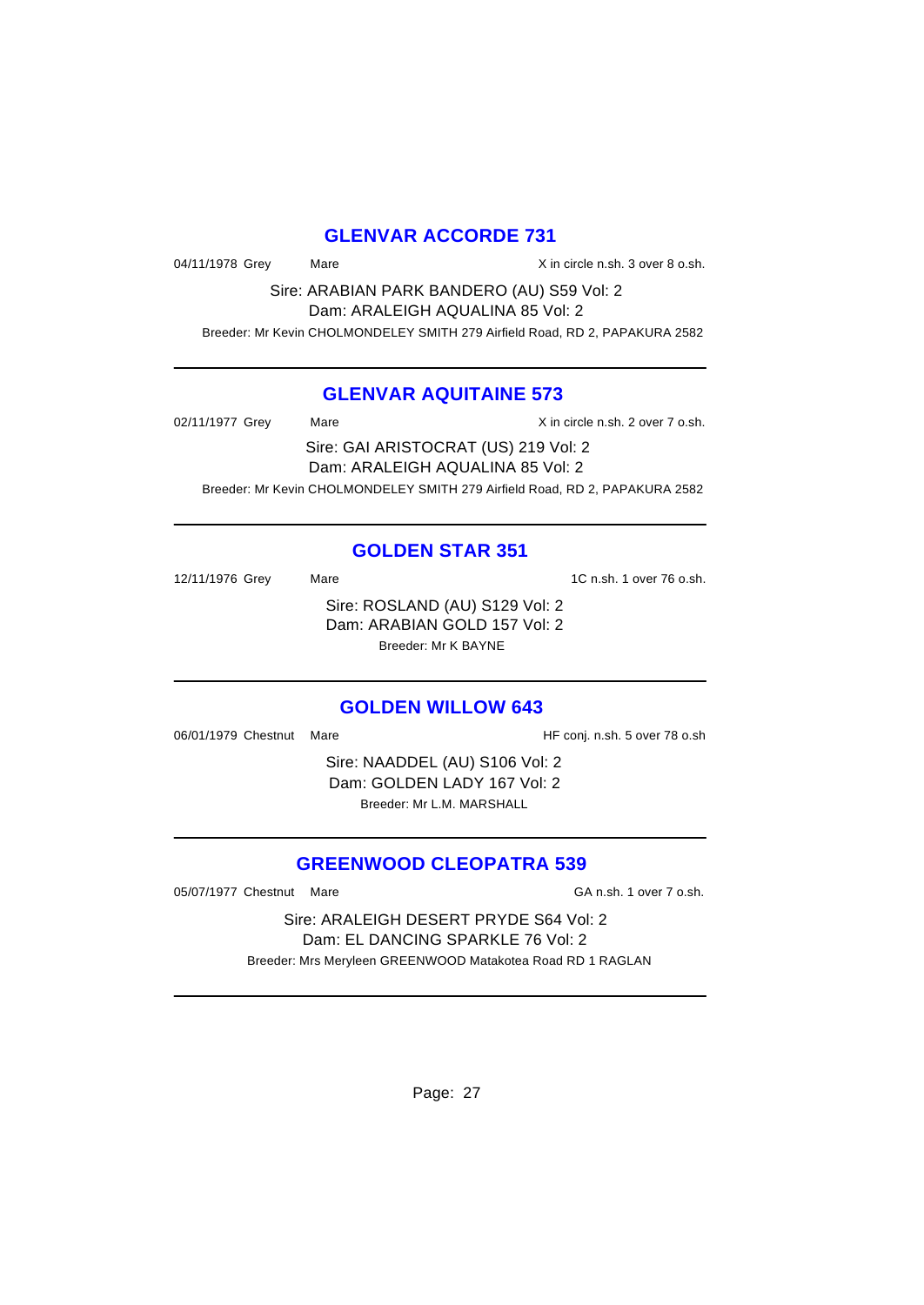# **GLENVAR ACCORDE 731**

04/11/1978 Grey Mare Mare X in circle n.sh. 3 over 8 o.sh.

Sire: ARABIAN PARK BANDERO (AU) S59 Vol: 2 Dam: ARALEIGH AQUALINA 85 Vol: 2 Breeder: Mr Kevin CHOLMONDELEY SMITH 279 Airfield Road, RD 2, PAPAKURA 2582

# **GLENVAR AQUITAINE 573**

02/11/1977 Grey Mare Mare X in circle n.sh. 2 over 7 o.sh. Sire: GAI ARISTOCRAT (US) 219 Vol: 2 Dam: ARALEIGH AQUALINA 85 Vol: 2 Breeder: Mr Kevin CHOLMONDELEY SMITH 279 Airfield Road, RD 2, PAPAKURA 2582

# **GOLDEN STAR 351**

12/11/1976 Grey Mare 12/11/1976 Grey Mare 12.11/1976 O.sh. Sire: ROSLAND (AU) S129 Vol: 2 Dam: ARABIAN GOLD 157 Vol: 2 Breeder: Mr K BAYNE

#### **GOLDEN WILLOW 643**

06/01/1979 Chestnut Mare **HF** conj. n.sh. 5 over 78 o.sh

Sire: NAADDEL (AU) S106 Vol: 2 Dam: GOLDEN LADY 167 Vol: 2 Breeder: Mr L.M. MARSHALL

# **GREENWOOD CLEOPATRA 539**

05/07/1977 Chestnut Mare GA n.sh. 1 over 7 o.sh.

Sire: ARALEIGH DESERT PRYDE S64 Vol: 2 Dam: EL DANCING SPARKLE 76 Vol: 2 Breeder: Mrs Meryleen GREENWOOD Matakotea Road RD 1 RAGLAN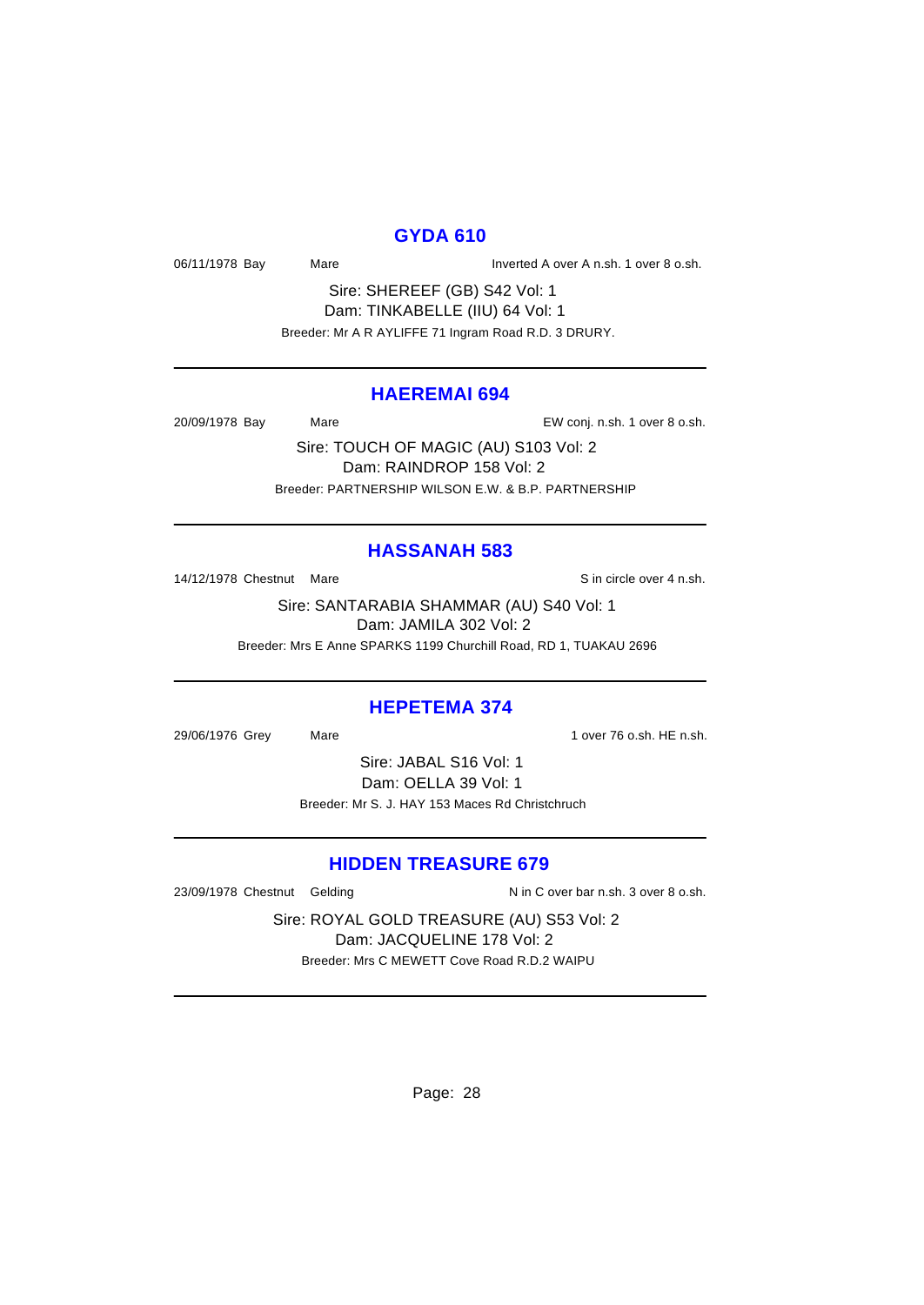# **GYDA 610**

06/11/1978 Bay Mare Mare Inverted A over A n.sh. 1 over 8 o.sh.

Sire: SHEREEF (GB) S42 Vol: 1 Dam: TINKABELLE (IIU) 64 Vol: 1 Breeder: Mr A R AYLIFFE 71 Ingram Road R.D. 3 DRURY.

#### **HAEREMAI 694**

20/09/1978 Bay Mare EW conj. n.sh. 1 over 8 o.sh.

Sire: TOUCH OF MAGIC (AU) S103 Vol: 2 Dam: RAINDROP 158 Vol: 2 Breeder: PARTNERSHIP WILSON E.W. & B.P. PARTNERSHIP

# **HASSANAH 583**

14/12/1978 Chestnut Mare Sin circle over 4 n.sh.

Sire: SANTARABIA SHAMMAR (AU) S40 Vol: 1 Dam: JAMILA 302 Vol: 2 Breeder: Mrs E Anne SPARKS 1199 Churchill Road, RD 1, TUAKAU 2696

#### **HEPETEMA 374**

29/06/1976 Grey Mare 1 over 76 o.sh. HE n.sh.

Sire: JABAL S16 Vol: 1 Dam: OELLA 39 Vol: 1 Breeder: Mr S. J. HAY 153 Maces Rd Christchruch

# **HIDDEN TREASURE 679**

23/09/1978 Chestnut Gelding N in C over bar n.sh. 3 over 8 o.sh.

Sire: ROYAL GOLD TREASURE (AU) S53 Vol: 2 Dam: JACQUELINE 178 Vol: 2 Breeder: Mrs C MEWETT Cove Road R.D.2 WAIPU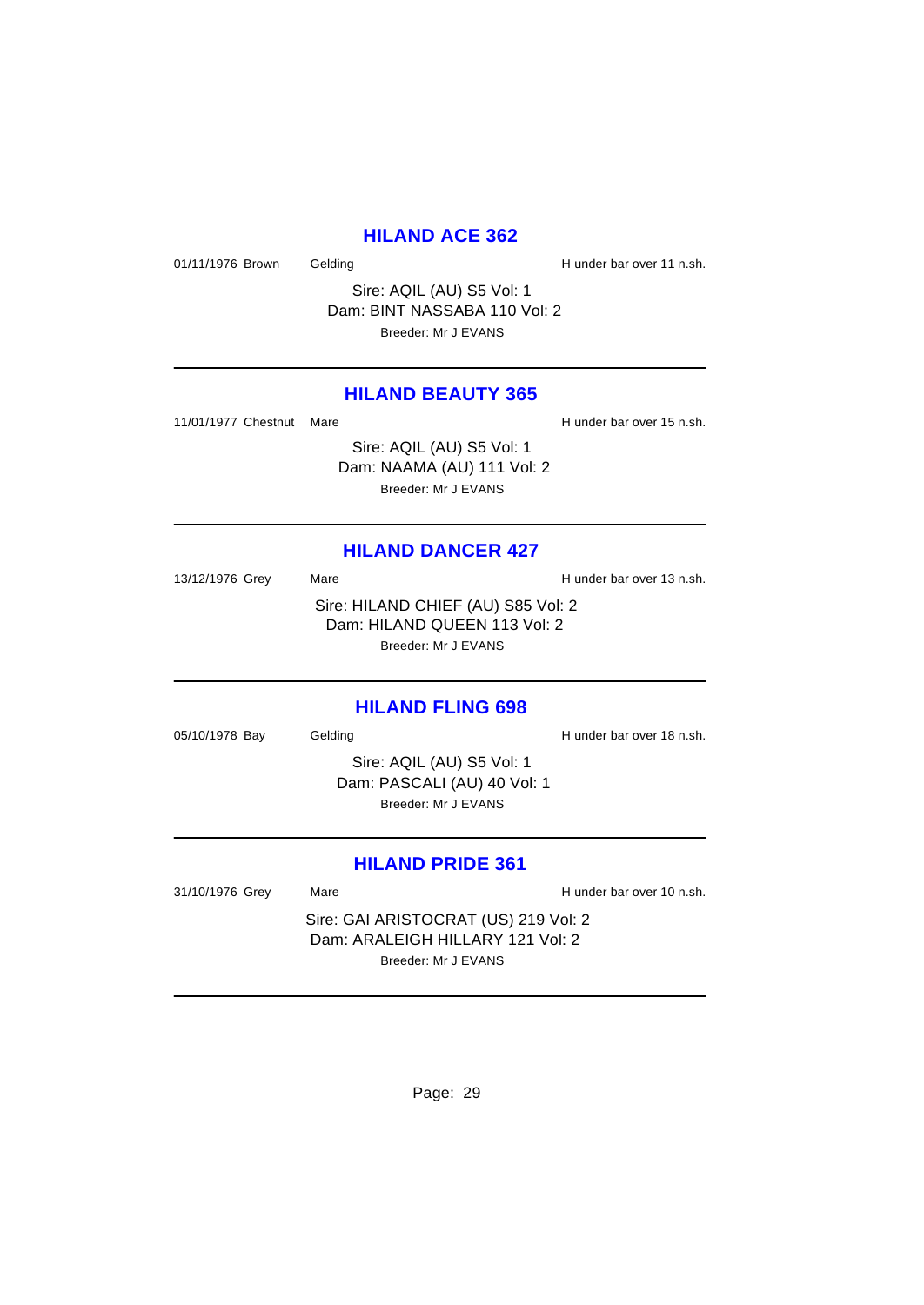# **HILAND ACE 362**

01/11/1976 Brown Gelding Gelding H under bar over 11 n.sh.

Sire: AQIL (AU) S5 Vol: 1 Dam: BINT NASSABA 110 Vol: 2 Breeder: Mr J EVANS

# **HILAND BEAUTY 365**

11/01/1977 Chestnut Mare **H** under bar over 15 n.sh.

Sire: AQIL (AU) S5 Vol: 1 Dam: NAAMA (AU) 111 Vol: 2 Breeder: Mr J EVANS

# **HILAND DANCER 427**

13/12/1976 Grey Mare Mare H under bar over 13 n.sh. Sire: HILAND CHIEF (AU) S85 Vol: 2 Dam: HILAND QUEEN 113 Vol: 2 Breeder: Mr J EVANS

#### **HILAND FLING 698**

05/10/1978 Bay Gelding Gelding H under bar over 18 n.sh.

Sire: AQIL (AU) S5 Vol: 1 Dam: PASCALI (AU) 40 Vol: 1 Breeder: Mr J EVANS

# **HILAND PRIDE 361**

31/10/1976 Grey Mare Mare H under bar over 10 n.sh.

Sire: GAI ARISTOCRAT (US) 219 Vol: 2 Dam: ARALEIGH HILLARY 121 Vol: 2 Breeder: Mr J EVANS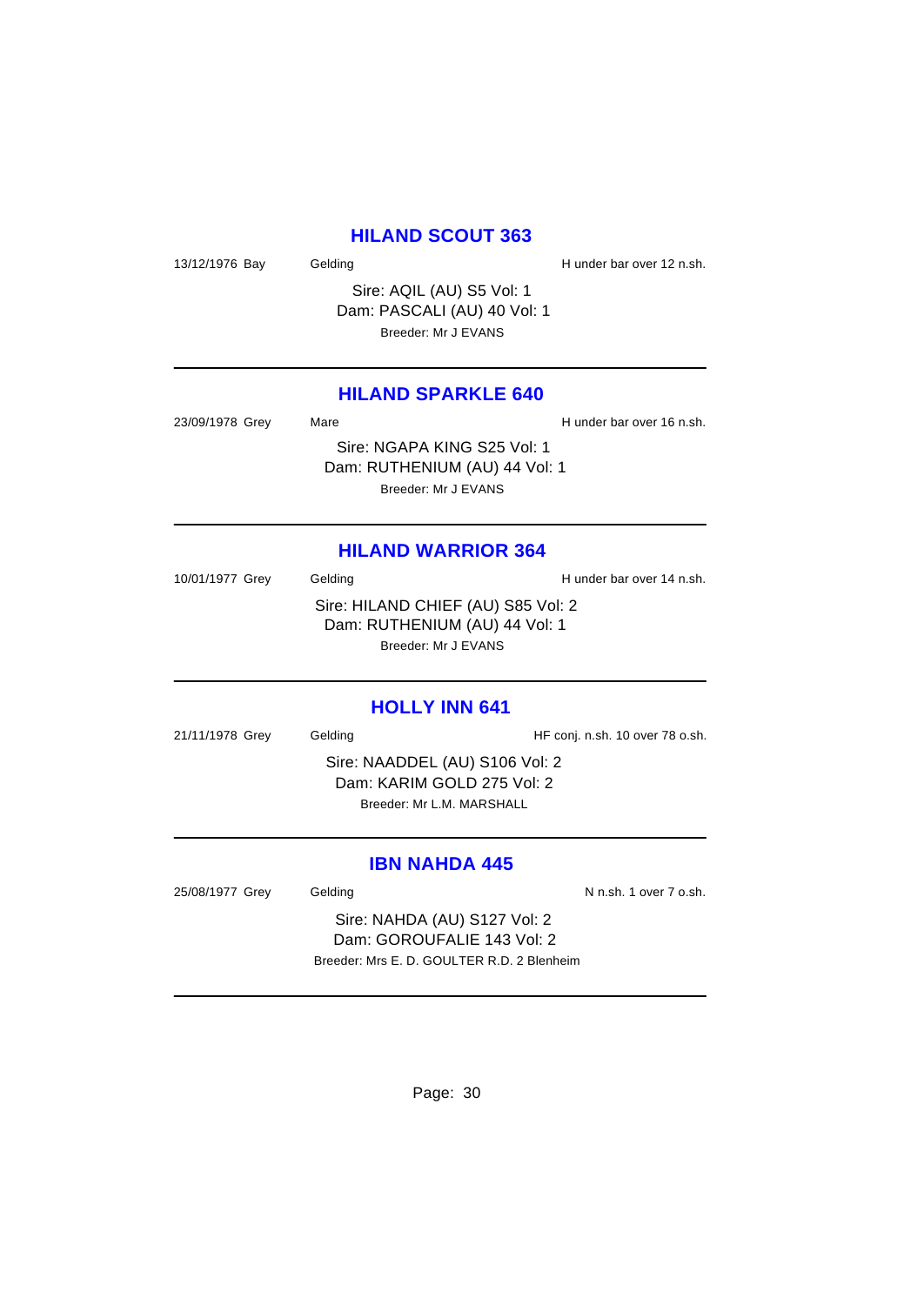# **HILAND SCOUT 363**

13/12/1976 Bay Gelding Gelding H under bar over 12 n.sh.

Sire: AQIL (AU) S5 Vol: 1 Dam: PASCALI (AU) 40 Vol: 1 Breeder: Mr J EVANS

# **HILAND SPARKLE 640**

23/09/1978 Grey Mare Mare H under bar over 16 n.sh. Sire: NGAPA KING S25 Vol: 1 Dam: RUTHENIUM (AU) 44 Vol: 1 Breeder: Mr J EVANS

# **HILAND WARRIOR 364**

10/01/1977 Grey Gelding Gelding H under bar over 14 n.sh. Sire: HILAND CHIEF (AU) S85 Vol: 2 Dam: RUTHENIUM (AU) 44 Vol: 1 Breeder: Mr J EVANS

#### **HOLLY INN 641**

21/11/1978 Grey Gelding Gelding HF conj. n.sh. 10 over 78 o.sh. Sire: NAADDEL (AU) S106 Vol: 2 Dam: KARIM GOLD 275 Vol: 2 Breeder: Mr L.M. MARSHALL

# **IBN NAHDA 445**

25/08/1977 Grey Gelding Cash. 1 over 7 o.sh.

Sire: NAHDA (AU) S127 Vol: 2 Dam: GOROUFALIE 143 Vol: 2 Breeder: Mrs E. D. GOULTER R.D. 2 Blenheim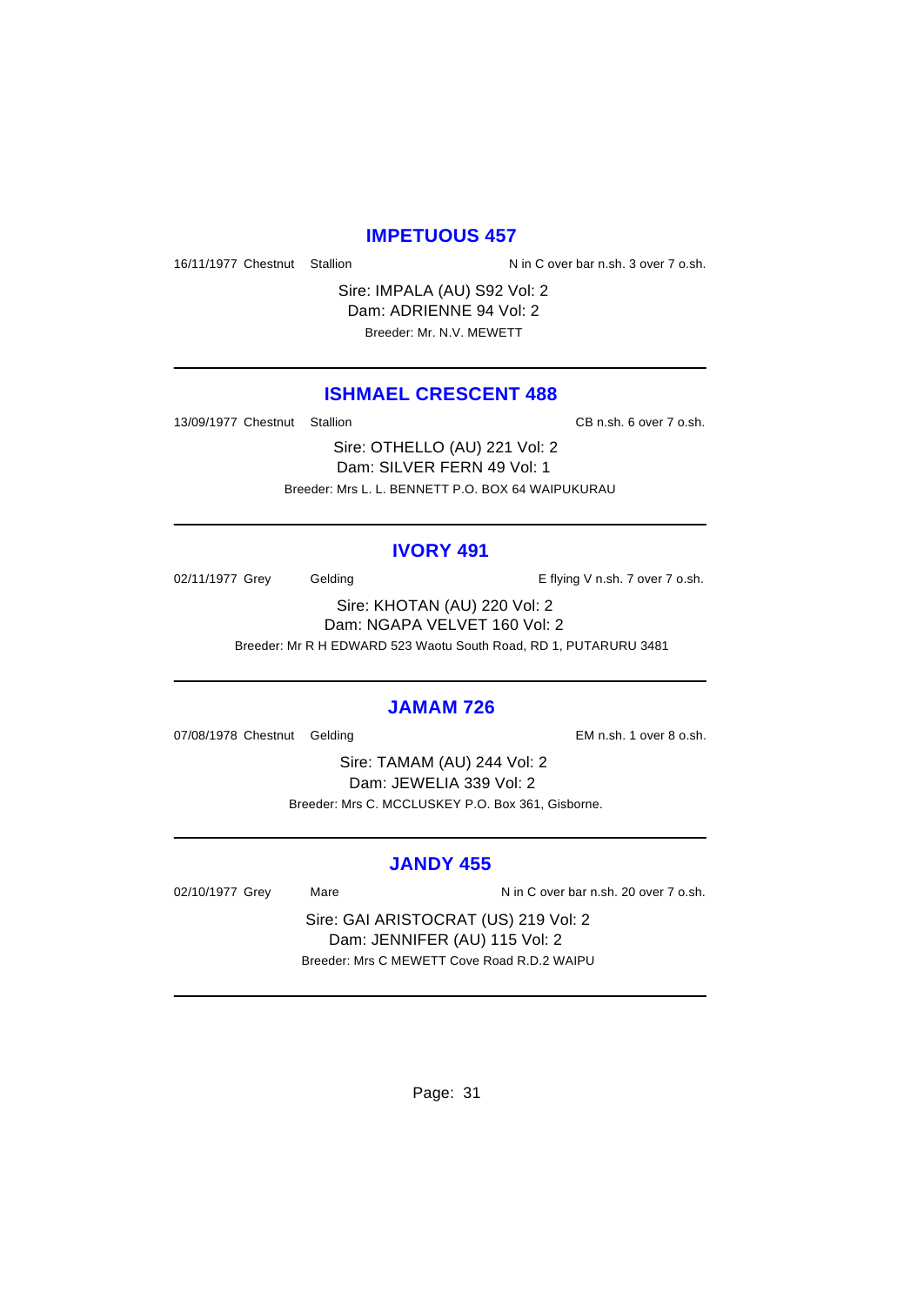# **IMPETUOUS 457**

16/11/1977 Chestnut Stallion Nin C over bar n.sh. 3 over 7 o.sh.

Sire: IMPALA (AU) S92 Vol: 2 Dam: ADRIENNE 94 Vol: 2 Breeder: Mr. N.V. MEWETT

# **ISHMAEL CRESCENT 488**

13/09/1977 Chestnut Stallion CB n.sh. 6 over 7 o.sh.

Sire: OTHELLO (AU) 221 Vol: 2 Dam: SILVER FERN 49 Vol: 1 Breeder: Mrs L. L. BENNETT P.O. BOX 64 WAIPUKURAU

#### **IVORY 491**

02/11/1977 Grey Gelding Contact Contact Contact Contact Contact Contact Contact Contact Contact Contact Contact Contact Contact Contact Contact Contact Contact Contact Contact Contact Contact Contact Contact Contact Contac

Sire: KHOTAN (AU) 220 Vol: 2 Dam: NGAPA VELVET 160 Vol: 2 Breeder: Mr R H EDWARD 523 Waotu South Road, RD 1, PUTARURU 3481

#### **JAMAM 726**

07/08/1978 Chestnut Gelding EM n.sh. 1 over 8 o.sh.

Sire: TAMAM (AU) 244 Vol: 2 Dam: JEWELIA 339 Vol: 2 Breeder: Mrs C. MCCLUSKEY P.O. Box 361, Gisborne.

# **JANDY 455**

02/10/1977 Grey Mare Mare N in C over bar n.sh. 20 over 7 o.sh.

Sire: GAI ARISTOCRAT (US) 219 Vol: 2 Dam: JENNIFER (AU) 115 Vol: 2 Breeder: Mrs C MEWETT Cove Road R.D.2 WAIPU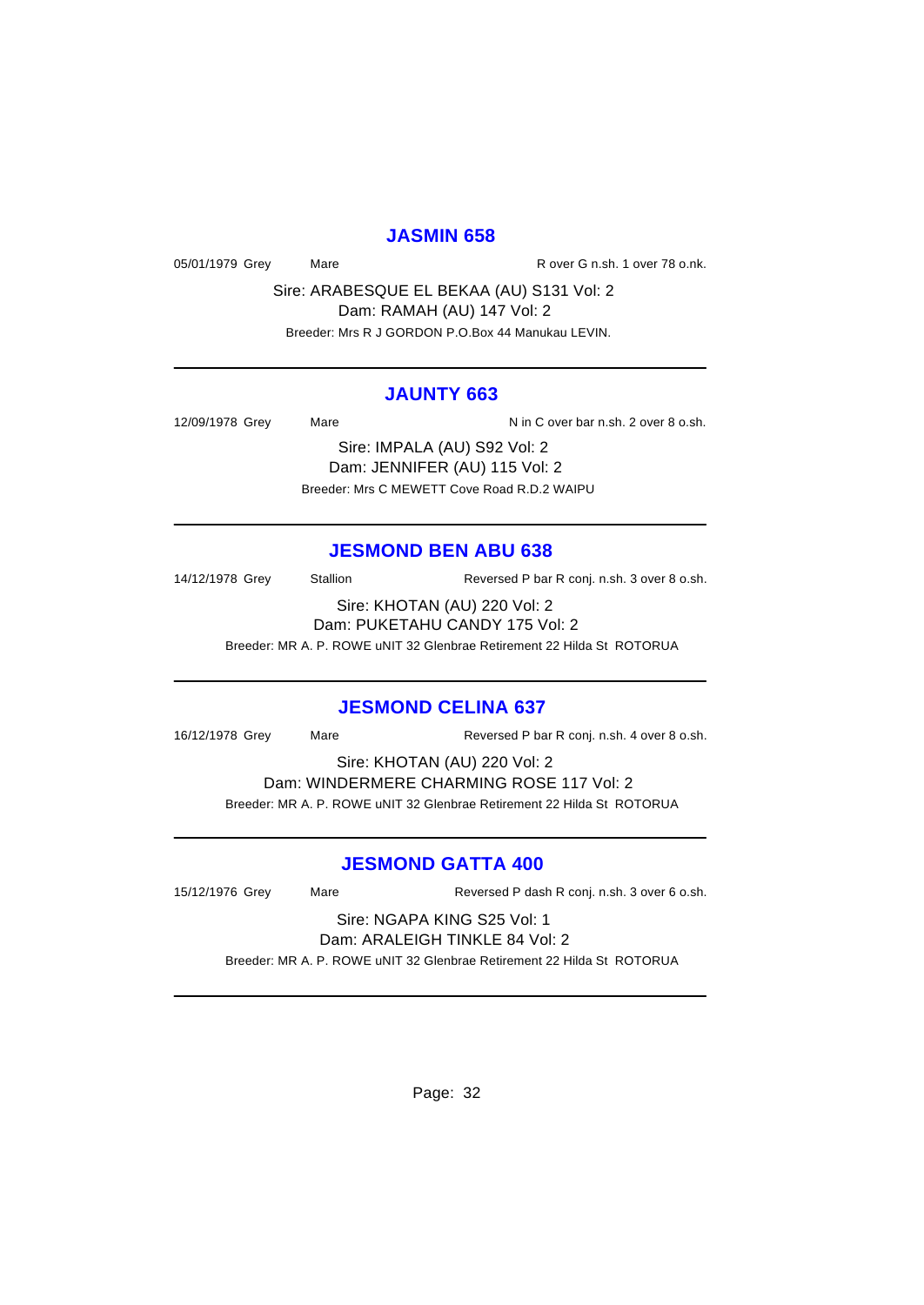# **JASMIN 658**

05/01/1979 Grey Mare Mare R over G n.sh. 1 over 78 o.nk.

Sire: ARABESQUE EL BEKAA (AU) S131 Vol: 2 Dam: RAMAH (AU) 147 Vol: 2 Breeder: Mrs R J GORDON P.O.Box 44 Manukau LEVIN.

# **JAUNTY 663**

12/09/1978 Grey Mare National Assembly N in C over bar n.sh. 2 over 8 o.sh. Sire: IMPALA (AU) S92 Vol: 2 Dam: JENNIFER (AU) 115 Vol: 2 Breeder: Mrs C MEWETT Cove Road R.D.2 WAIPU

# **JESMOND BEN ABU 638**

14/12/1978 Grey Stallion Reversed P bar R conj. n.sh. 3 over 8 o.sh. Sire: KHOTAN (AU) 220 Vol: 2 Dam: PUKETAHU CANDY 175 Vol: 2

Breeder: MR A. P. ROWE uNIT 32 Glenbrae Retirement 22 Hilda St ROTORUA

# **JESMOND CELINA 637**

16/12/1978 Grey Mare Reversed P bar R conj. n.sh. 4 over 8 o.sh.

Sire: KHOTAN (AU) 220 Vol: 2

Dam: WINDERMERE CHARMING ROSE 117 Vol: 2 Breeder: MR A. P. ROWE uNIT 32 Glenbrae Retirement 22 Hilda St ROTORUA

# **JESMOND GATTA 400**

15/12/1976 Grey Mare Reversed P dash R conj. n.sh. 3 over 6 o.sh.

#### Sire: NGAPA KING S25 Vol: 1 Dam: ARALEIGH TINKLE 84 Vol: 2

Breeder: MR A. P. ROWE uNIT 32 Glenbrae Retirement 22 Hilda St ROTORUA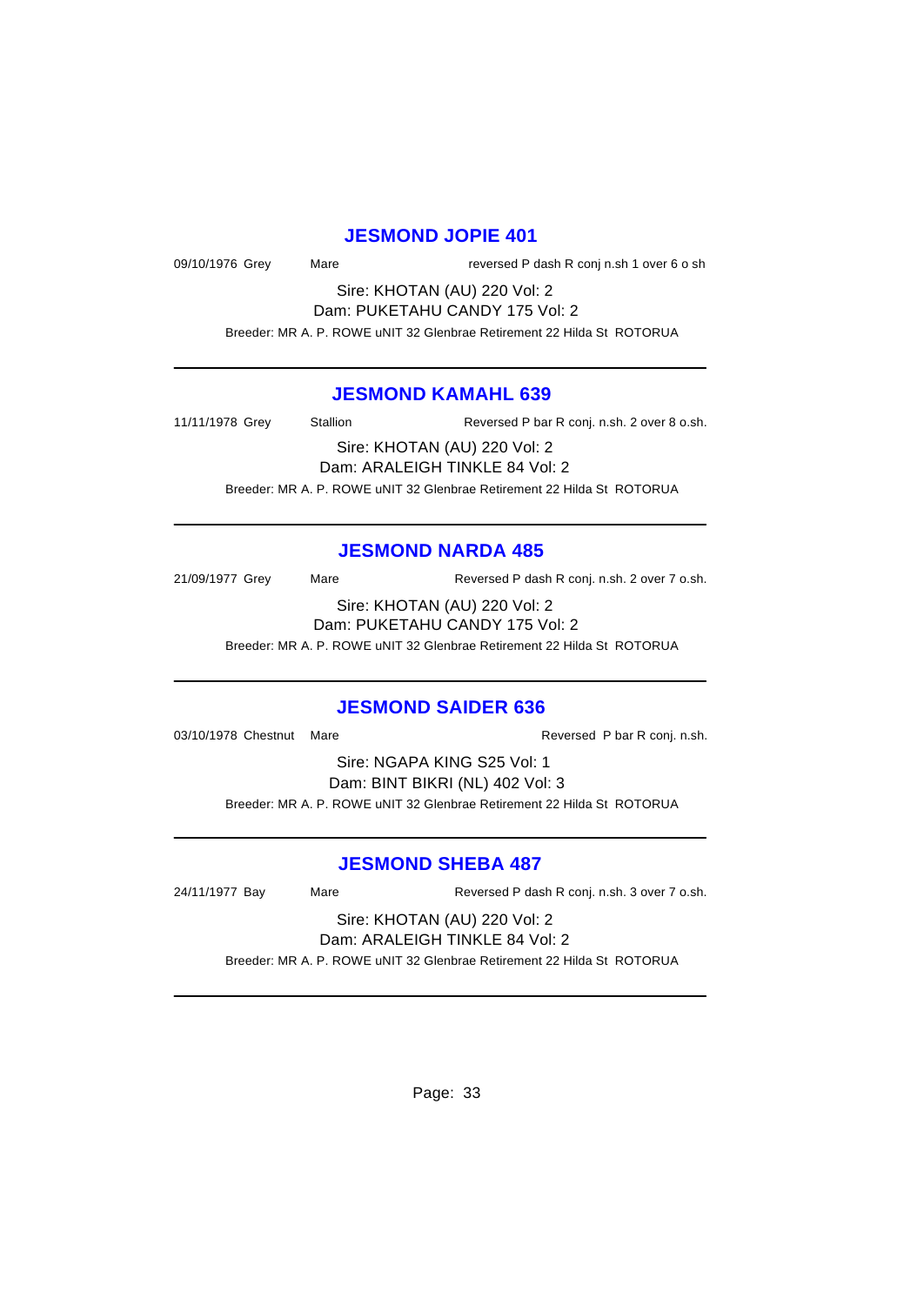#### **JESMOND JOPIE 401**

| 09/10/1976 Grey |  |
|-----------------|--|
|                 |  |

Mare **Mare** reversed P dash R conj n.sh 1 over 6 o sh

Sire: KHOTAN (AU) 220 Vol: 2 Dam: PUKETAHU CANDY 175 Vol: 2

Breeder: MR A. P. ROWE uNIT 32 Glenbrae Retirement 22 Hilda St ROTORUA

# **JESMOND KAMAHL 639**

11/11/1978 Grey Stallion Reversed P bar R conj. n.sh. 2 over 8 o.sh. Sire: KHOTAN (AU) 220 Vol: 2

Dam: ARALEIGH TINKLE 84 Vol: 2 Breeder: MR A. P. ROWE uNIT 32 Glenbrae Retirement 22 Hilda St ROTORUA

#### **JESMOND NARDA 485**

21/09/1977 Grey Mare Reversed P dash R conj. n.sh. 2 over 7 o.sh. Sire: KHOTAN (AU) 220 Vol: 2

Dam: PUKETAHU CANDY 175 Vol: 2

Breeder: MR A. P. ROWE uNIT 32 Glenbrae Retirement 22 Hilda St ROTORUA

#### **JESMOND SAIDER 636**

03/10/1978 Chestnut Mare Reversed P bar R conj. n.sh.

Sire: NGAPA KING S25 Vol: 1 Dam: BINT BIKRI (NL) 402 Vol: 3 Breeder: MR A. P. ROWE uNIT 32 Glenbrae Retirement 22 Hilda St ROTORUA

#### **JESMOND SHEBA 487**

24/11/1977 Bay Mare Reversed P dash R conj. n.sh. 3 over 7 o.sh.

Sire: KHOTAN (AU) 220 Vol: 2 Dam: ARALEIGH TINKLE 84 Vol: 2

Breeder: MR A. P. ROWE uNIT 32 Glenbrae Retirement 22 Hilda St ROTORUA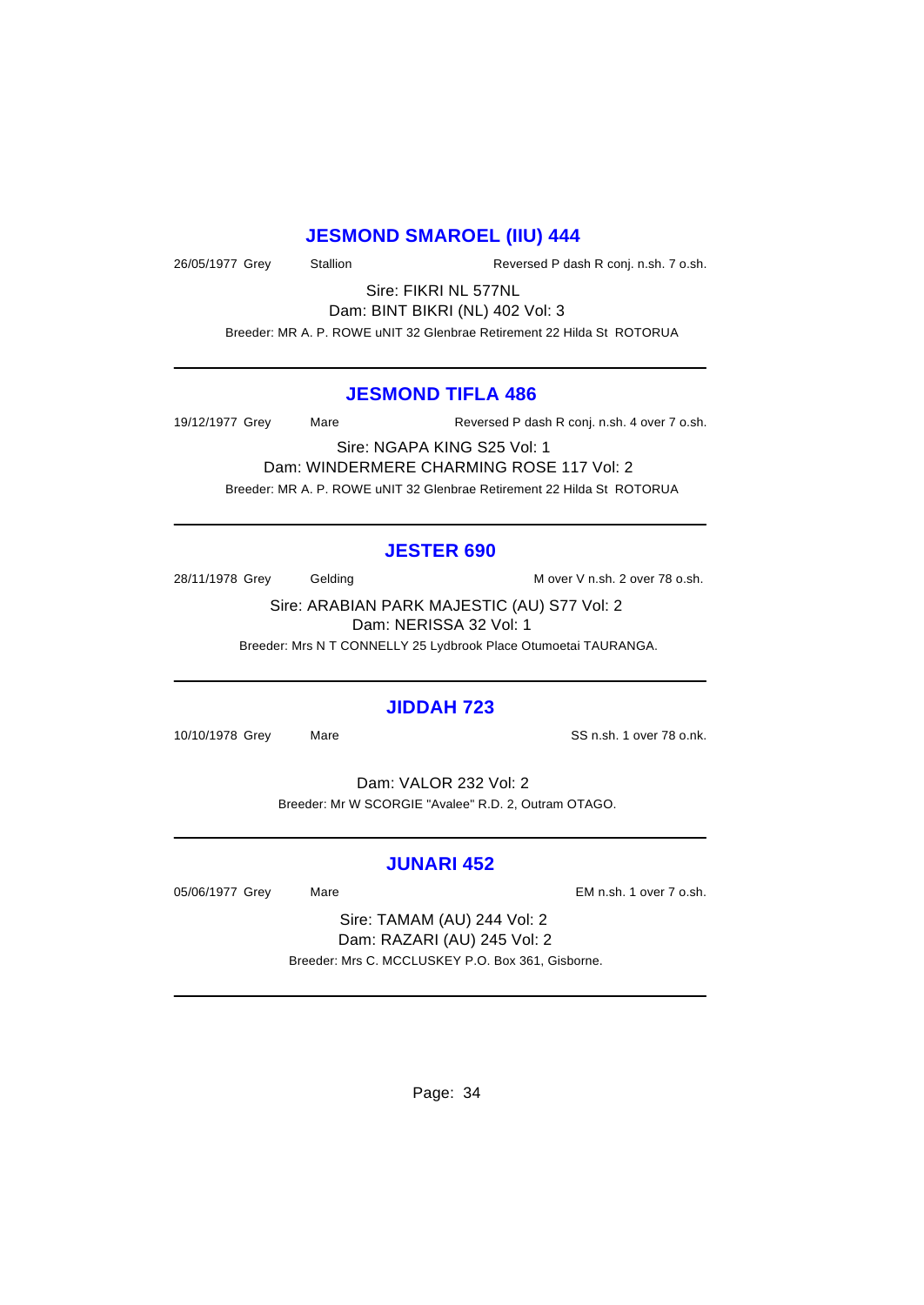# **JESMOND SMAROEL (IIU) 444**

26/05/1977 Grey Stallion Reversed P dash R conj. n.sh. 7 o.sh.

Sire: FIKRI NL 577NL Dam: BINT BIKRI (NL) 402 Vol: 3

Breeder: MR A. P. ROWE uNIT 32 Glenbrae Retirement 22 Hilda St ROTORUA

# **JESMOND TIFLA 486**

19/12/1977 Grey Mare Reversed P dash R conj. n.sh. 4 over 7 o.sh.

Sire: NGAPA KING S25 Vol: 1 Dam: WINDERMERE CHARMING ROSE 117 Vol: 2 Breeder: MR A. P. ROWE uNIT 32 Glenbrae Retirement 22 Hilda St ROTORUA

# **JESTER 690**

28/11/1978 Grey Gelding Gelding M over V n.sh. 2 over 78 o.sh.

Sire: ARABIAN PARK MAJESTIC (AU) S77 Vol: 2 Dam: NERISSA 32 Vol: 1

Breeder: Mrs N T CONNELLY 25 Lydbrook Place Otumoetai TAURANGA.

# **JIDDAH 723**

10/10/1978 Grey Mare SS n.sh. 1 over 78 o.nk.

Dam: VALOR 232 Vol: 2 Breeder: Mr W SCORGIE "Avalee" R.D. 2, Outram OTAGO.

# **JUNARI 452**

05/06/1977 Grey Mare Mare EM n.sh. 1 over 7 o.sh.

Sire: TAMAM (AU) 244 Vol: 2 Dam: RAZARI (AU) 245 Vol: 2 Breeder: Mrs C. MCCLUSKEY P.O. Box 361, Gisborne.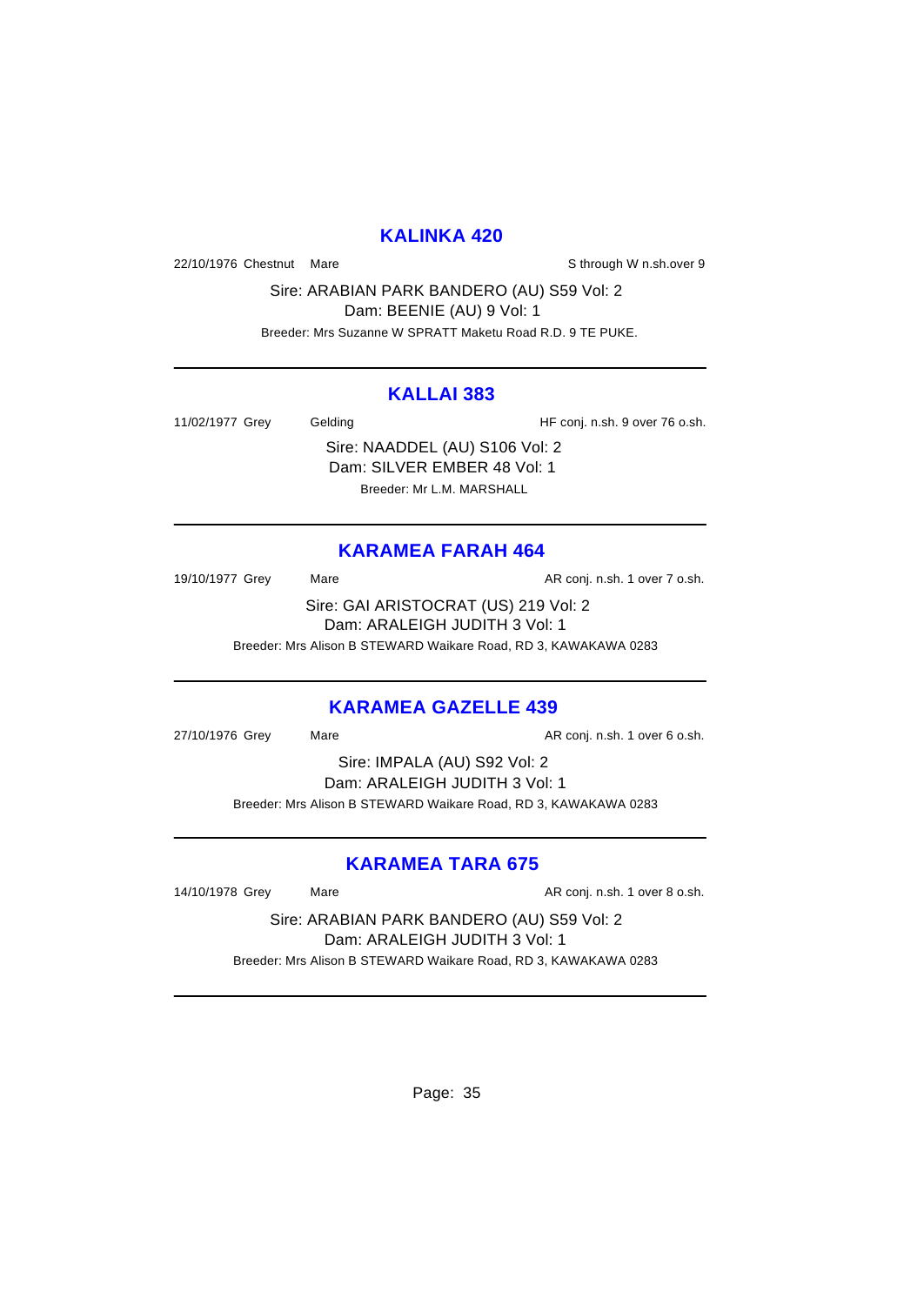# **KALINKA 420**

22/10/1976 Chestnut Mare State of the State of Sthrough W n.sh.over 9

Sire: ARABIAN PARK BANDERO (AU) S59 Vol: 2 Dam: BEENIE (AU) 9 Vol: 1

Breeder: Mrs Suzanne W SPRATT Maketu Road R.D. 9 TE PUKE.

# **KALLAI 383**

11/02/1977 Grey Gelding Gelding HF conj. n.sh. 9 over 76 o.sh.

Sire: NAADDEL (AU) S106 Vol: 2 Dam: SILVER EMBER 48 Vol: 1 Breeder: Mr L.M. MARSHALL

# **KARAMEA FARAH 464**

19/10/1977 Grey Mare Mare AR conj. n.sh. 1 over 7 o.sh. Sire: GAI ARISTOCRAT (US) 219 Vol: 2 Dam: ARALEIGH JUDITH 3 Vol: 1 Breeder: Mrs Alison B STEWARD Waikare Road, RD 3, KAWAKAWA 0283

# **KARAMEA GAZELLE 439**

27/10/1976 Grey Mare Mare AR conj. n.sh. 1 over 6 o.sh.

Sire: IMPALA (AU) S92 Vol: 2 Dam: ARALEIGH JUDITH 3 Vol: 1 Breeder: Mrs Alison B STEWARD Waikare Road, RD 3, KAWAKAWA 0283

# **KARAMEA TARA 675**

14/10/1978 Grey Mare Mare AR conj. n.sh. 1 over 8 o.sh.

Sire: ARABIAN PARK BANDERO (AU) S59 Vol: 2 Dam: ARALEIGH JUDITH 3 Vol: 1 Breeder: Mrs Alison B STEWARD Waikare Road, RD 3, KAWAKAWA 0283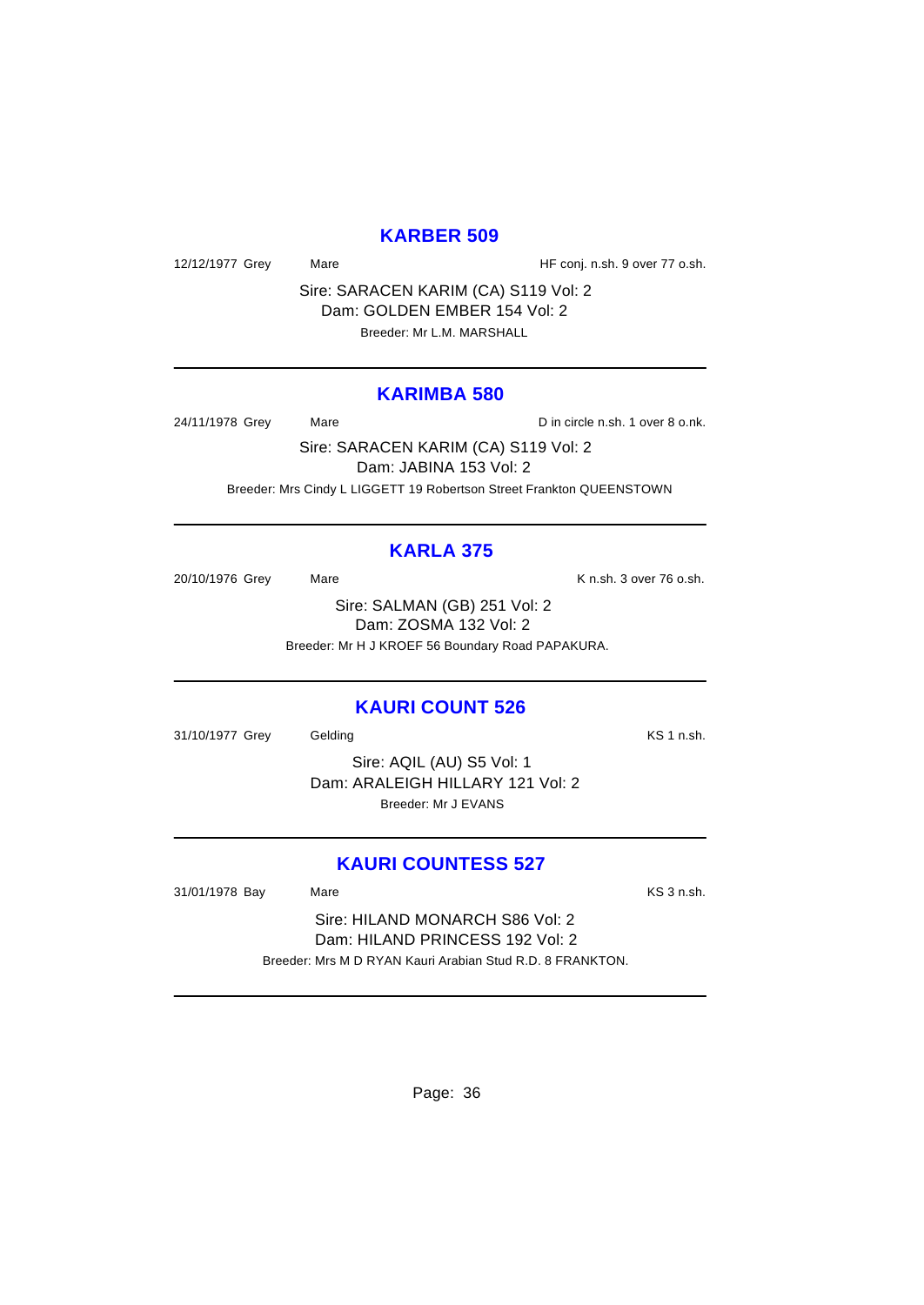# **KARBER 509**

12/12/1977 Grey Mare Mare HF conj. n.sh. 9 over 77 o.sh.

Sire: SARACEN KARIM (CA) S119 Vol: 2 Dam: GOLDEN EMBER 154 Vol: 2 Breeder: Mr L.M. MARSHALL

#### **KARIMBA 580**

24/11/1978 Grey Mare Mare Din circle n.sh. 1 over 8 o.nk.

Sire: SARACEN KARIM (CA) S119 Vol: 2 Dam: JABINA 153 Vol: 2 Breeder: Mrs Cindy L LIGGETT 19 Robertson Street Frankton QUEENSTOWN

# **KARLA 375**

20/10/1976 Grey Mare Mare K n.sh. 3 over 76 o.sh.

Sire: SALMAN (GB) 251 Vol: 2 Dam: ZOSMA 132 Vol: 2 Breeder: Mr H J KROEF 56 Boundary Road PAPAKURA.

# **KAURI COUNT 526**

31/10/1977 Grey Gelding Communication Communication Communication Communication Communication Communication Co

Sire: AQIL (AU) S5 Vol: 1 Dam: ARALEIGH HILLARY 121 Vol: 2 Breeder: Mr J EVANS

# **KAURI COUNTESS 527**

31/01/1978 Bay Mare Mare **Market Market Account Account Account Account Account Account Account Account Account** 

Sire: HILAND MONARCH S86 Vol: 2 Dam: HILAND PRINCESS 192 Vol: 2 Breeder: Mrs M D RYAN Kauri Arabian Stud R.D. 8 FRANKTON.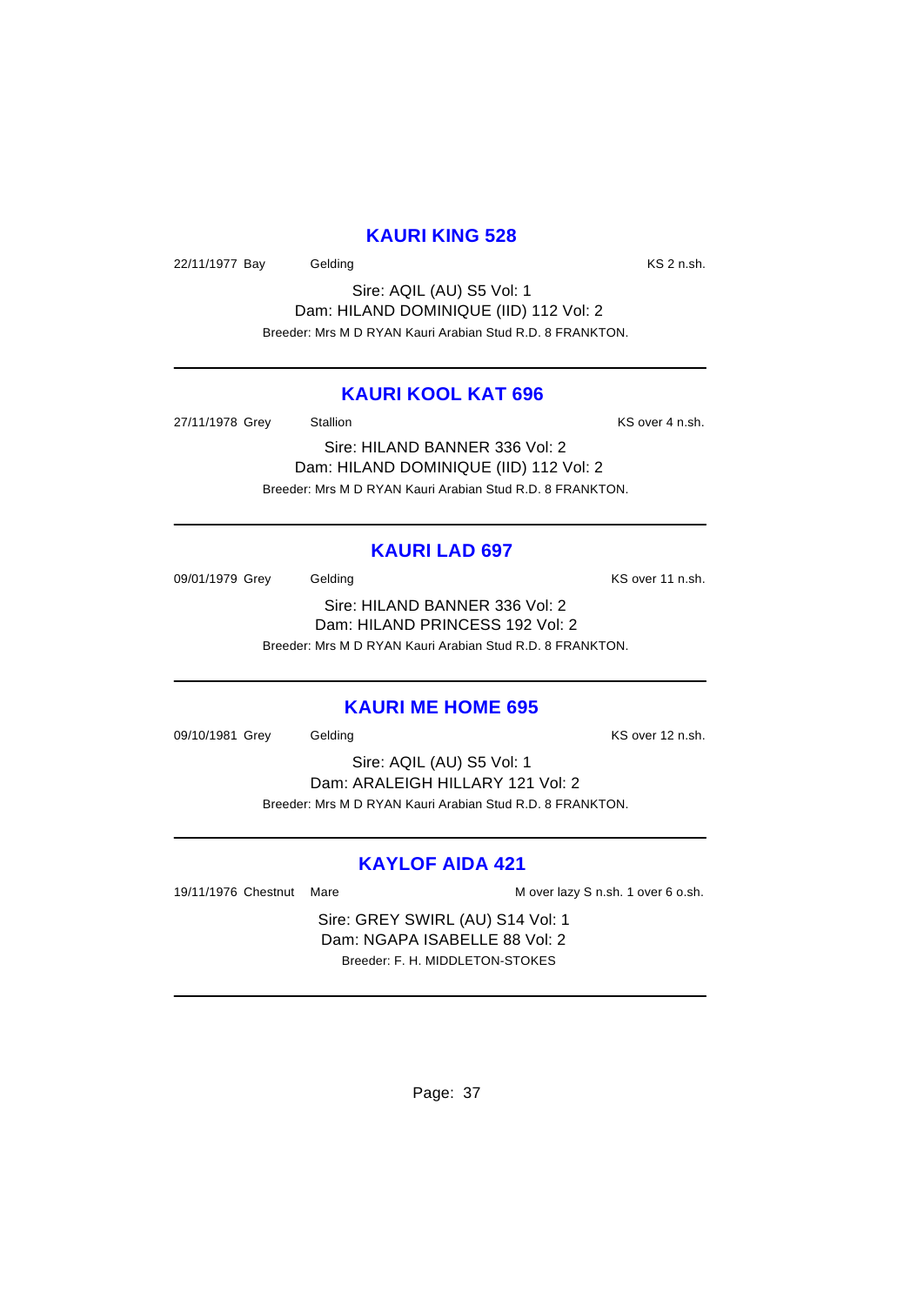#### **KAURI KING 528**

22/11/1977 Bay Gelding Care Constants Construction Construction Construction Construction Construction Constr

Sire: AQIL (AU) S5 Vol: 1 Dam: HILAND DOMINIQUE (IID) 112 Vol: 2 Breeder: Mrs M D RYAN Kauri Arabian Stud R.D. 8 FRANKTON.

## **KAURI KOOL KAT 696**

27/11/1978 Grey Stallion Stallion State State Control of State Control of State Control of State Control of St

Sire: HILAND BANNER 336 Vol: 2 Dam: HILAND DOMINIQUE (IID) 112 Vol: 2 Breeder: Mrs M D RYAN Kauri Arabian Stud R.D. 8 FRANKTON.

#### **KAURI LAD 697**

09/01/1979 Grey Gelding Contact Contact Contact Contact Contact Contact Contact Contact Contact Contact Contact Contact Contact Contact Contact Contact Contact Contact Contact Contact Contact Contact Contact Contact Contac Sire: HILAND BANNER 336 Vol: 2 Dam: HILAND PRINCESS 192 Vol: 2 Breeder: Mrs M D RYAN Kauri Arabian Stud R.D. 8 FRANKTON.

#### **KAURI ME HOME 695**

09/10/1981 Grey Gelding Communication Communication Communication Communication Communication Communication Co

Sire: AQIL (AU) S5 Vol: 1 Dam: ARALEIGH HILLARY 121 Vol: 2 Breeder: Mrs M D RYAN Kauri Arabian Stud R.D. 8 FRANKTON.

## **KAYLOF AIDA 421**

19/11/1976 Chestnut Mare M over lazy S n.sh. 1 over 6 o.sh.

Sire: GREY SWIRL (AU) S14 Vol: 1 Dam: NGAPA ISABELLE 88 Vol: 2 Breeder: F. H. MIDDLETON-STOKES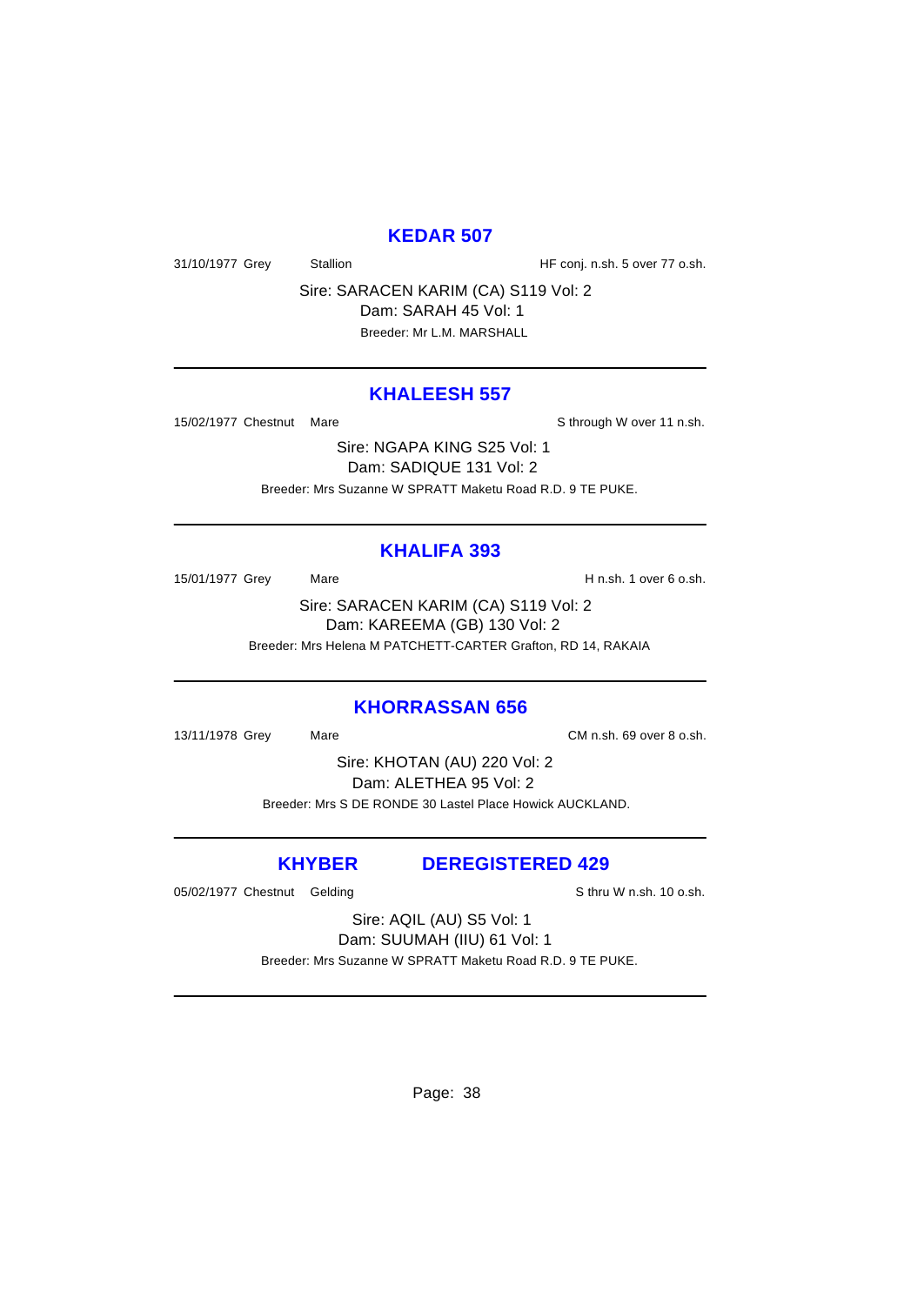## **KEDAR 507**

31/10/1977 Grey Stallion Stallion HF conj. n.sh. 5 over 77 o.sh.

Sire: SARACEN KARIM (CA) S119 Vol: 2 Dam: SARAH 45 Vol: 1 Breeder: Mr L.M. MARSHALL

#### **KHALEESH 557**

15/02/1977 Chestnut Mare State of the Sthrough W over 11 n.sh.

Sire: NGAPA KING S25 Vol: 1 Dam: SADIQUE 131 Vol: 2 Breeder: Mrs Suzanne W SPRATT Maketu Road R.D. 9 TE PUKE.

#### **KHALIFA 393**

15/01/1977 Grey Mare Mare H n.sh. 1 over 6 o.sh.

Sire: SARACEN KARIM (CA) S119 Vol: 2 Dam: KAREEMA (GB) 130 Vol: 2 Breeder: Mrs Helena M PATCHETT-CARTER Grafton, RD 14, RAKAIA

#### **KHORRASSAN 656**

13/11/1978 Grey Mare CM n.sh. 69 over 8 o.sh.

Sire: KHOTAN (AU) 220 Vol: 2 Dam: ALETHEA 95 Vol: 2 Breeder: Mrs S DE RONDE 30 Lastel Place Howick AUCKLAND.

**KHYBER DEREGISTERED 429**

05/02/1977 Chestnut Gelding Sthru W n.sh. 10 o.sh.

Sire: AQIL (AU) S5 Vol: 1 Dam: SUUMAH (IIU) 61 Vol: 1 Breeder: Mrs Suzanne W SPRATT Maketu Road R.D. 9 TE PUKE.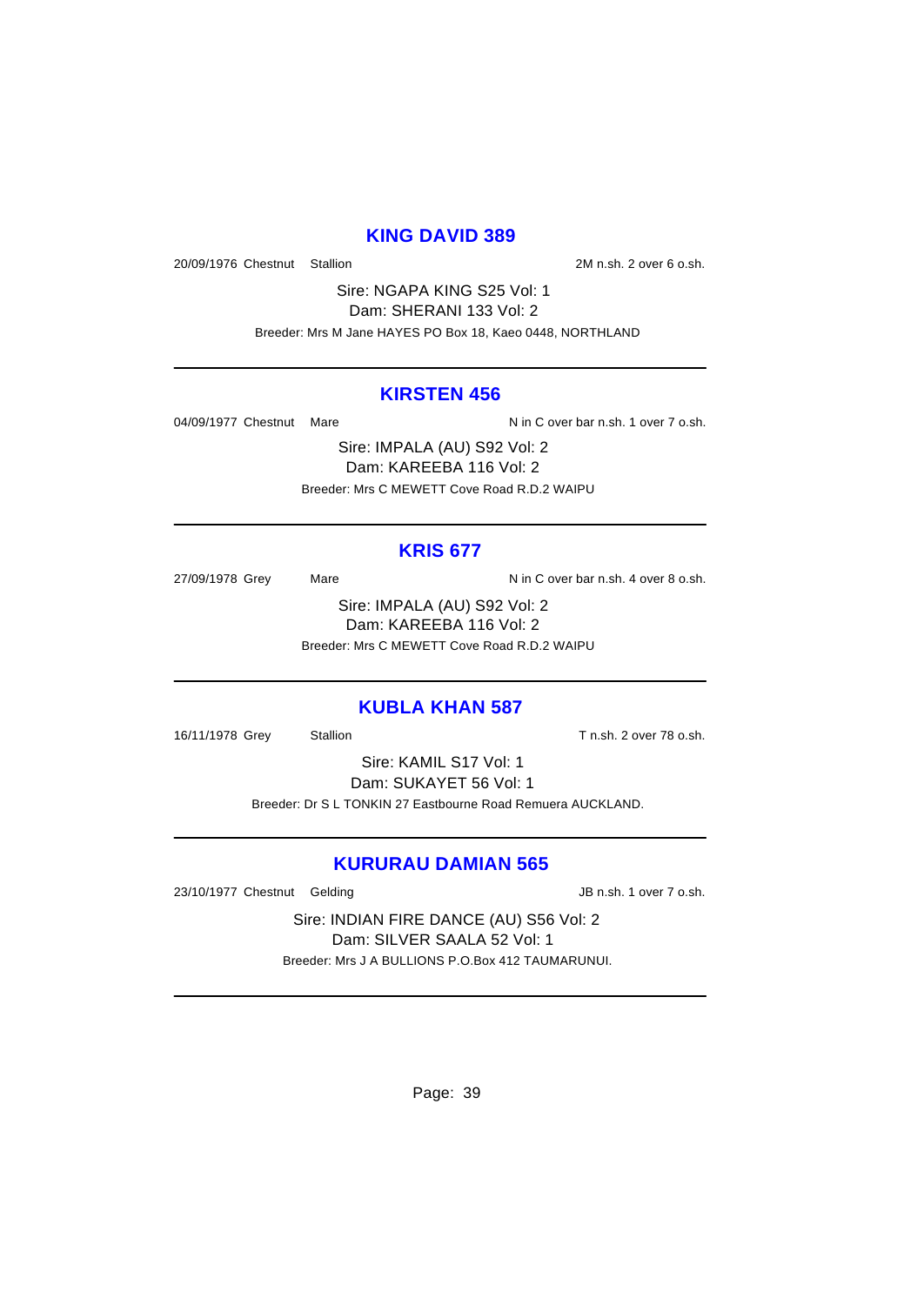## **KING DAVID 389**

20/09/1976 Chestnut Stallion 2M n.sh. 2 over 6 o.sh.

Sire: NGAPA KING S25 Vol: 1 Dam: SHERANI 133 Vol: 2 Breeder: Mrs M Jane HAYES PO Box 18, Kaeo 0448, NORTHLAND

#### **KIRSTEN 456**

04/09/1977 Chestnut Mare  $N$  in C over bar n.sh. 1 over 7 o.sh.

Sire: IMPALA (AU) S92 Vol: 2 Dam: KAREEBA 116 Vol: 2 Breeder: Mrs C MEWETT Cove Road R.D.2 WAIPU

## **KRIS 677**

27/09/1978 Grey Mare Mare N in C over bar n.sh. 4 over 8 o.sh.

Sire: IMPALA (AU) S92 Vol: 2 Dam: KAREEBA 116 Vol: 2 Breeder: Mrs C MEWETT Cove Road R.D.2 WAIPU

#### **KUBLA KHAN 587**

16/11/1978 Grey Stallion Stallion State T n.sh. 2 over 78 o.sh.

Sire: KAMIL S17 Vol: 1 Dam: SUKAYET 56 Vol: 1 Breeder: Dr S L TONKIN 27 Eastbourne Road Remuera AUCKLAND.

## **KURURAU DAMIAN 565**

23/10/1977 Chestnut Gelding and Sales and San JB n.sh. 1 over 7 o.sh.

Sire: INDIAN FIRE DANCE (AU) S56 Vol: 2 Dam: SILVER SAALA 52 Vol: 1 Breeder: Mrs J A BULLIONS P.O.Box 412 TAUMARUNUI.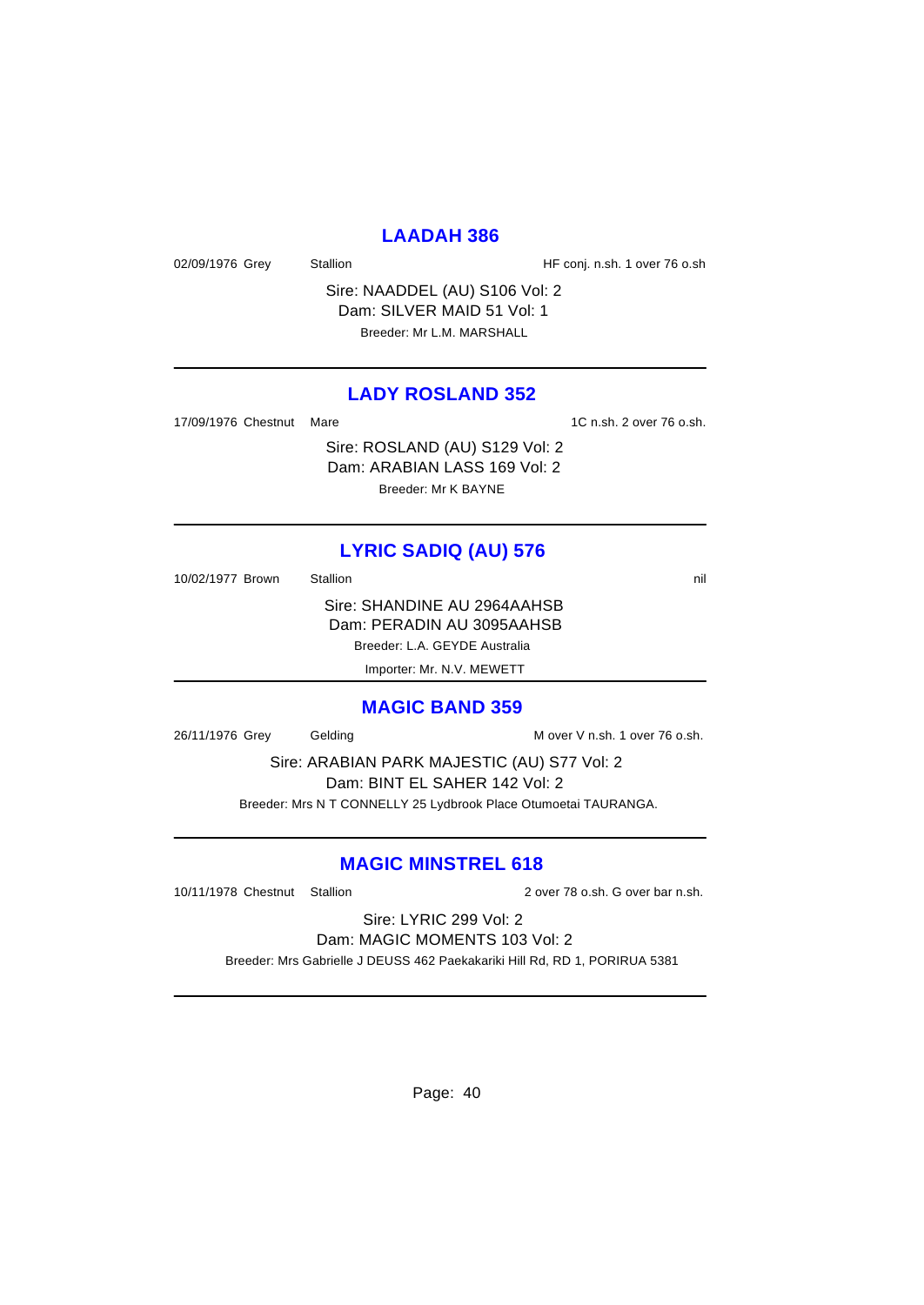## **LAADAH 386**

02/09/1976 Grey Stallion Stallion HF conj. n.sh. 1 over 76 o.sh

Sire: NAADDEL (AU) S106 Vol: 2 Dam: SILVER MAID 51 Vol: 1 Breeder: Mr L.M. MARSHALL

#### **LADY ROSLAND 352**

17/09/1976 Chestnut Mare 1C n.sh. 2 over 76 o.sh.

Sire: ROSLAND (AU) S129 Vol: 2 Dam: ARABIAN LASS 169 Vol: 2 Breeder: Mr K BAYNE

**LYRIC SADIQ (AU) 576**

10/02/1977 Brown Stallion 3.1 and 5.1 and 5.1 and 5.1 and 5.1 and 5.1 and 5.1 and 5.1 and 5.1 and 5.1 and 5.1 and 5.1 and 5.1 and 5.1 and 5.1 and 5.1 and 5.1 and 5.1 and 5.1 and 5.1 and 5.1 and 5.1 and 5.1 and 5.1 and 5.1

Sire: SHANDINE AU 2964AAHSB Dam: PERADIN AU 3095AAHSB Breeder: L.A. GEYDE Australia Importer: Mr. N.V. MEWETT

**MAGIC BAND 359**

26/11/1976 Grey Gelding M over V n.sh. 1 over 76 o.sh.

Sire: ARABIAN PARK MAJESTIC (AU) S77 Vol: 2 Dam: BINT EL SAHER 142 Vol: 2

Breeder: Mrs N T CONNELLY 25 Lydbrook Place Otumoetai TAURANGA.

# **MAGIC MINSTREL 618**

10/11/1978 Chestnut Stallion 2 over 78 o.sh. G over bar n.sh.

Sire: LYRIC 299 Vol: 2 Dam: MAGIC MOMENTS 103 Vol: 2

Breeder: Mrs Gabrielle J DEUSS 462 Paekakariki Hill Rd, RD 1, PORIRUA 5381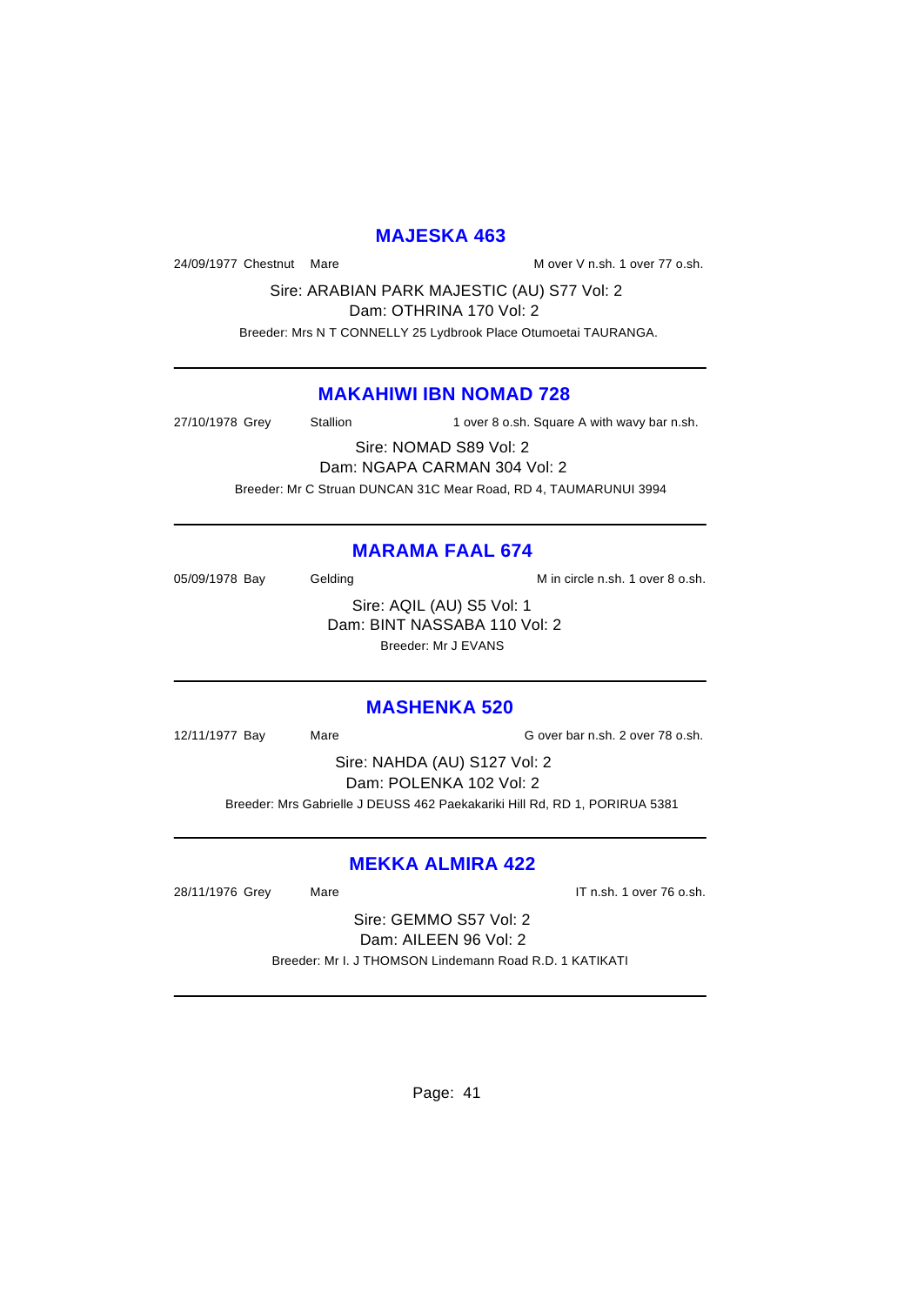#### **MAJESKA 463**

24/09/1977 Chestnut Mare M over V n.sh. 1 over 77 o.sh.

Sire: ARABIAN PARK MAJESTIC (AU) S77 Vol: 2 Dam: OTHRINA 170 Vol: 2

Breeder: Mrs N T CONNELLY 25 Lydbrook Place Otumoetai TAURANGA.

## **MAKAHIWI IBN NOMAD 728**

27/10/1978 Grey Stallion 1 over 8 o.sh. Square A with wavy bar n.sh.

Sire: NOMAD S89 Vol: 2 Dam: NGAPA CARMAN 304 Vol: 2 Breeder: Mr C Struan DUNCAN 31C Mear Road, RD 4, TAUMARUNUI 3994

# **MARAMA FAAL 674**

05/09/1978 Bay Gelding Gelding M in circle n.sh. 1 over 8 o.sh.

Sire: AQIL (AU) S5 Vol: 1 Dam: BINT NASSABA 110 Vol: 2 Breeder: Mr J EVANS

# **MASHENKA 520**

12/11/1977 Bay Mare G over bar n.sh. 2 over 78 o.sh.

Sire: NAHDA (AU) S127 Vol: 2 Dam: POLENKA 102 Vol: 2 Breeder: Mrs Gabrielle J DEUSS 462 Paekakariki Hill Rd, RD 1, PORIRUA 5381

# **MEKKA ALMIRA 422**

28/11/1976 Grey Mare **IT n.sh. 1 over 76 o.sh.** 

Sire: GEMMO S57 Vol: 2 Dam: AILEEN 96 Vol: 2 Breeder: Mr I. J THOMSON Lindemann Road R.D. 1 KATIKATI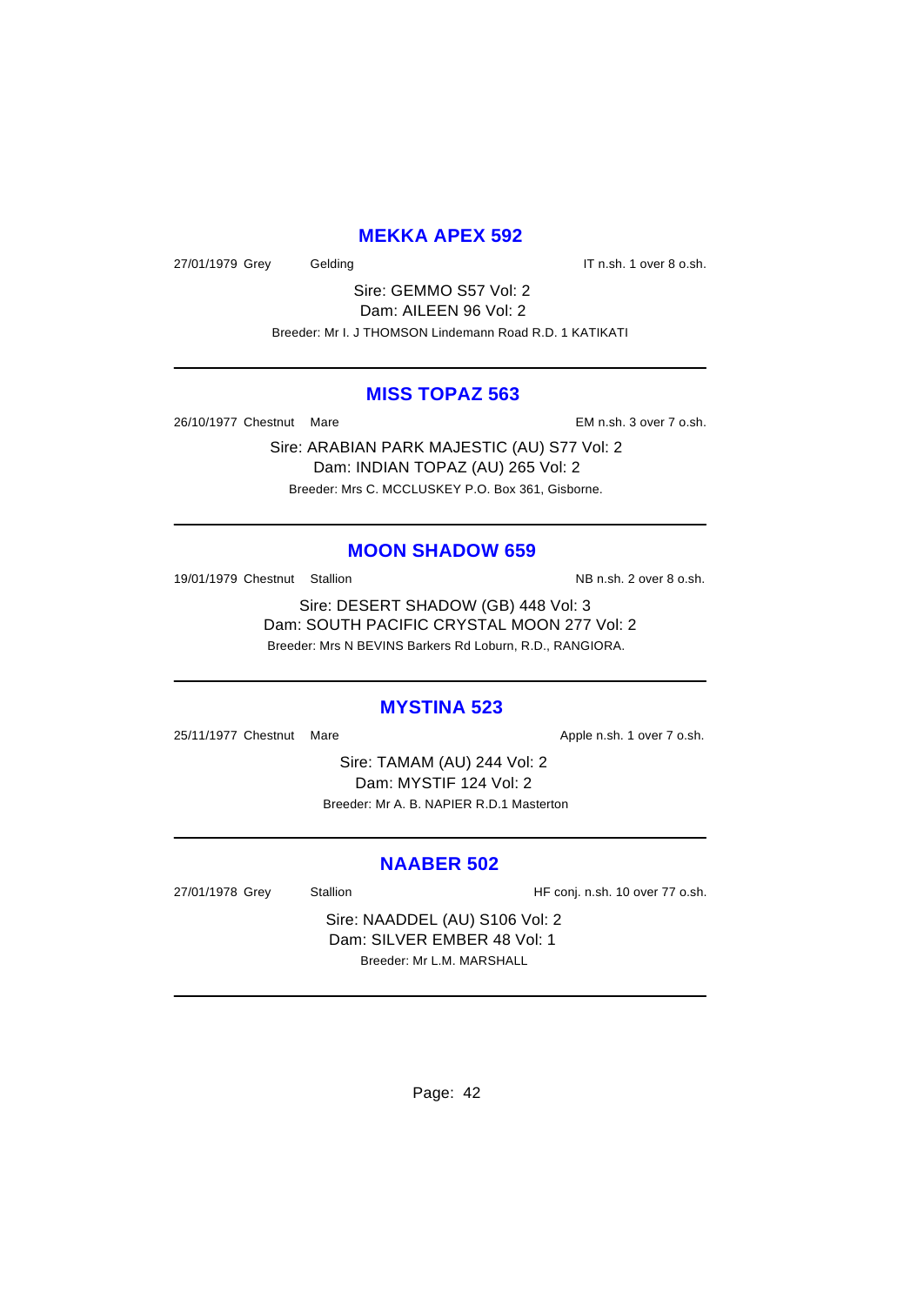## **MEKKA APEX 592**

27/01/1979 Grey Gelding Gelding IT n.sh. 1 over 8 o.sh.

Sire: GEMMO S57 Vol: 2 Dam: AILEEN 96 Vol: 2 Breeder: Mr I. J THOMSON Lindemann Road R.D. 1 KATIKATI

#### **MISS TOPAZ 563**

26/10/1977 Chestnut Mare EM n.sh. 3 over 7 o.sh.

Sire: ARABIAN PARK MAJESTIC (AU) S77 Vol: 2 Dam: INDIAN TOPAZ (AU) 265 Vol: 2 Breeder: Mrs C. MCCLUSKEY P.O. Box 361, Gisborne.

## **MOON SHADOW 659**

19/01/1979 Chestnut Stallion NB n.sh. 2 over 8 o.sh.

Sire: DESERT SHADOW (GB) 448 Vol: 3 Dam: SOUTH PACIFIC CRYSTAL MOON 277 Vol: 2 Breeder: Mrs N BEVINS Barkers Rd Loburn, R.D., RANGIORA.

#### **MYSTINA 523**

25/11/1977 Chestnut Mare **Apple n.sh. 1** over 7 o.sh.

Sire: TAMAM (AU) 244 Vol: 2 Dam: MYSTIF 124 Vol: 2 Breeder: Mr A. B. NAPIER R.D.1 Masterton

#### **NAABER 502**

27/01/1978 Grey Stallion Stallion HF conj. n.sh. 10 over 77 o.sh.

Sire: NAADDEL (AU) S106 Vol: 2 Dam: SILVER EMBER 48 Vol: 1 Breeder: Mr L.M. MARSHALL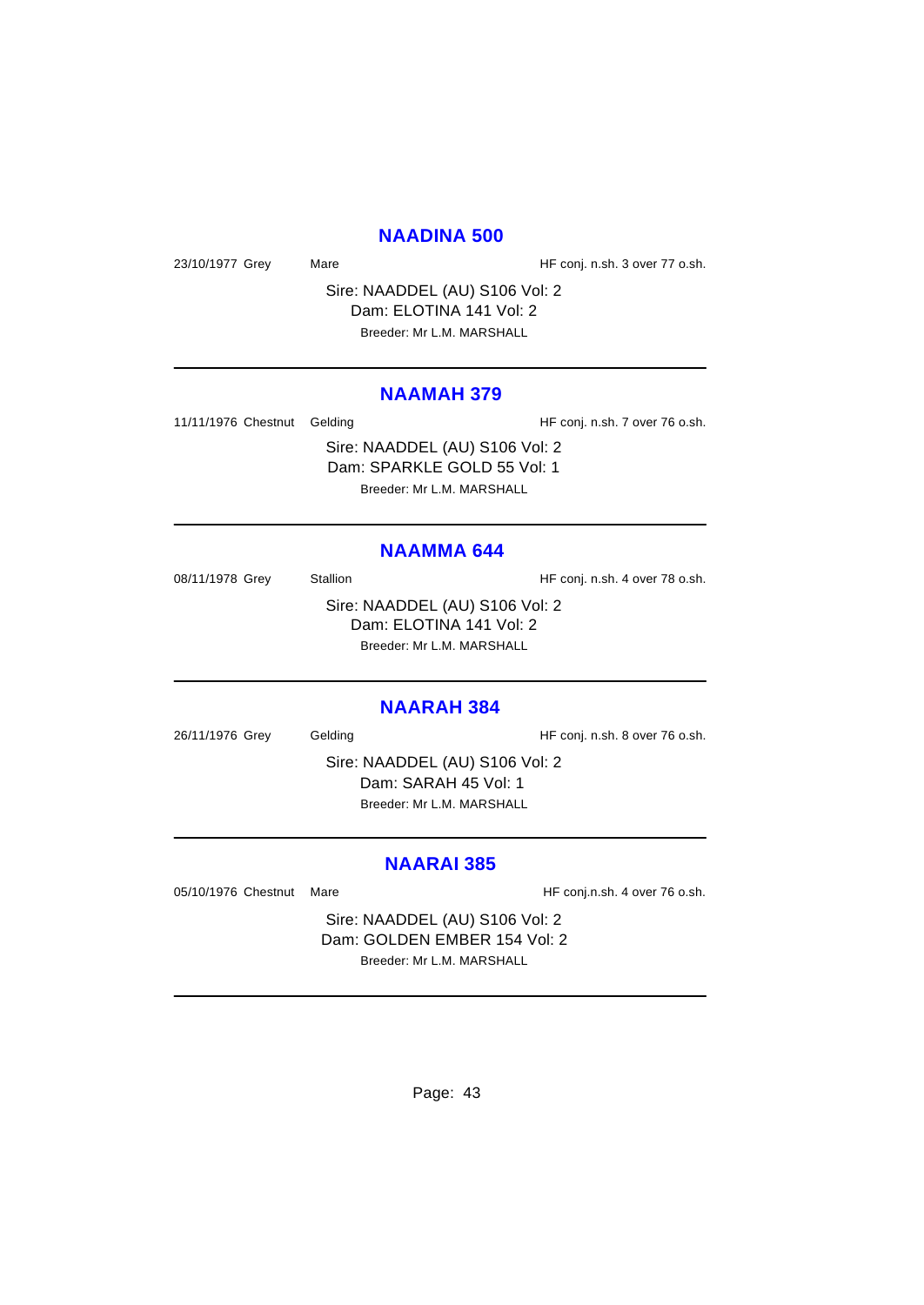#### **NAADINA 500**

23/10/1977 Grey Mare Mare HF conj. n.sh. 3 over 77 o.sh.

Sire: NAADDEL (AU) S106 Vol: 2 Dam: ELOTINA 141 Vol: 2 Breeder: Mr L.M. MARSHALL

#### **NAAMAH 379**

11/11/1976 Chestnut Gelding The State of HF conj. n.sh. 7 over 76 o.sh.

Sire: NAADDEL (AU) S106 Vol: 2 Dam: SPARKLE GOLD 55 Vol: 1 Breeder: Mr L.M. MARSHALL

#### **NAAMMA 644**

08/11/1978 Grey Stallion Stallion HF conj. n.sh. 4 over 78 o.sh. Sire: NAADDEL (AU) S106 Vol: 2 Dam: ELOTINA 141 Vol: 2 Breeder: Mr L.M. MARSHALL

#### **NAARAH 384**

26/11/1976 Grey Gelding Gelding HF conj. n.sh. 8 over 76 o.sh.

Sire: NAADDEL (AU) S106 Vol: 2 Dam: SARAH 45 Vol: 1 Breeder: Mr L.M. MARSHALL

#### **NAARAI 385**

05/10/1976 Chestnut Mare **Market Accord Market Contact Accord HF** conj.n.sh. 4 over 76 o.sh.

Sire: NAADDEL (AU) S106 Vol: 2 Dam: GOLDEN EMBER 154 Vol: 2 Breeder: Mr L.M. MARSHALL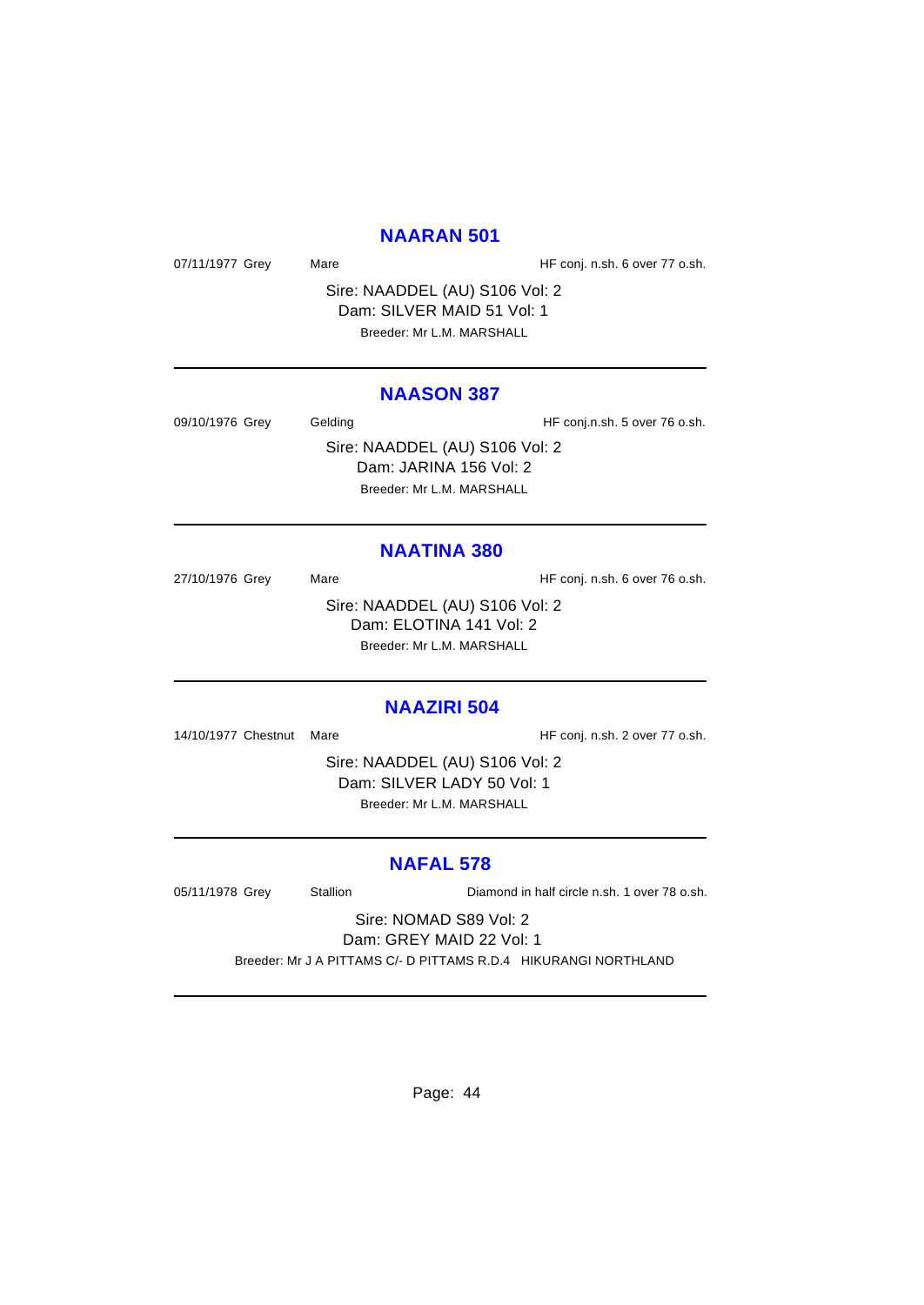#### **NAARAN 501**

07/11/1977 Grey Mare Mare HF conj. n.sh. 6 over 77 o.sh.

Sire: NAADDEL (AU) S106 Vol: 2 Dam: SILVER MAID 51 Vol: 1 Breeder: Mr L.M. MARSHALL

#### **NAASON 387**

09/10/1976 Grey Gelding Gelding HF conj.n.sh. 5 over 76 o.sh. Sire: NAADDEL (AU) S106 Vol: 2 Dam: JARINA 156 Vol: 2 Breeder: Mr L.M. MARSHALL

#### **NAATINA 380**

27/10/1976 Grey Mare Mare HF conj. n.sh. 6 over 76 o.sh. Sire: NAADDEL (AU) S106 Vol: 2 Dam: ELOTINA 141 Vol: 2 Breeder: Mr L.M. MARSHALL

#### **NAAZIRI 504**

14/10/1977 Chestnut Mare **HF** conj. n.sh. 2 over 77 o.sh.

Sire: NAADDEL (AU) S106 Vol: 2 Dam: SILVER LADY 50 Vol: 1 Breeder: Mr L.M. MARSHALL

#### **NAFAL 578**

05/11/1978 Grey Stallion Diamond in half circle n.sh. 1 over 78 o.sh.

Sire: NOMAD S89 Vol: 2 Dam: GREY MAID 22 Vol: 1

Breeder: Mr J A PITTAMS C/- D PITTAMS R.D.4 HIKURANGI NORTHLAND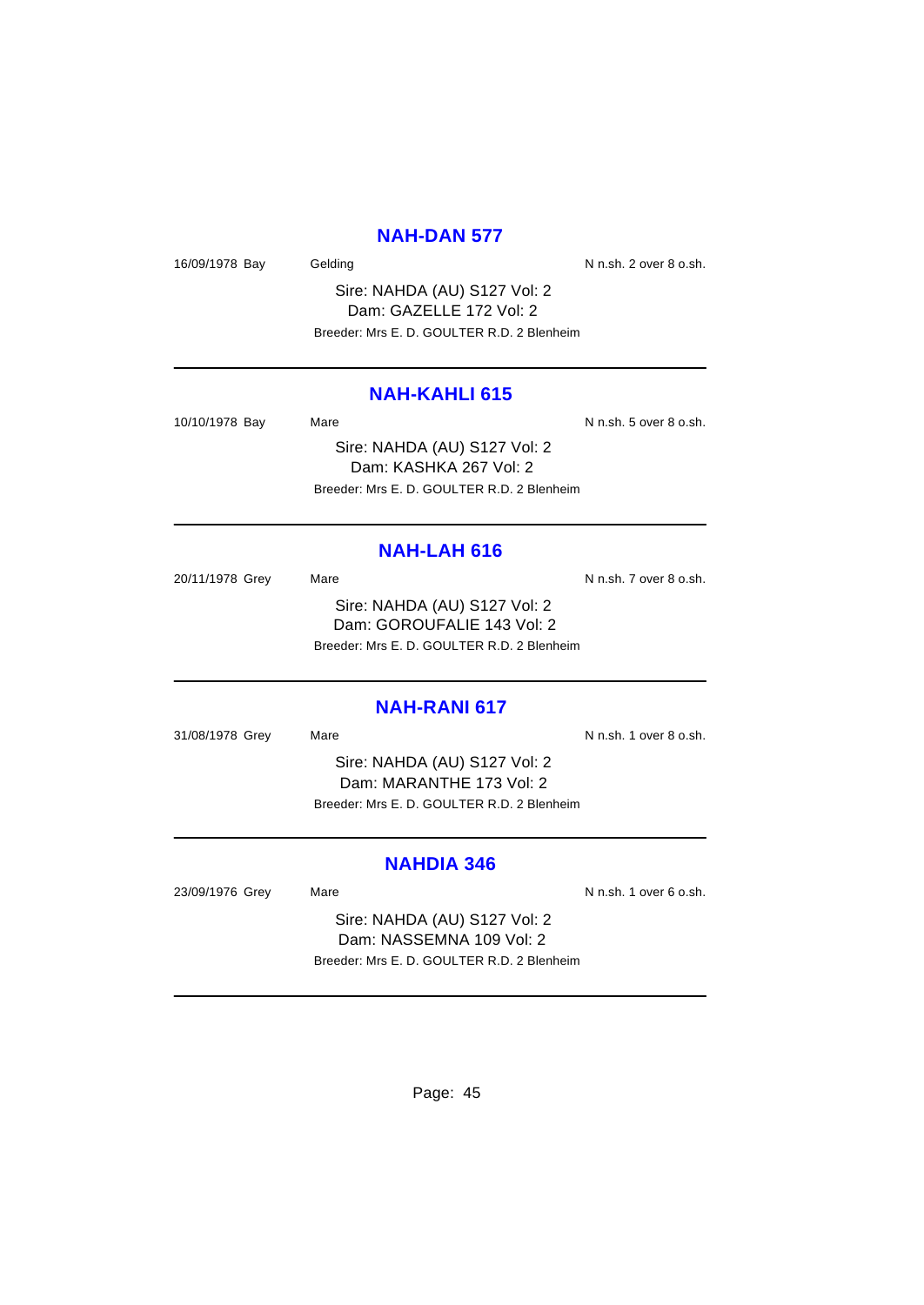#### **NAH-DAN 577**

16/09/1978 Bay Gelding Gelding Contract Contract N n.sh. 2 over 8 o.sh.

Sire: NAHDA (AU) S127 Vol: 2 Dam: GAZELLE 172 Vol: 2 Breeder: Mrs E. D. GOULTER R.D. 2 Blenheim

#### **NAH-KAHLI 615**

| 10/10/1978 Bay | Mare                                       | N n.sh. 5 over 8 o.sh. |
|----------------|--------------------------------------------|------------------------|
|                | Sire: NAHDA (AU) S127 Vol: 2               |                        |
|                | Dam: KASHKA 267 Vol: 2                     |                        |
|                | Breeder: Mrs E. D. GOULTER R.D. 2 Blenheim |                        |

## **NAH-LAH 616**

20/11/1978 Grey Mare Mare N n.sh. 7 over 8 o.sh. Sire: NAHDA (AU) S127 Vol: 2 Dam: GOROUFALIE 143 Vol: 2 Breeder: Mrs E. D. GOULTER R.D. 2 Blenheim

#### **NAH-RANI 617**

31/08/1978 Grey Mare Mare N n.sh. 1 over 8 o.sh.

Sire: NAHDA (AU) S127 Vol: 2 Dam: MARANTHE 173 Vol: 2 Breeder: Mrs E. D. GOULTER R.D. 2 Blenheim

## **NAHDIA 346**

23/09/1976 Grey Mare Mare N n.sh. 1 over 6 o.sh.

Sire: NAHDA (AU) S127 Vol: 2 Dam: NASSEMNA 109 Vol: 2 Breeder: Mrs E. D. GOULTER R.D. 2 Blenheim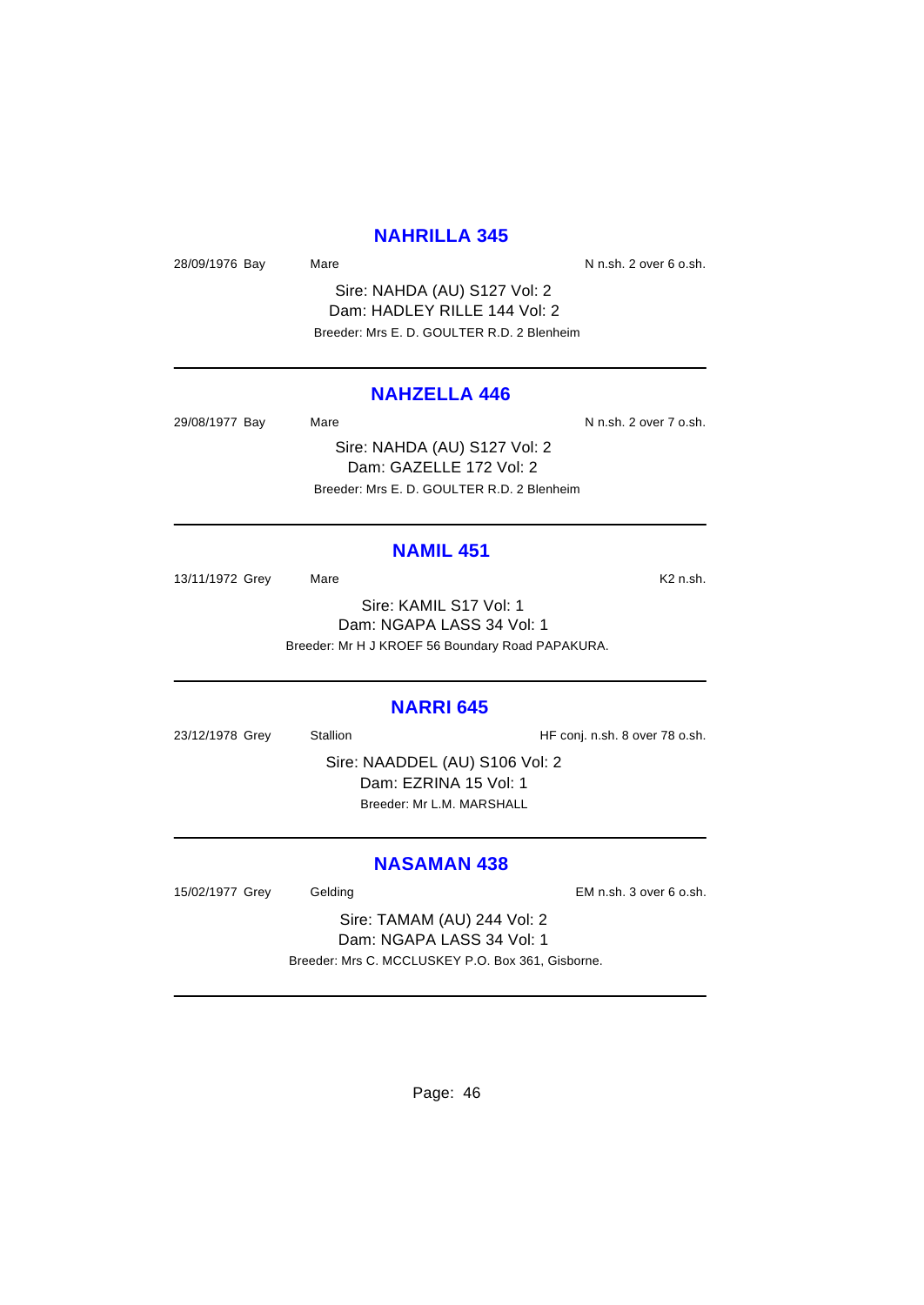#### **NAHRILLA 345**

28/09/1976 Bay Mare Mare N n.sh. 2 over 6 o.sh.

Sire: NAHDA (AU) S127 Vol: 2 Dam: HADLEY RILLE 144 Vol: 2 Breeder: Mrs E. D. GOULTER R.D. 2 Blenheim

#### **NAHZELLA 446**

29/08/1977 Bay Mare Mare N n.sh. 2 over 7 o.sh. Sire: NAHDA (AU) S127 Vol: 2

Dam: GAZELLE 172 Vol: 2 Breeder: Mrs E. D. GOULTER R.D. 2 Blenheim

#### **NAMIL 451**

13/11/1972 Grey Mare Mare K2 n.sh.

Sire: KAMIL S17 Vol: 1 Dam: NGAPA LASS 34 Vol: 1 Breeder: Mr H J KROEF 56 Boundary Road PAPAKURA.

#### **NARRI 645**

23/12/1978 Grey Stallion Stallion HF conj. n.sh. 8 over 78 o.sh.

Sire: NAADDEL (AU) S106 Vol: 2 Dam: EZRINA 15 Vol: 1 Breeder: Mr L.M. MARSHALL

## **NASAMAN 438**

15/02/1977 Grey Gelding Gelding EM n.sh. 3 over 6 o.sh.

Sire: TAMAM (AU) 244 Vol: 2 Dam: NGAPA LASS 34 Vol: 1 Breeder: Mrs C. MCCLUSKEY P.O. Box 361, Gisborne.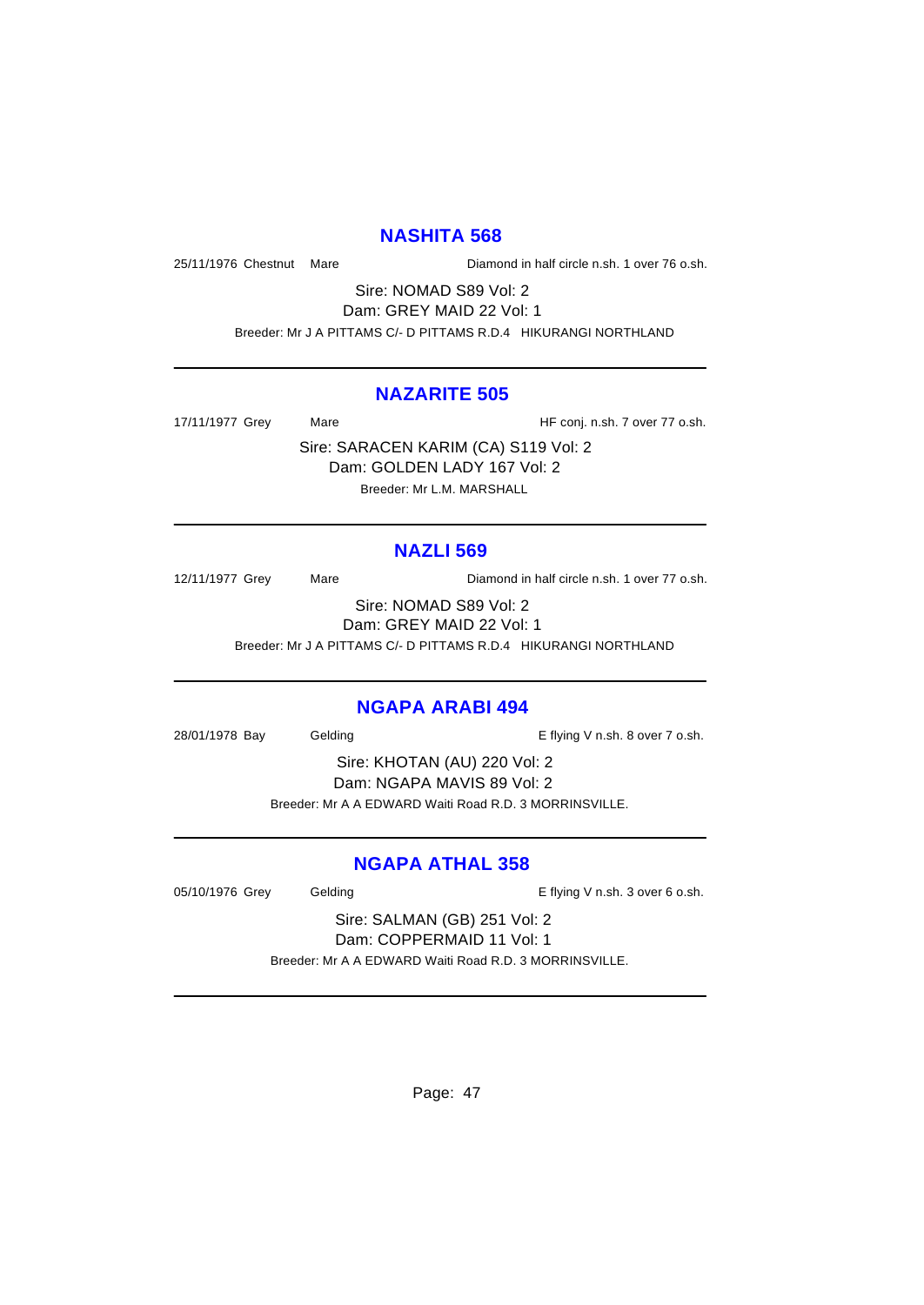#### **NASHITA 568**

25/11/1976 Chestnut Mare Diamond in half circle n.sh. 1 over 76 o.sh.

Sire: NOMAD S89 Vol: 2 Dam: GREY MAID 22 Vol: 1 Breeder: Mr J A PITTAMS C/- D PITTAMS R.D.4 HIKURANGI NORTHLAND

#### **NAZARITE 505**

17/11/1977 Grey Mare Mare HF conj. n.sh. 7 over 77 o.sh.

Sire: SARACEN KARIM (CA) S119 Vol: 2 Dam: GOLDEN LADY 167 Vol: 2 Breeder: Mr L.M. MARSHALL

# **NAZLI 569**

12/11/1977 Grey Mare Diamond in half circle n.sh. 1 over 77 o.sh. Sire: NOMAD S89 Vol: 2

Dam: GREY MAID 22 Vol: 1

Breeder: Mr J A PITTAMS C/- D PITTAMS R.D.4 HIKURANGI NORTHLAND

#### **NGAPA ARABI 494**

28/01/1978 Bay Gelding Casset Controller E flying V n.sh. 8 over 7 o.sh.

Sire: KHOTAN (AU) 220 Vol: 2 Dam: NGAPA MAVIS 89 Vol: 2 Breeder: Mr A A EDWARD Waiti Road R.D. 3 MORRINSVILLE.

# **NGAPA ATHAL 358**

05/10/1976 Grey Gelding Contact Contact Contact Contact Contact Contact Contact Contact Contact Contact Contact Contact Contact Contact Contact Contact Contact Contact Contact Contact Contact Contact Contact Contact Contac

Sire: SALMAN (GB) 251 Vol: 2 Dam: COPPERMAID 11 Vol: 1 Breeder: Mr A A EDWARD Waiti Road R.D. 3 MORRINSVILLE.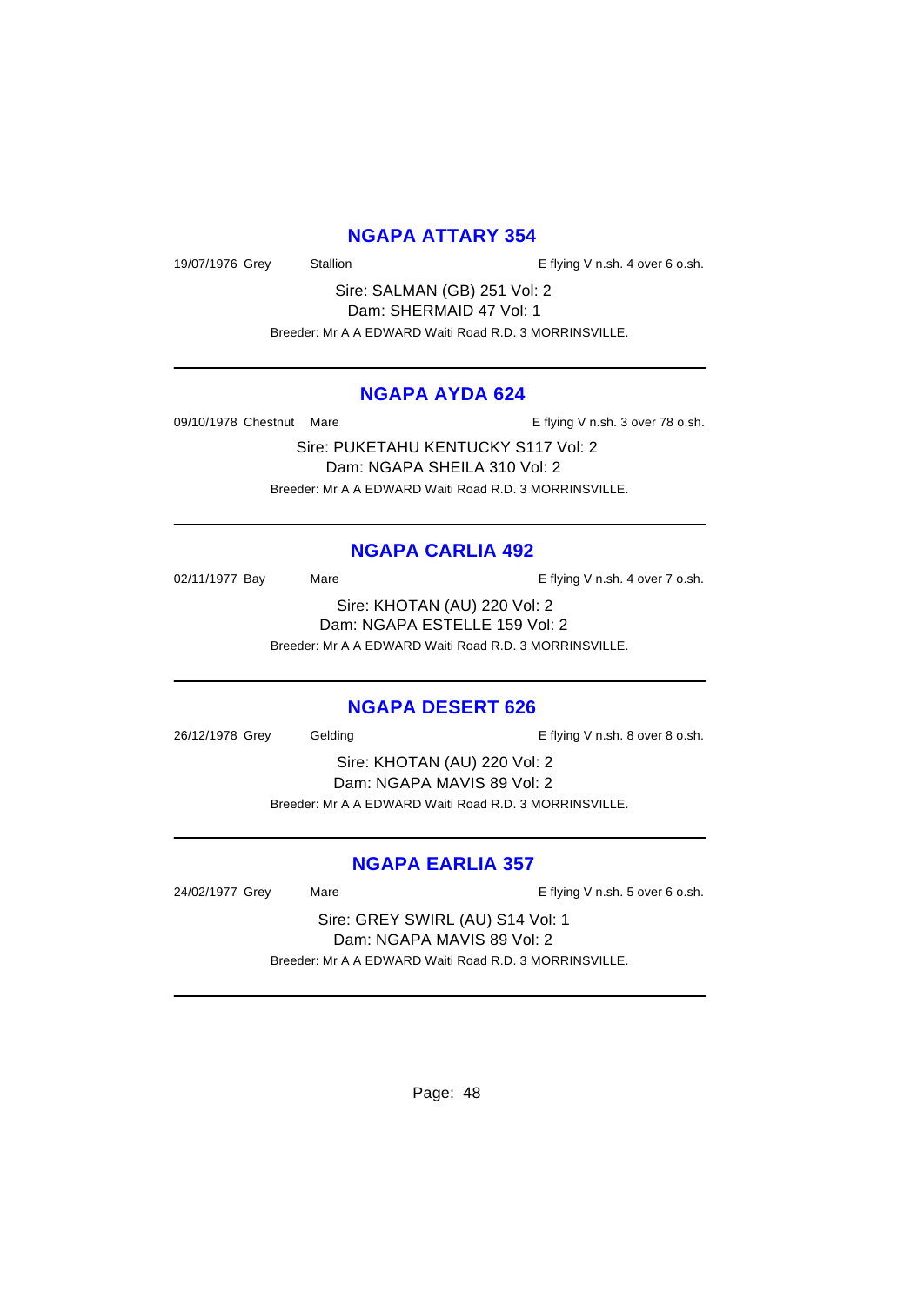## **NGAPA ATTARY 354**

19/07/1976 Grey Stallion Stallion E flying V n.sh. 4 over 6 o.sh.

Sire: SALMAN (GB) 251 Vol: 2 Dam: SHERMAID 47 Vol: 1 Breeder: Mr A A EDWARD Waiti Road R.D. 3 MORRINSVILLE.

#### **NGAPA AYDA 624**

09/10/1978 Chestnut Mare **E** flying V n.sh. 3 over 78 o.sh.

Sire: PUKETAHU KENTUCKY S117 Vol: 2 Dam: NGAPA SHEILA 310 Vol: 2 Breeder: Mr A A EDWARD Waiti Road R.D. 3 MORRINSVILLE.

# **NGAPA CARLIA 492**

02/11/1977 Bay Mare Mare E flying V n.sh. 4 over 7 o.sh.

Sire: KHOTAN (AU) 220 Vol: 2 Dam: NGAPA ESTELLE 159 Vol: 2 Breeder: Mr A A EDWARD Waiti Road R.D. 3 MORRINSVILLE.

#### **NGAPA DESERT 626**

26/12/1978 Grey Gelding Casses Contact Telecommunic E flying V n.sh. 8 over 8 o.sh.

Sire: KHOTAN (AU) 220 Vol: 2 Dam: NGAPA MAVIS 89 Vol: 2 Breeder: Mr A A EDWARD Waiti Road R.D. 3 MORRINSVILLE.

# **NGAPA EARLIA 357**

24/02/1977 Grey Mare Mare E flying V n.sh. 5 over 6 o.sh.

Sire: GREY SWIRL (AU) S14 Vol: 1 Dam: NGAPA MAVIS 89 Vol: 2 Breeder: Mr A A EDWARD Waiti Road R.D. 3 MORRINSVILLE.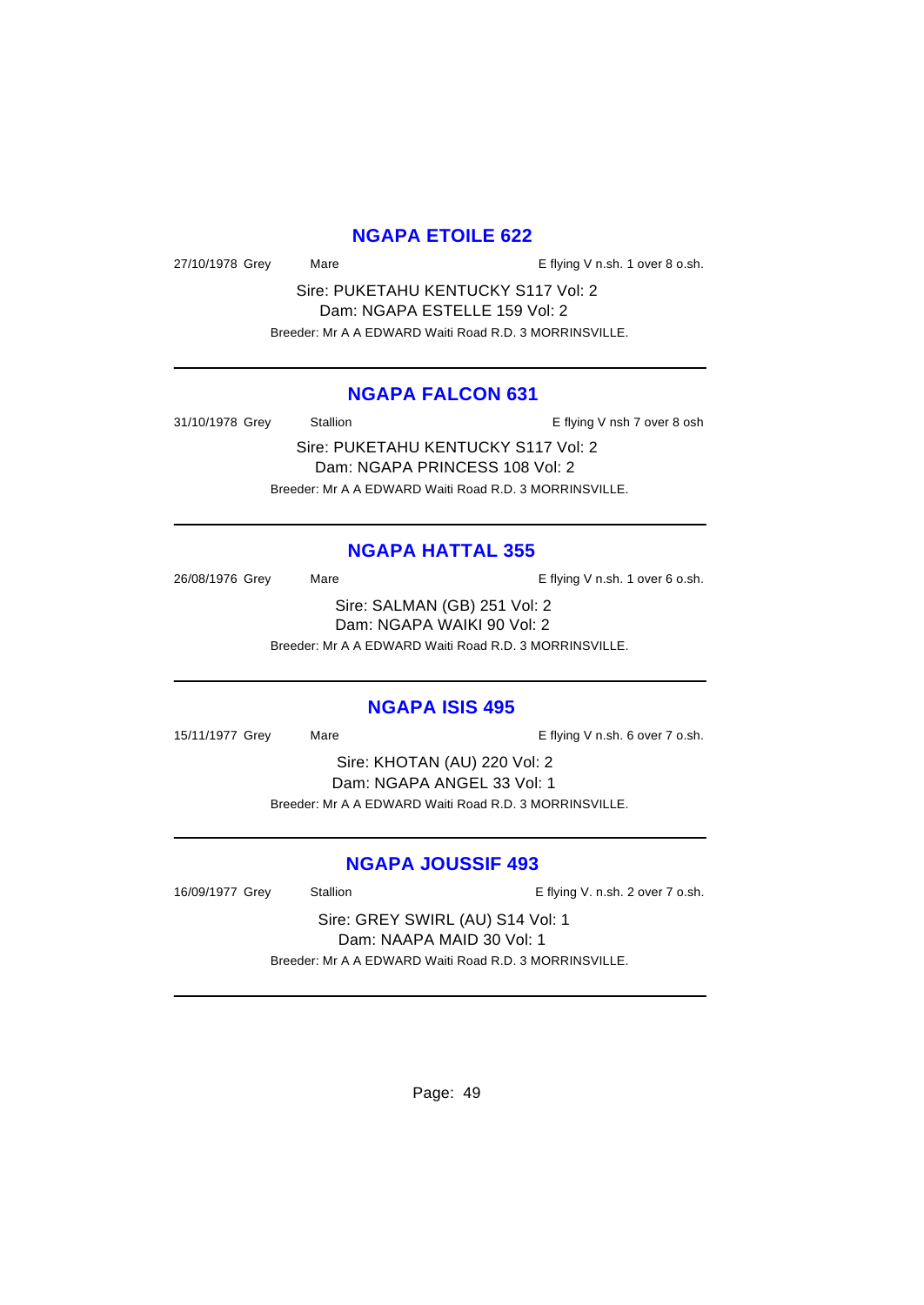## **NGAPA ETOILE 622**

27/10/1978 Grey Mare Mare E flying V n.sh. 1 over 8 o.sh.

Sire: PUKETAHU KENTUCKY S117 Vol: 2 Dam: NGAPA ESTELLE 159 Vol: 2 Breeder: Mr A A EDWARD Waiti Road R.D. 3 MORRINSVILLE.

#### **NGAPA FALCON 631**

31/10/1978 Grey Stallion Stallion E flying V nsh 7 over 8 osh

Sire: PUKETAHU KENTUCKY S117 Vol: 2 Dam: NGAPA PRINCESS 108 Vol: 2 Breeder: Mr A A EDWARD Waiti Road R.D. 3 MORRINSVILLE.

# **NGAPA HATTAL 355**

26/08/1976 Grey Mare Mare E flying V n.sh. 1 over 6 o.sh. Sire: SALMAN (GB) 251 Vol: 2 Dam: NGAPA WAIKI 90 Vol: 2

Breeder: Mr A A EDWARD Waiti Road R.D. 3 MORRINSVILLE.

#### **NGAPA ISIS 495**

15/11/1977 Grey Mare Mare E flying V n.sh. 6 over 7 o.sh.

Sire: KHOTAN (AU) 220 Vol: 2 Dam: NGAPA ANGEL 33 Vol: 1 Breeder: Mr A A EDWARD Waiti Road R.D. 3 MORRINSVILLE.

# **NGAPA JOUSSIF 493**

16/09/1977 Grey Stallion E flying V. n.sh. 2 over 7 o.sh.

Sire: GREY SWIRL (AU) S14 Vol: 1 Dam: NAAPA MAID 30 Vol: 1 Breeder: Mr A A EDWARD Waiti Road R.D. 3 MORRINSVILLE.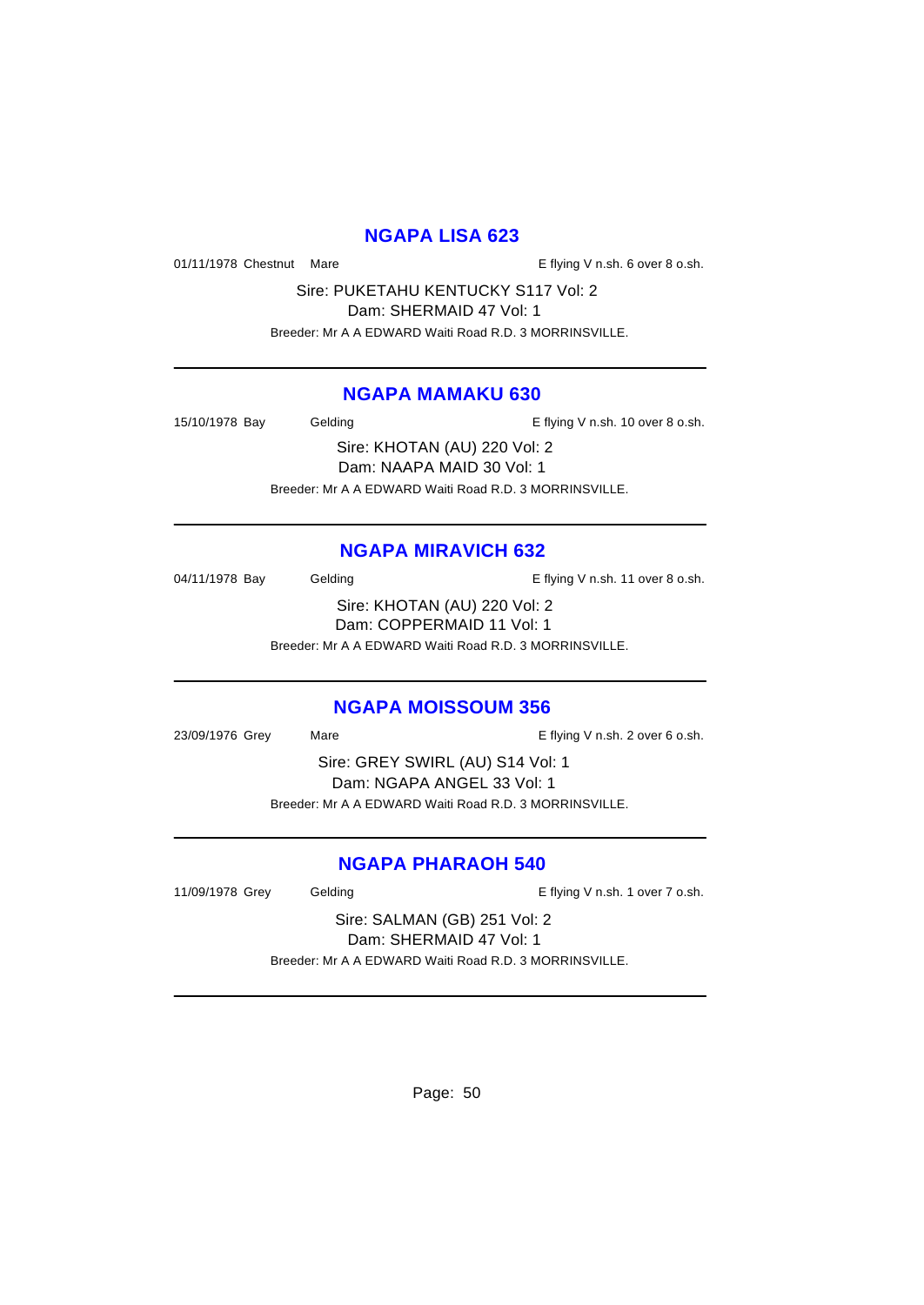#### **NGAPA LISA 623**

01/11/1978 Chestnut Mare **E** flying V n.sh. 6 over 8 o.sh.

Sire: PUKETAHU KENTUCKY S117 Vol: 2

Dam: SHERMAID 47 Vol: 1

Breeder: Mr A A EDWARD Waiti Road R.D. 3 MORRINSVILLE.

## **NGAPA MAMAKU 630**

15/10/1978 Bay Gelding Casset Controller E flying V n.sh. 10 over 8 o.sh.

Sire: KHOTAN (AU) 220 Vol: 2 Dam: NAAPA MAID 30 Vol: 1 Breeder: Mr A A EDWARD Waiti Road R.D. 3 MORRINSVILLE.

# **NGAPA MIRAVICH 632**

04/11/1978 Bay Gelding Gelding E flying V n.sh. 11 over 8 o.sh. Sire: KHOTAN (AU) 220 Vol: 2 Dam: COPPERMAID 11 Vol: 1 Breeder: Mr A A EDWARD Waiti Road R.D. 3 MORRINSVILLE.

# **NGAPA MOISSOUM 356**

23/09/1976 Grey Mare Mare E flying V n.sh. 2 over 6 o.sh.

Sire: GREY SWIRL (AU) S14 Vol: 1 Dam: NGAPA ANGEL 33 Vol: 1 Breeder: Mr A A EDWARD Waiti Road R.D. 3 MORRINSVILLE.

# **NGAPA PHARAOH 540**

11/09/1978 Grey Gelding Cash E flying V n.sh. 1 over 7 o.sh.

Sire: SALMAN (GB) 251 Vol: 2 Dam: SHERMAID 47 Vol: 1 Breeder: Mr A A EDWARD Waiti Road R.D. 3 MORRINSVILLE.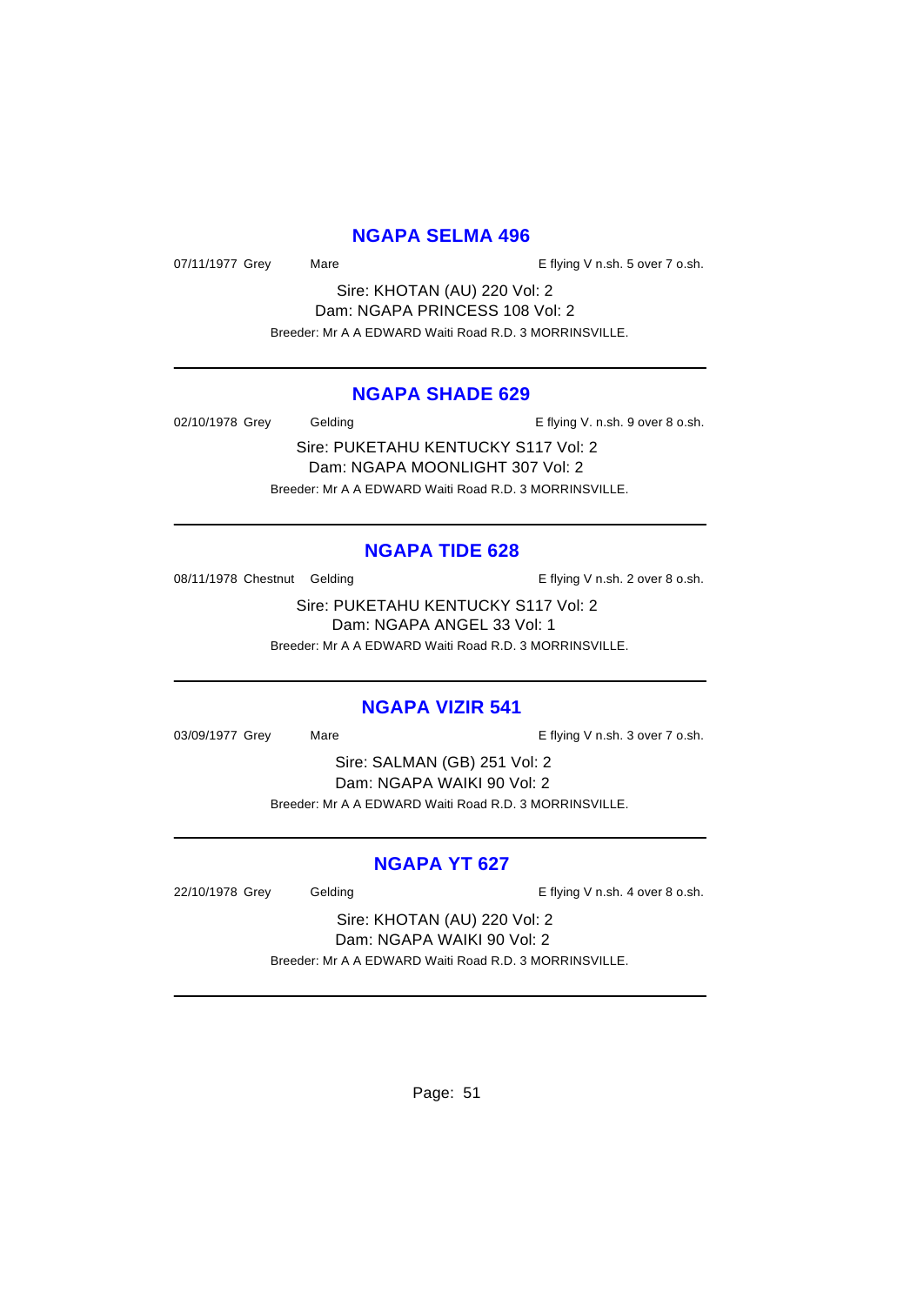## **NGAPA SELMA 496**

07/11/1977 Grey Mare Mare E flying V n.sh. 5 over 7 o.sh.

Sire: KHOTAN (AU) 220 Vol: 2 Dam: NGAPA PRINCESS 108 Vol: 2 Breeder: Mr A A EDWARD Waiti Road R.D. 3 MORRINSVILLE.

## **NGAPA SHADE 629**

02/10/1978 Grey Gelding Gelding E flying V. n.sh. 9 over 8 o.sh.

Sire: PUKETAHU KENTUCKY S117 Vol: 2 Dam: NGAPA MOONLIGHT 307 Vol: 2 Breeder: Mr A A EDWARD Waiti Road R.D. 3 MORRINSVILLE.

#### **NGAPA TIDE 628**

08/11/1978 Chestnut Gelding The Second Level of the E flying V n.sh. 2 over 8 o.sh.

Sire: PUKETAHU KENTUCKY S117 Vol: 2 Dam: NGAPA ANGEL 33 Vol: 1 Breeder: Mr A A EDWARD Waiti Road R.D. 3 MORRINSVILLE.

#### **NGAPA VIZIR 541**

03/09/1977 Grey Mare Mare E flying V n.sh. 3 over 7 o.sh.

Sire: SALMAN (GB) 251 Vol: 2 Dam: NGAPA WAIKI 90 Vol: 2 Breeder: Mr A A EDWARD Waiti Road R.D. 3 MORRINSVILLE.

#### **NGAPA YT 627**

22/10/1978 Grey Gelding Casses Contact Telecommunic E flying V n.sh. 4 over 8 o.sh.

Sire: KHOTAN (AU) 220 Vol: 2 Dam: NGAPA WAIKI 90 Vol: 2 Breeder: Mr A A EDWARD Waiti Road R.D. 3 MORRINSVILLE.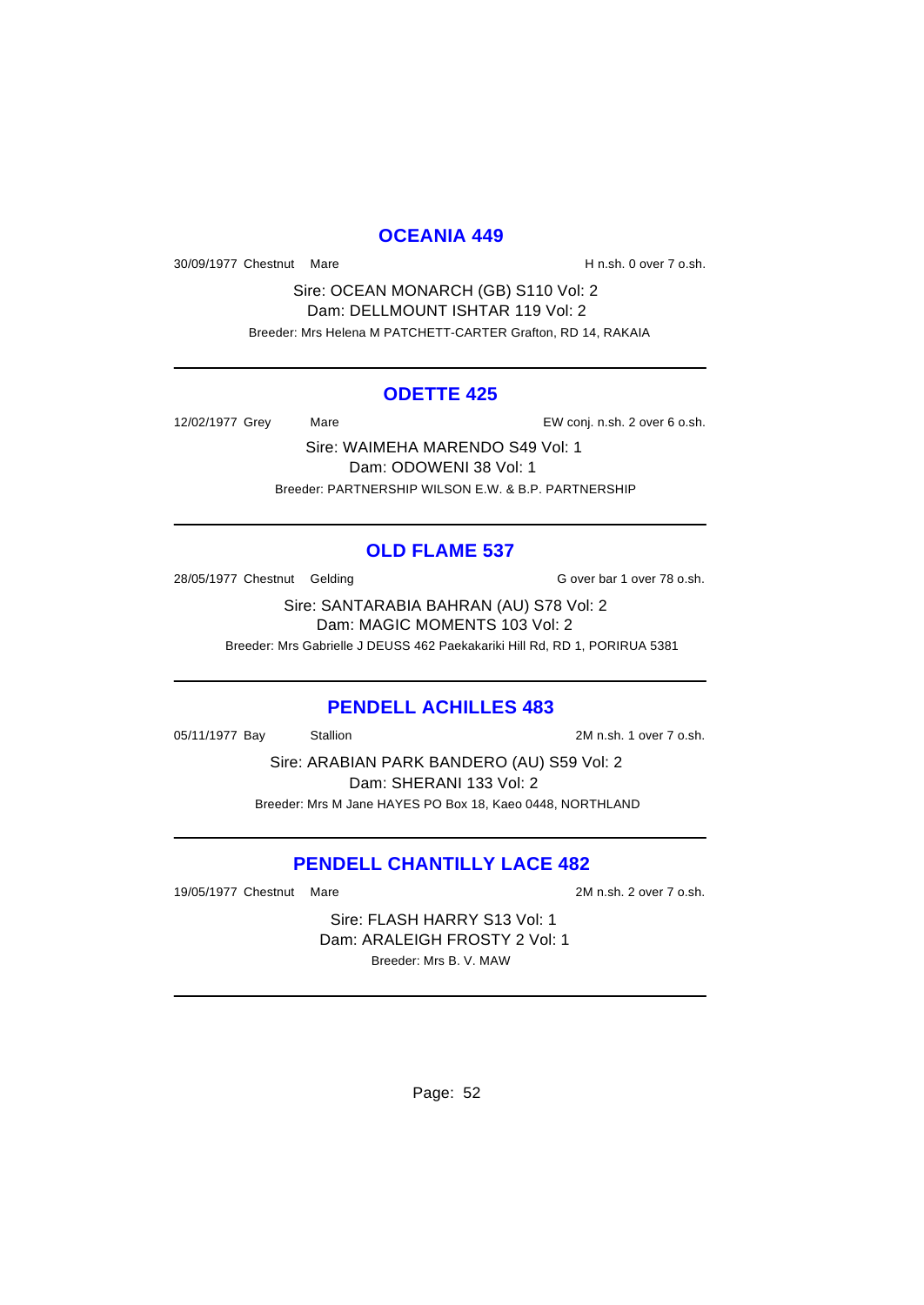#### **OCEANIA 449**

30/09/1977 Chestnut Mare **H** n.sh. 0 over 7 o.sh.

Sire: OCEAN MONARCH (GB) S110 Vol: 2 Dam: DELLMOUNT ISHTAR 119 Vol: 2 Breeder: Mrs Helena M PATCHETT-CARTER Grafton, RD 14, RAKAIA

#### **ODETTE 425**

12/02/1977 Grey Mare Mare EW conj. n.sh. 2 over 6 o.sh.

Sire: WAIMEHA MARENDO S49 Vol: 1 Dam: ODOWENI 38 Vol: 1 Breeder: PARTNERSHIP WILSON E.W. & B.P. PARTNERSHIP

## **OLD FLAME 537**

28/05/1977 Chestnut Gelding G over bar 1 over 78 o.sh.

Sire: SANTARABIA BAHRAN (AU) S78 Vol: 2 Dam: MAGIC MOMENTS 103 Vol: 2

Breeder: Mrs Gabrielle J DEUSS 462 Paekakariki Hill Rd, RD 1, PORIRUA 5381

#### **PENDELL ACHILLES 483**

05/11/1977 Bay Stallion 3. Stallion 2M n.sh. 1 over 7 o.sh.

Sire: ARABIAN PARK BANDERO (AU) S59 Vol: 2 Dam: SHERANI 133 Vol: 2 Breeder: Mrs M Jane HAYES PO Box 18, Kaeo 0448, NORTHLAND

# **PENDELL CHANTILLY LACE 482**

19/05/1977 Chestnut Mare 2M n.sh. 2 over 7 o.sh.

Sire: FLASH HARRY S13 Vol: 1 Dam: ARALEIGH FROSTY 2 Vol: 1 Breeder: Mrs B. V. MAW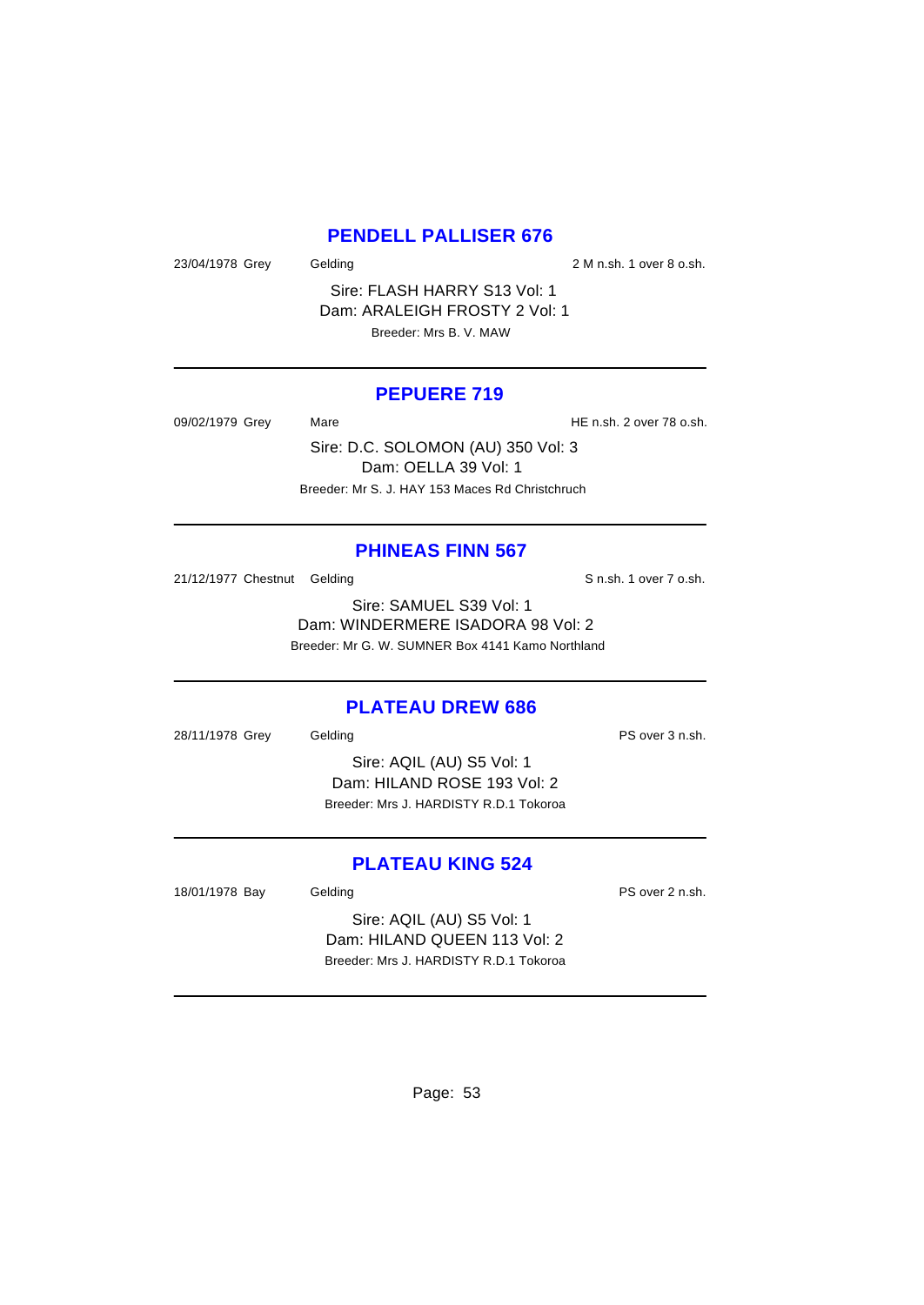#### **PENDELL PALLISER 676**

23/04/1978 Grey Gelding 2 M n.sh. 1 over 8 o.sh.

Sire: FLASH HARRY S13 Vol: 1 Dam: ARALEIGH FROSTY 2 Vol: 1 Breeder: Mrs B. V. MAW

#### **PEPUERE 719**

09/02/1979 Grey Mare Mare HE n.sh. 2 over 78 o.sh.

Sire: D.C. SOLOMON (AU) 350 Vol: 3 Dam: OELLA 39 Vol: 1 Breeder: Mr S. J. HAY 153 Maces Rd Christchruch

#### **PHINEAS FINN 567**

21/12/1977 Chestnut Gelding S n.sh. 1 over 7 o.sh.

Sire: SAMUEL S39 Vol: 1 Dam: WINDERMERE ISADORA 98 Vol: 2 Breeder: Mr G. W. SUMNER Box 4141 Kamo Northland

#### **PLATEAU DREW 686**

28/11/1978 Grey Gelding PS over 3 n.sh.

Sire: AQIL (AU) S5 Vol: 1 Dam: HILAND ROSE 193 Vol: 2 Breeder: Mrs J. HARDISTY R.D.1 Tokoroa

## **PLATEAU KING 524**

18/01/1978 Bay Gelding Casset Control and PS over 2 n.sh.

Sire: AQIL (AU) S5 Vol: 1 Dam: HILAND QUEEN 113 Vol: 2 Breeder: Mrs J. HARDISTY R.D.1 Tokoroa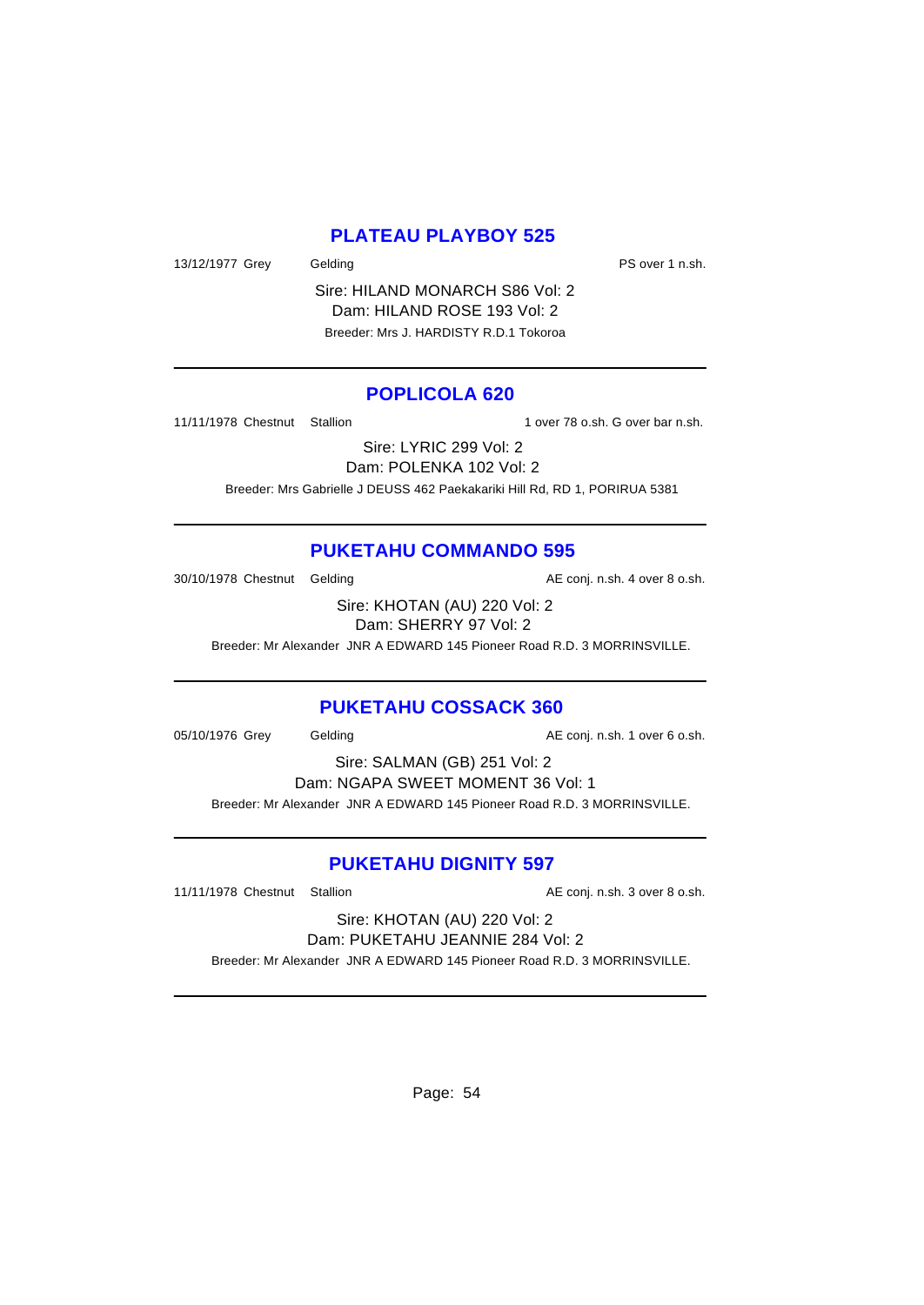# **PLATEAU PLAYBOY 525**

13/12/1977 Grey Gelding Care Contact Contact PS over 1 n.sh.

Sire: HILAND MONARCH S86 Vol: 2 Dam: HILAND ROSE 193 Vol: 2 Breeder: Mrs J. HARDISTY R.D.1 Tokoroa

## **POPLICOLA 620**

11/11/1978 Chestnut Stallion 1 over 78 o.sh. G over bar n.sh.

Sire: LYRIC 299 Vol: 2 Dam: POLENKA 102 Vol: 2

Breeder: Mrs Gabrielle J DEUSS 462 Paekakariki Hill Rd, RD 1, PORIRUA 5381

# **PUKETAHU COMMANDO 595**

30/10/1978 Chestnut Gelding and all the AE conj. n.sh. 4 over 8 o.sh.

Sire: KHOTAN (AU) 220 Vol: 2 Dam: SHERRY 97 Vol: 2

Breeder: Mr Alexander JNR A EDWARD 145 Pioneer Road R.D. 3 MORRINSVILLE.

#### **PUKETAHU COSSACK 360**

05/10/1976 Grey Gelding Conj. n.sh. 1 over 6 o.sh.

Sire: SALMAN (GB) 251 Vol: 2 Dam: NGAPA SWEET MOMENT 36 Vol: 1 Breeder: Mr Alexander JNR A EDWARD 145 Pioneer Road R.D. 3 MORRINSVILLE.

# **PUKETAHU DIGNITY 597**

11/11/1978 Chestnut Stallion **AE conj.** n.sh. 3 over 8 o.sh.

Sire: KHOTAN (AU) 220 Vol: 2 Dam: PUKETAHU JEANNIE 284 Vol: 2

Breeder: Mr Alexander JNR A EDWARD 145 Pioneer Road R.D. 3 MORRINSVILLE.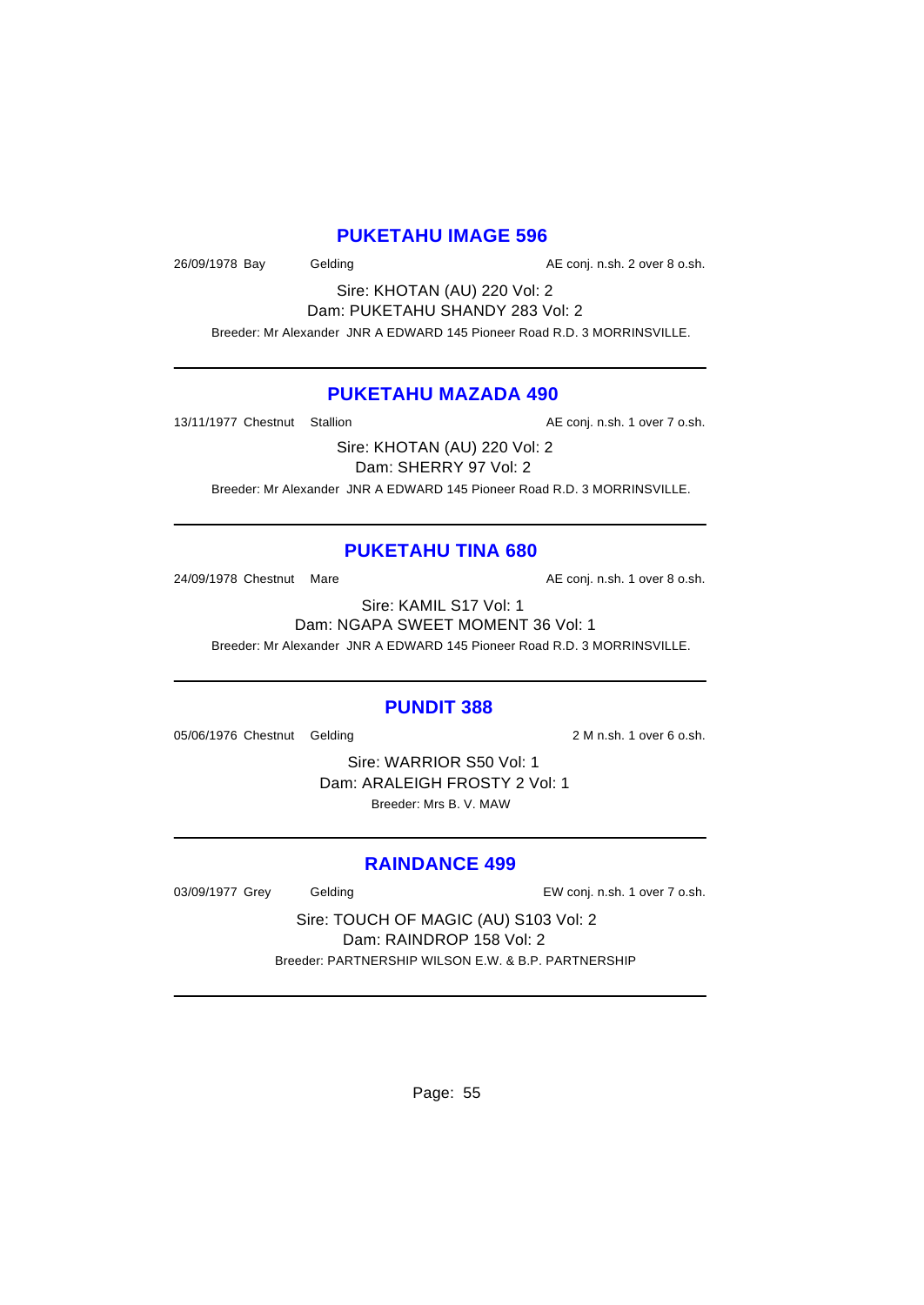#### **PUKETAHU IMAGE 596**

26/09/1978 Bay Gelding Casset Conj. n.sh. 2 over 8 o.sh.

Sire: KHOTAN (AU) 220 Vol: 2 Dam: PUKETAHU SHANDY 283 Vol: 2

Breeder: Mr Alexander JNR A EDWARD 145 Pioneer Road R.D. 3 MORRINSVILLE.

#### **PUKETAHU MAZADA 490**

13/11/1977 Chestnut Stallion **AE conj.** n.sh. 1 over 7 o.sh.

Sire: KHOTAN (AU) 220 Vol: 2

Dam: SHERRY 97 Vol: 2

Breeder: Mr Alexander JNR A EDWARD 145 Pioneer Road R.D. 3 MORRINSVILLE.

#### **PUKETAHU TINA 680**

24/09/1978 Chestnut Mare **AE conj.** n.sh. 1 over 8 o.sh.

Sire: KAMIL S17 Vol: 1 Dam: NGAPA SWEET MOMENT 36 Vol: 1 Breeder: Mr Alexander JNR A EDWARD 145 Pioneer Road R.D. 3 MORRINSVILLE.

#### **PUNDIT 388**

05/06/1976 Chestnut Gelding 2 M n.sh. 1 over 6 o.sh.

Sire: WARRIOR S50 Vol: 1 Dam: ARALEIGH FROSTY 2 Vol: 1 Breeder: Mrs B. V. MAW

#### **RAINDANCE 499**

03/09/1977 Grey Gelding Casset Conj. n.sh. 1 over 7 o.sh.

Sire: TOUCH OF MAGIC (AU) S103 Vol: 2 Dam: RAINDROP 158 Vol: 2 Breeder: PARTNERSHIP WILSON E.W. & B.P. PARTNERSHIP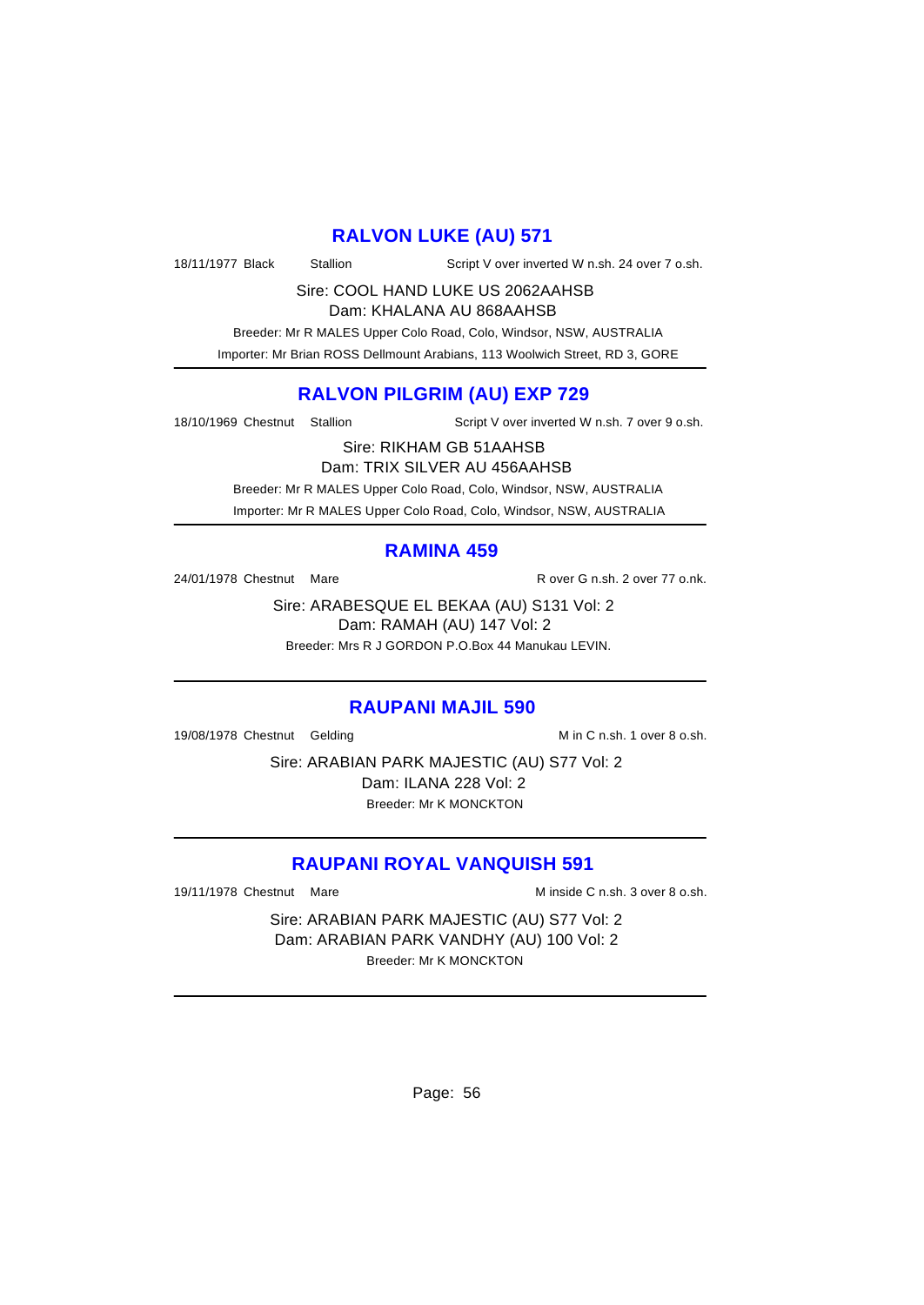# **RALVON LUKE (AU) 571**

18/11/1977 Black Stallion Script V over inverted W n.sh. 24 over 7 o.sh.

Sire: COOL HAND LUKE US 2062AAHSB

Dam: KHALANA AU 868AAHSB

 Breeder: Mr R MALES Upper Colo Road, Colo, Windsor, NSW, AUSTRALIA Importer: Mr Brian ROSS Dellmount Arabians, 113 Woolwich Street, RD 3, GORE

# **RALVON PILGRIM (AU) EXP 729**

18/10/1969 Chestnut Stallion Script V over inverted W n.sh. 7 over 9 o.sh.

Sire: RIKHAM GB 51AAHSB

Dam: TRIX SILVER AU 456AAHSB Breeder: Mr R MALES Upper Colo Road, Colo, Windsor, NSW, AUSTRALIA

Importer: Mr R MALES Upper Colo Road, Colo, Windsor, NSW, AUSTRALIA

## **RAMINA 459**

24/01/1978 Chestnut Mare **R** over G n.sh. 2 over 77 o.nk.

Sire: ARABESQUE EL BEKAA (AU) S131 Vol: 2 Dam: RAMAH (AU) 147 Vol: 2 Breeder: Mrs R J GORDON P.O.Box 44 Manukau LEVIN.

#### **RAUPANI MAJIL 590**

19/08/1978 Chestnut Gelding M in C n.sh. 1 over 8 o.sh.

Sire: ARABIAN PARK MAJESTIC (AU) S77 Vol: 2 Dam: ILANA 228 Vol: 2 Breeder: Mr K MONCKTON

# **RAUPANI ROYAL VANQUISH 591**

19/11/1978 Chestnut Mare M inside C n.sh. 3 over 8 o.sh.

Sire: ARABIAN PARK MAJESTIC (AU) S77 Vol: 2 Dam: ARABIAN PARK VANDHY (AU) 100 Vol: 2 Breeder: Mr K MONCKTON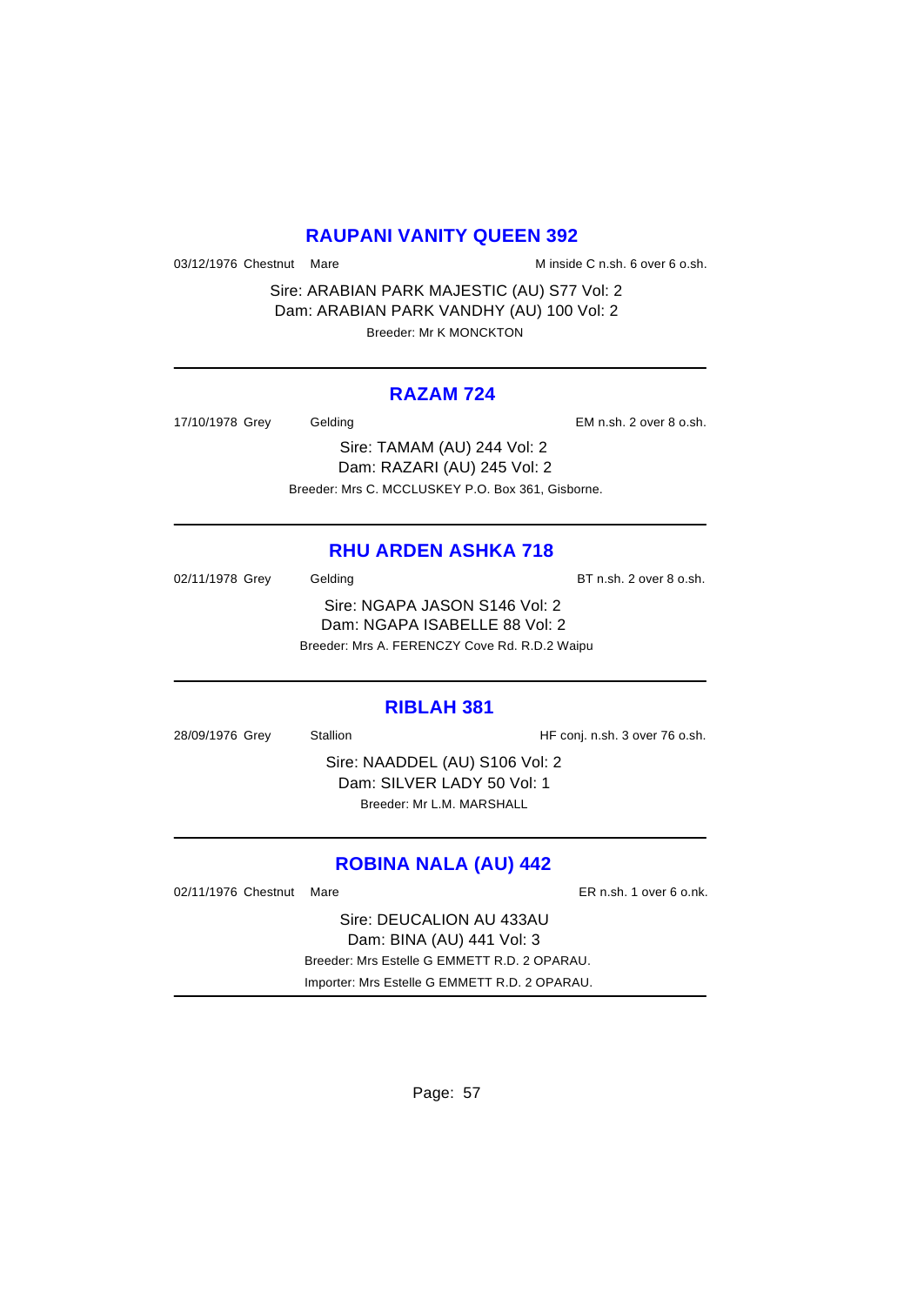#### **RAUPANI VANITY QUEEN 392**

03/12/1976 Chestnut Mare M inside C n.sh. 6 over 6 o.sh.

Sire: ARABIAN PARK MAJESTIC (AU) S77 Vol: 2 Dam: ARABIAN PARK VANDHY (AU) 100 Vol: 2 Breeder: Mr K MONCKTON

#### **RAZAM 724**

| 17/10/1978 Grey | Gelding                                           | EM n.sh. 2 over 8 o.sh. |
|-----------------|---------------------------------------------------|-------------------------|
|                 | Sire: TAMAM (AU) 244 Vol: 2                       |                         |
|                 | Dam: RAZARI (AU) 245 Vol: 2                       |                         |
|                 | Breeder: Mrs C. MCCLUSKEY P.O. Box 361. Gisborne. |                         |

# **RHU ARDEN ASHKA 718**

02/11/1978 Grey Gelding Gelding BT n.sh. 2 over 8 o.sh. Sire: NGAPA JASON S146 Vol: 2 Dam: NGAPA ISABELLE 88 Vol: 2 Breeder: Mrs A. FERENCZY Cove Rd. R.D.2 Waipu

#### **RIBLAH 381**

28/09/1976 Grey Stallion Stallion HF conj. n.sh. 3 over 76 o.sh. Sire: NAADDEL (AU) S106 Vol: 2 Dam: SILVER LADY 50 Vol: 1 Breeder: Mr L.M. MARSHALL

# **ROBINA NALA (AU) 442**

02/11/1976 Chestnut Mare **ER n.sh.** 1 over 6 o.nk.

Sire: DEUCALION AU 433AU Dam: BINA (AU) 441 Vol: 3 Breeder: Mrs Estelle G EMMETT R.D. 2 OPARAU. Importer: Mrs Estelle G EMMETT R.D. 2 OPARAU.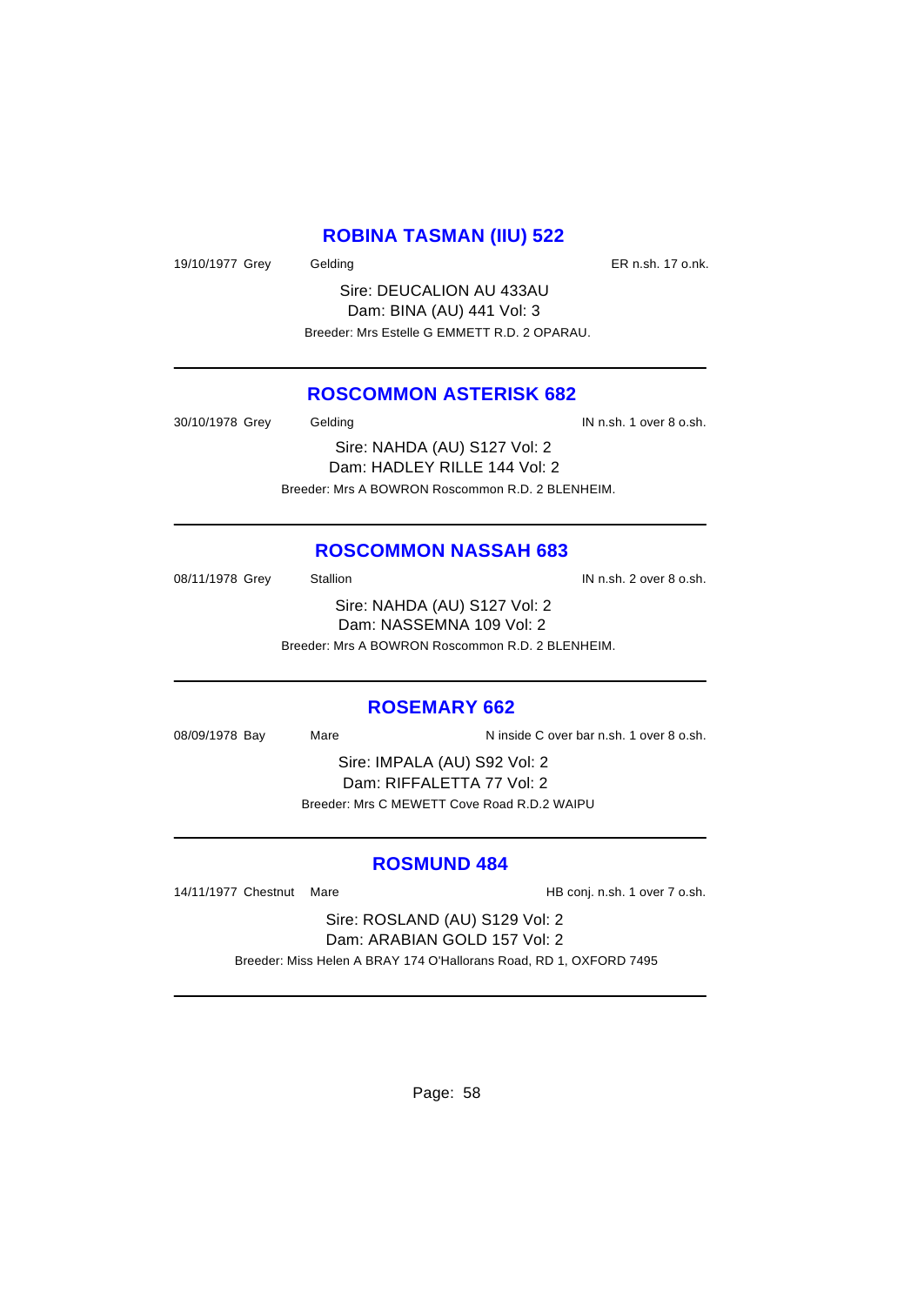#### **ROBINA TASMAN (IIU) 522**

19/10/1977 Grey Gelding Case Control of the ER n.sh. 17 o.nk.

Sire: DEUCALION AU 433AU Dam: BINA (AU) 441 Vol: 3 Breeder: Mrs Estelle G EMMETT R.D. 2 OPARAU.

## **ROSCOMMON ASTERISK 682**

30/10/1978 Grey Gelding In the Second U.S. School of the Second U.S. School of the Second U.S. School of the S Sire: NAHDA (AU) S127 Vol: 2 Dam: HADLEY RILLE 144 Vol: 2 Breeder: Mrs A BOWRON Roscommon R.D. 2 BLENHEIM.

# **ROSCOMMON NASSAH 683**

08/11/1978 Grey Stallion Stallion State State State State State State State State State State State State State Sire: NAHDA (AU) S127 Vol: 2 Dam: NASSEMNA 109 Vol: 2 Breeder: Mrs A BOWRON Roscommon R.D. 2 BLENHEIM.

# **ROSEMARY 662**

08/09/1978 Bay Mare Ninside C over bar n.sh. 1 over 8 o.sh.

Sire: IMPALA (AU) S92 Vol: 2 Dam: RIFFALETTA 77 Vol: 2 Breeder: Mrs C MEWETT Cove Road R.D.2 WAIPU

#### **ROSMUND 484**

14/11/1977 Chestnut Mare **HB** conj. n.sh. 1 over 7 o.sh.

Sire: ROSLAND (AU) S129 Vol: 2 Dam: ARABIAN GOLD 157 Vol: 2

Breeder: Miss Helen A BRAY 174 O'Hallorans Road, RD 1, OXFORD 7495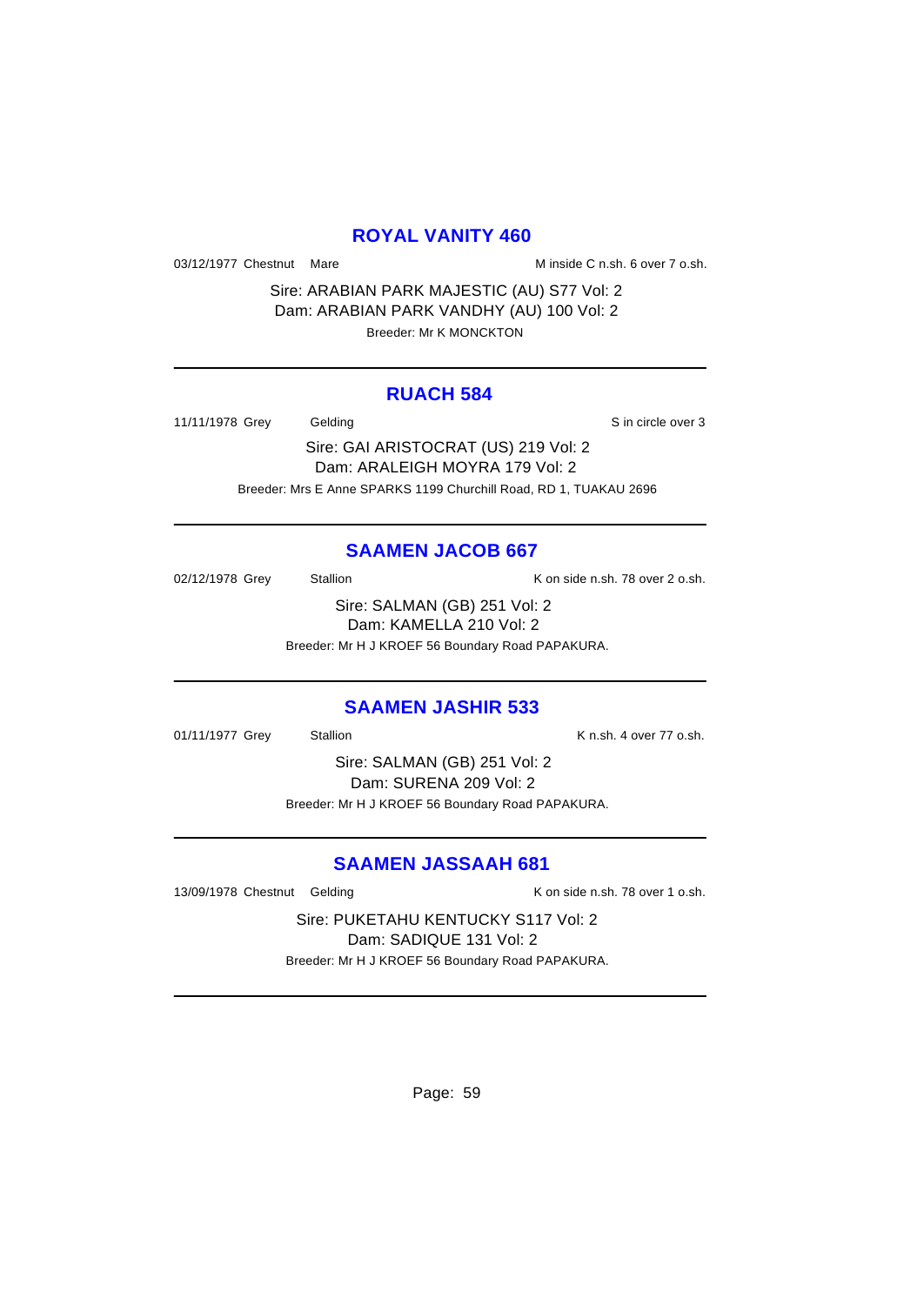#### **ROYAL VANITY 460**

03/12/1977 Chestnut Mare M inside C n.sh. 6 over 7 o.sh.

Sire: ARABIAN PARK MAJESTIC (AU) S77 Vol: 2 Dam: ARABIAN PARK VANDHY (AU) 100 Vol: 2 Breeder: Mr K MONCKTON

#### **RUACH 584**

11/11/1978 Grey Gelding Sin circle over 3

Sire: GAI ARISTOCRAT (US) 219 Vol: 2

Dam: ARALEIGH MOYRA 179 Vol: 2 Breeder: Mrs E Anne SPARKS 1199 Churchill Road, RD 1, TUAKAU 2696

## **SAAMEN JACOB 667**

02/12/1978 Grey Stallion Stallion K on side n.sh. 78 over 2 o.sh. Sire: SALMAN (GB) 251 Vol: 2

Dam: KAMELLA 210 Vol: 2 Breeder: Mr H J KROEF 56 Boundary Road PAPAKURA.

#### **SAAMEN JASHIR 533**

01/11/1977 Grey Stallion Contract Contract Contract Contract Contract Contract Contract Contract Contract Contract Contract Contract Contract Contract Contract Contract Contract Contract Contract Contract Contract Contract

Sire: SALMAN (GB) 251 Vol: 2 Dam: SURENA 209 Vol: 2 Breeder: Mr H J KROEF 56 Boundary Road PAPAKURA.

# **SAAMEN JASSAAH 681**

13/09/1978 Chestnut Gelding The Research Consider November 2016 November 2016

Sire: PUKETAHU KENTUCKY S117 Vol: 2 Dam: SADIQUE 131 Vol: 2 Breeder: Mr H J KROEF 56 Boundary Road PAPAKURA.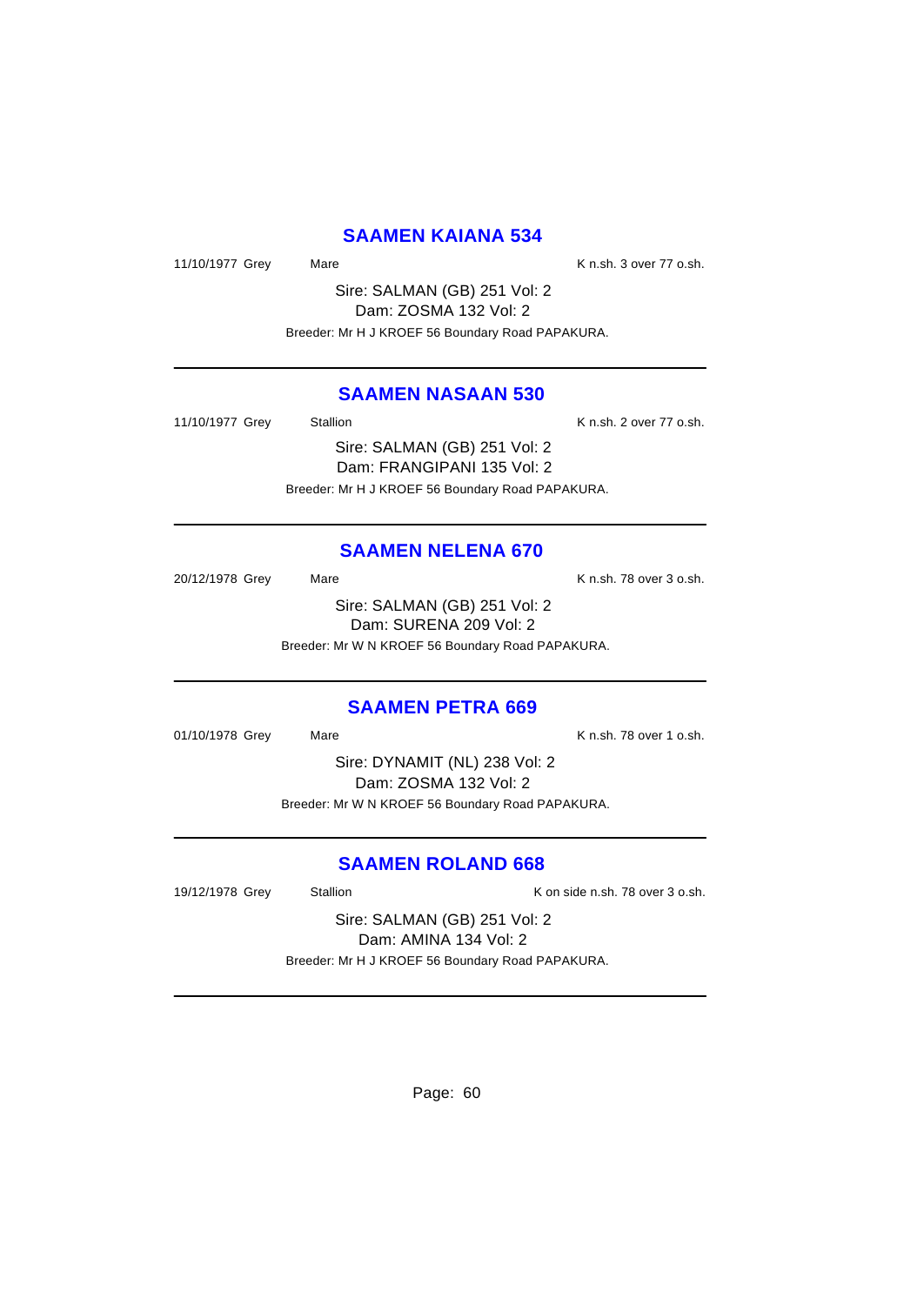#### **SAAMEN KAIANA 534**

11/10/1977 Grey Mare Mare K n.sh. 3 over 77 o.sh.

Sire: SALMAN (GB) 251 Vol: 2 Dam: ZOSMA 132 Vol: 2 Breeder: Mr H J KROEF 56 Boundary Road PAPAKURA.

## **SAAMEN NASAAN 530**

11/10/1977 Grey Stallion Stallion K n.sh. 2 over 77 o.sh. Sire: SALMAN (GB) 251 Vol: 2

Dam: FRANGIPANI 135 Vol: 2 Breeder: Mr H J KROEF 56 Boundary Road PAPAKURA.

#### **SAAMEN NELENA 670**

20/12/1978 Grey Mare Mare K n.sh. 78 over 3 o.sh. Sire: SALMAN (GB) 251 Vol: 2 Dam: SURENA 209 Vol: 2 Breeder: Mr W N KROEF 56 Boundary Road PAPAKURA.

#### **SAAMEN PETRA 669**

01/10/1978 Grey Mare Mare K n.sh. 78 over 1 o.sh.

Sire: DYNAMIT (NL) 238 Vol: 2 Dam: ZOSMA 132 Vol: 2 Breeder: Mr W N KROEF 56 Boundary Road PAPAKURA.

## **SAAMEN ROLAND 668**

19/12/1978 Grey Stallion Stallion K on side n.sh. 78 over 3 o.sh.

Sire: SALMAN (GB) 251 Vol: 2 Dam: AMINA 134 Vol: 2 Breeder: Mr H J KROEF 56 Boundary Road PAPAKURA.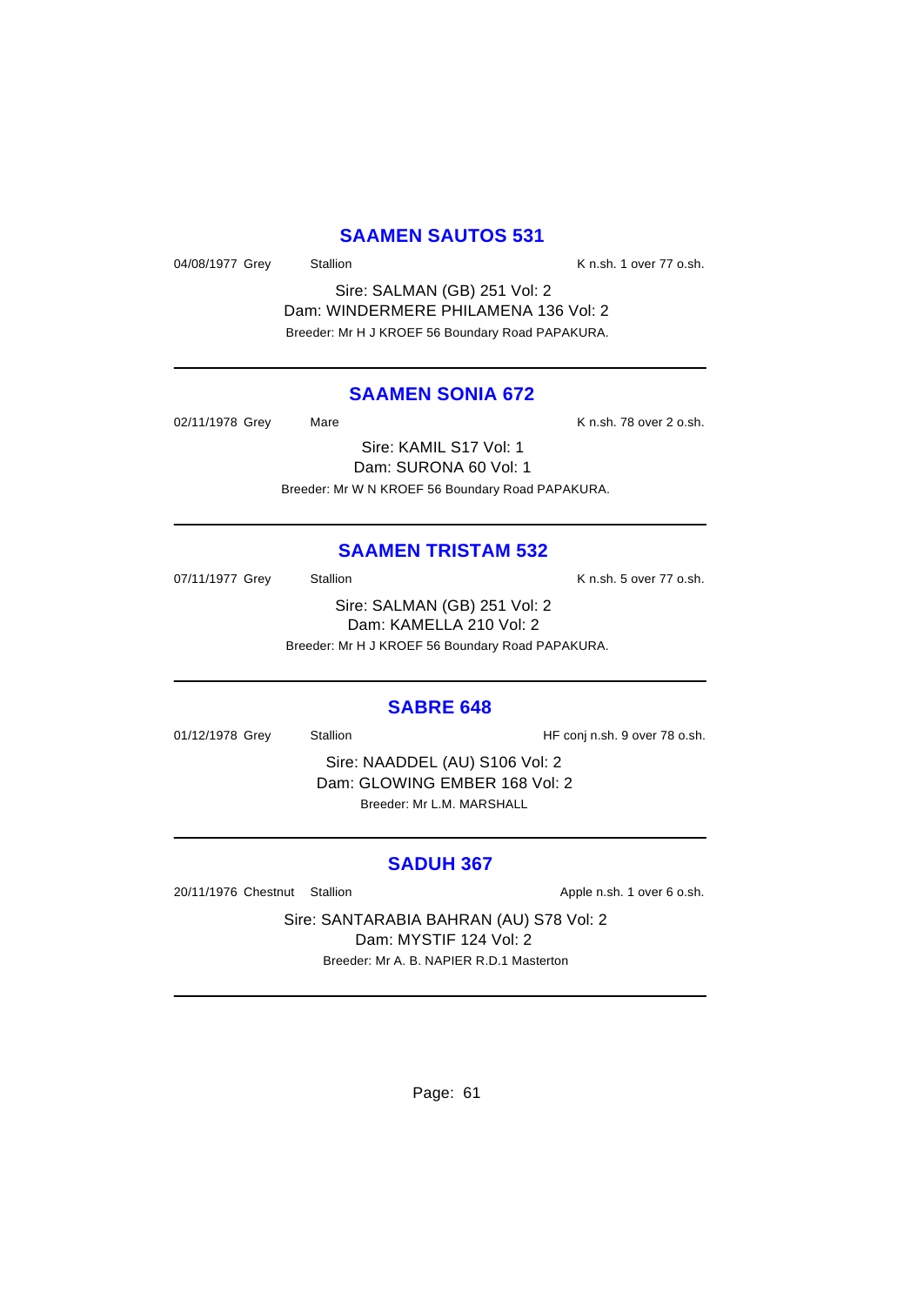#### **SAAMEN SAUTOS 531**

04/08/1977 Grey Stallion Stallion K n.sh. 1 over 77 o.sh.

Sire: SALMAN (GB) 251 Vol: 2 Dam: WINDERMERE PHILAMENA 136 Vol: 2 Breeder: Mr H J KROEF 56 Boundary Road PAPAKURA.

## **SAAMEN SONIA 672**

02/11/1978 Grey Mare Mare K n.sh. 78 over 2 o.sh. Sire: KAMIL S17 Vol: 1 Dam: SURONA 60 Vol: 1 Breeder: Mr W N KROEF 56 Boundary Road PAPAKURA.

## **SAAMEN TRISTAM 532**

07/11/1977 Grey Stallion Stallion K n.sh. 5 over 77 o.sh.

Sire: SALMAN (GB) 251 Vol: 2 Dam: KAMELLA 210 Vol: 2 Breeder: Mr H J KROEF 56 Boundary Road PAPAKURA.

#### **SABRE 648**

01/12/1978 Grey Stallion Stallion HF conj n.sh. 9 over 78 o.sh.

Sire: NAADDEL (AU) S106 Vol: 2 Dam: GLOWING EMBER 168 Vol: 2 Breeder: Mr L.M. MARSHALL

#### **SADUH 367**

20/11/1976 Chestnut Stallion **Apple n.sh. 1** over 6 o.sh.

Sire: SANTARABIA BAHRAN (AU) S78 Vol: 2 Dam: MYSTIF 124 Vol: 2 Breeder: Mr A. B. NAPIER R.D.1 Masterton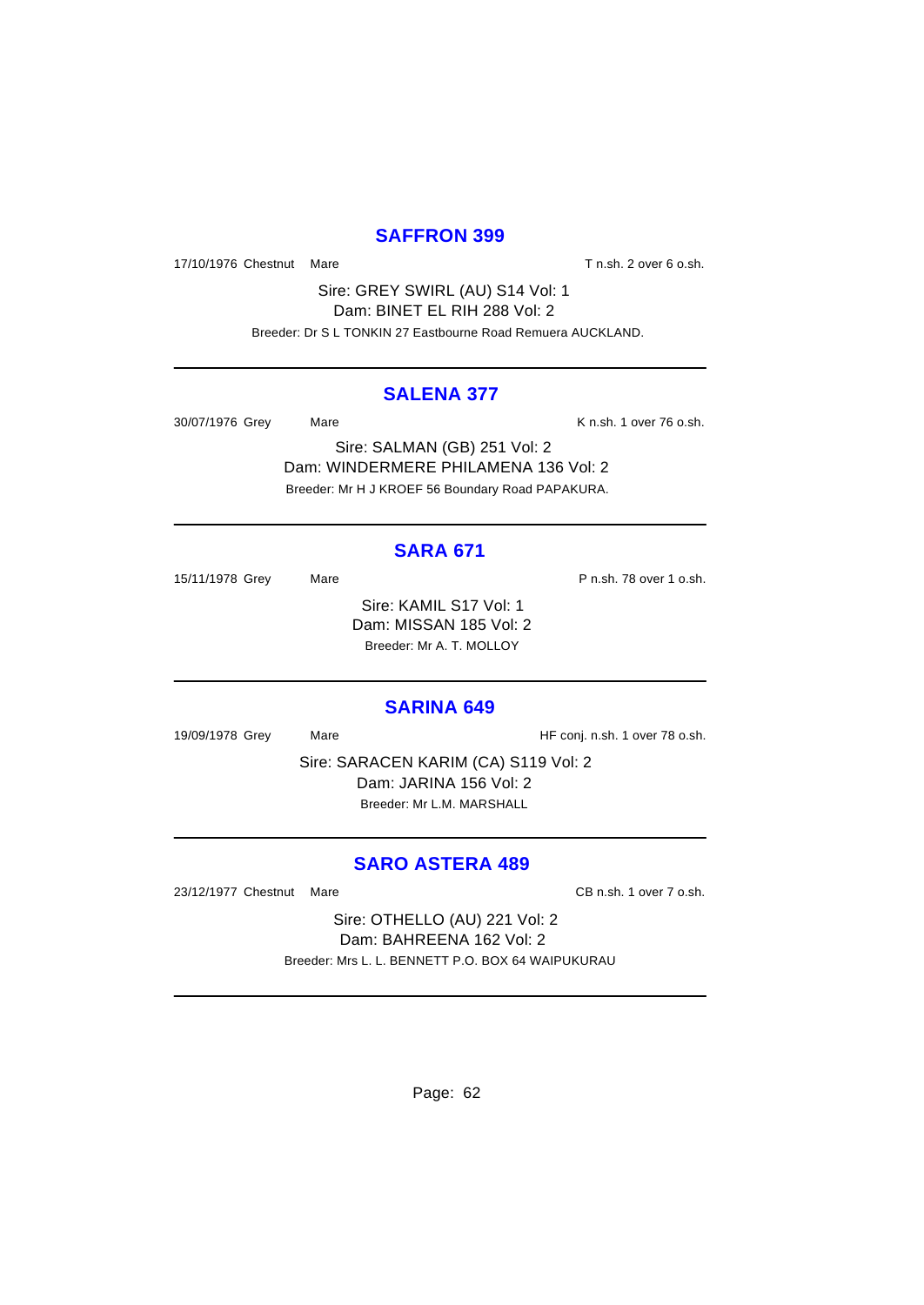## **SAFFRON 399**

17/10/1976 Chestnut Mare **T** n.sh. 2 over 6 o.sh.

Sire: GREY SWIRL (AU) S14 Vol: 1 Dam: BINET EL RIH 288 Vol: 2

Breeder: Dr S L TONKIN 27 Eastbourne Road Remuera AUCKLAND.

#### **SALENA 377**

30/07/1976 Grey Mare Mare K n.sh. 1 over 76 o.sh.

Sire: SALMAN (GB) 251 Vol: 2 Dam: WINDERMERE PHILAMENA 136 Vol: 2 Breeder: Mr H J KROEF 56 Boundary Road PAPAKURA.

# **SARA 671**

15/11/1978 Grey Mare Mare P n.sh. 78 over 1 o.sh. Sire: KAMIL S17 Vol: 1 Dam: MISSAN 185 Vol: 2 Breeder: Mr A. T. MOLLOY

#### **SARINA 649**

19/09/1978 Grey Mare Mare HF conj. n.sh. 1 over 78 o.sh.

Sire: SARACEN KARIM (CA) S119 Vol: 2 Dam: JARINA 156 Vol: 2 Breeder: Mr L.M. MARSHALL

## **SARO ASTERA 489**

23/12/1977 Chestnut Mare CB n.sh. 1 over 7 o.sh.

Sire: OTHELLO (AU) 221 Vol: 2 Dam: BAHREENA 162 Vol: 2 Breeder: Mrs L. L. BENNETT P.O. BOX 64 WAIPUKURAU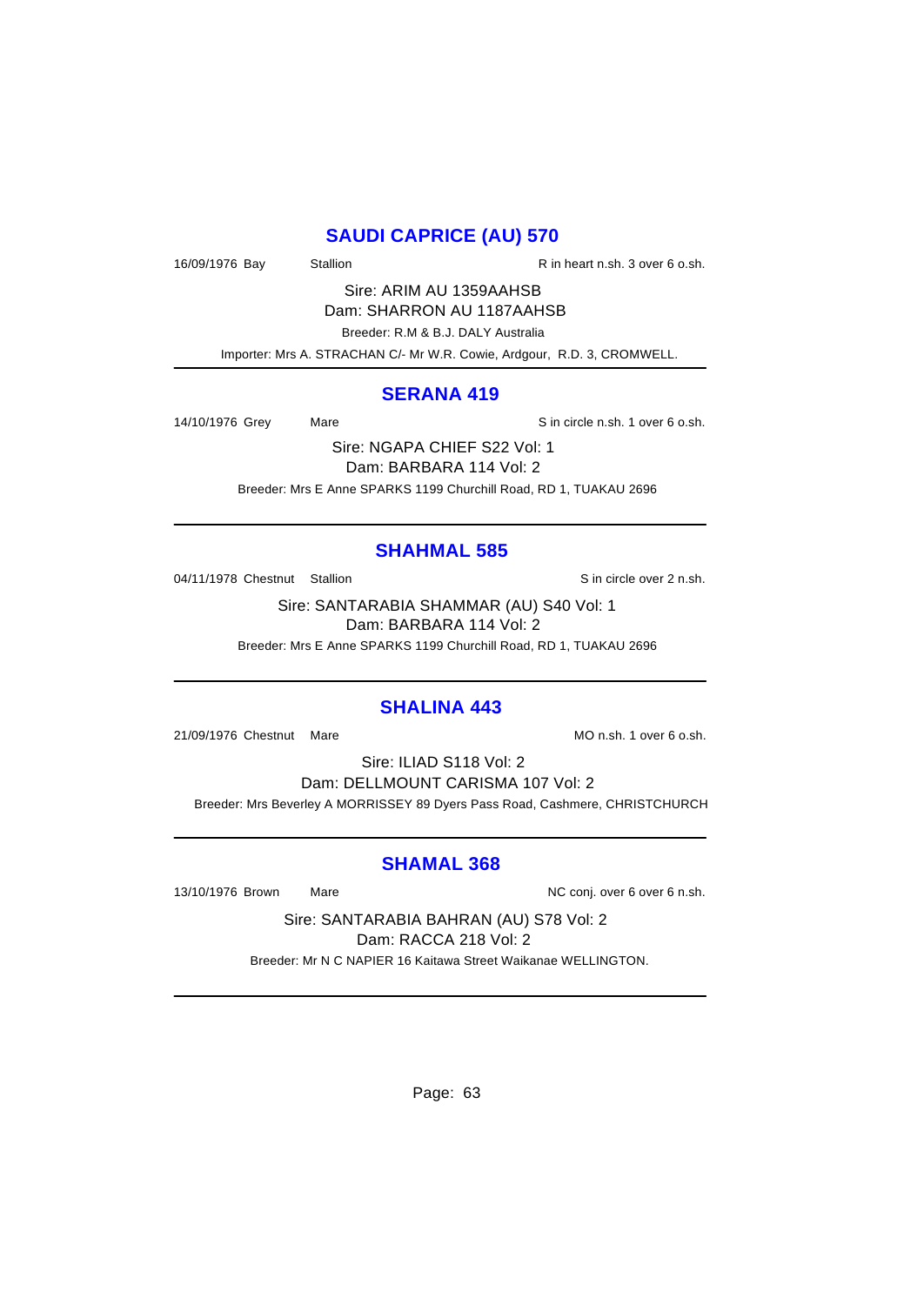# **SAUDI CAPRICE (AU) 570**

16/09/1976 Bay Stallion Stallion R in heart n.sh. 3 over 6 o.sh.

Sire: ARIM AU 1359AAHSB Dam: SHARRON AU 1187AAHSB

Breeder: R.M & B.J. DALY Australia

Importer: Mrs A. STRACHAN C/- Mr W.R. Cowie, Ardgour, R.D. 3, CROMWELL.

#### **SERANA 419**

14/10/1976 Grey Mare Sin circle n.sh. 1 over 6 o.sh.

Sire: NGAPA CHIEF S22 Vol: 1 Dam: BARBARA 114 Vol: 2 Breeder: Mrs E Anne SPARKS 1199 Churchill Road, RD 1, TUAKAU 2696

# **SHAHMAL 585**

04/11/1978 Chestnut Stallion Supervisor Sin circle over 2 n.sh.

Sire: SANTARABIA SHAMMAR (AU) S40 Vol: 1 Dam: BARBARA 114 Vol: 2

Breeder: Mrs E Anne SPARKS 1199 Churchill Road, RD 1, TUAKAU 2696

#### **SHALINA 443**

21/09/1976 Chestnut Mare More Mon.sh. 1 over 6 o.sh.

Sire: ILIAD S118 Vol: 2 Dam: DELLMOUNT CARISMA 107 Vol: 2 Breeder: Mrs Beverley A MORRISSEY 89 Dyers Pass Road, Cashmere, CHRISTCHURCH

#### **SHAMAL 368**

13/10/1976 Brown Mare Mare NC conj. over 6 over 6 n.sh.

Sire: SANTARABIA BAHRAN (AU) S78 Vol: 2 Dam: RACCA 218 Vol: 2

Breeder: Mr N C NAPIER 16 Kaitawa Street Waikanae WELLINGTON.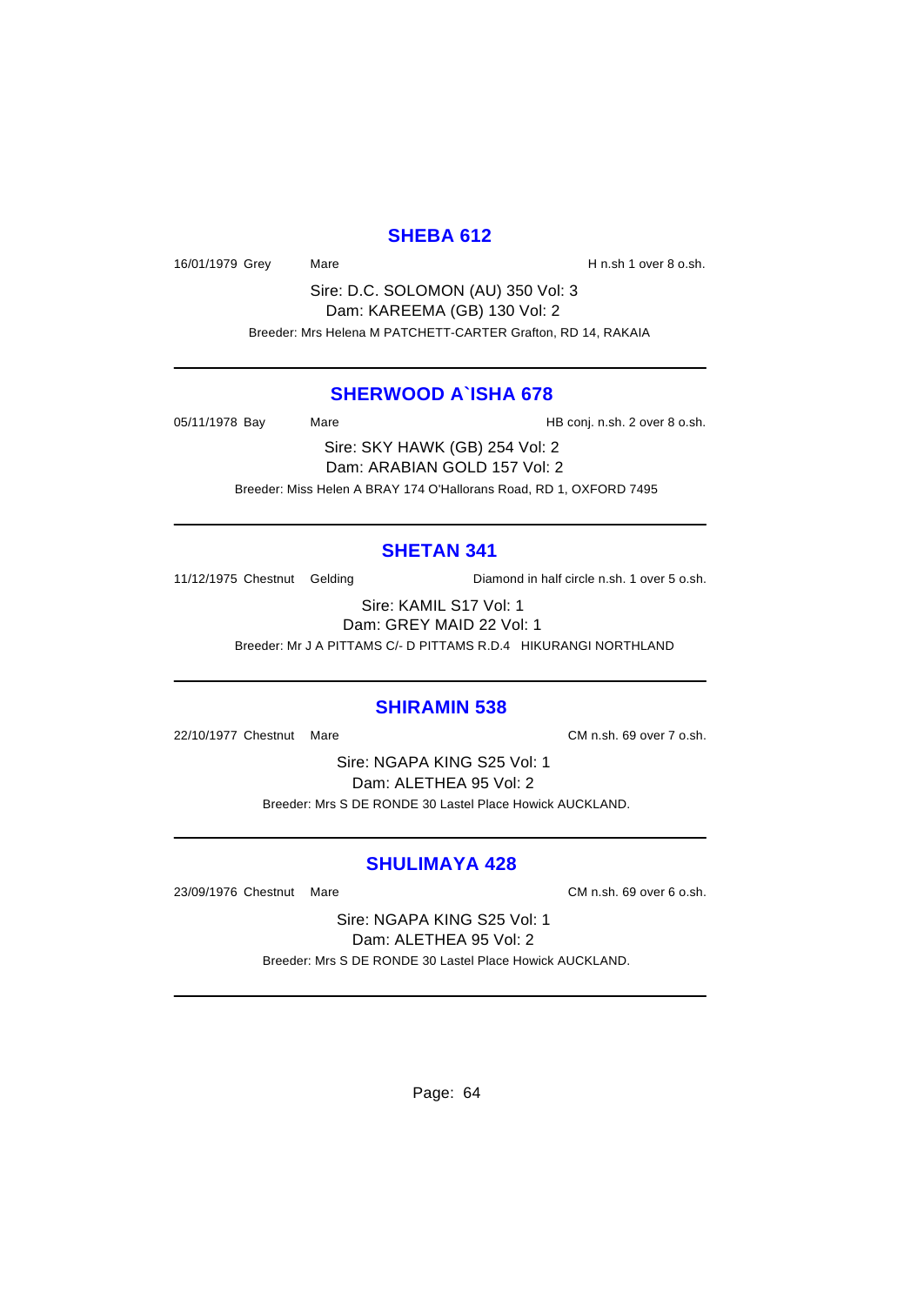## **SHEBA 612**

16/01/1979 Grey Mare Mare H n.sh 1 over 8 o.sh.

Sire: D.C. SOLOMON (AU) 350 Vol: 3 Dam: KAREEMA (GB) 130 Vol: 2 Breeder: Mrs Helena M PATCHETT-CARTER Grafton, RD 14, RAKAIA

#### **SHERWOOD A`ISHA 678**

05/11/1978 Bay Mare Mare HB conj. n.sh. 2 over 8 o.sh.

Sire: SKY HAWK (GB) 254 Vol: 2 Dam: ARABIAN GOLD 157 Vol: 2 Breeder: Miss Helen A BRAY 174 O'Hallorans Road, RD 1, OXFORD 7495

# **SHETAN 341**

11/12/1975 Chestnut Gelding Diamond in half circle n.sh. 1 over 5 o.sh.

Sire: KAMIL S17 Vol: 1 Dam: GREY MAID 22 Vol: 1

Breeder: Mr J A PITTAMS C/- D PITTAMS R.D.4 HIKURANGI NORTHLAND

#### **SHIRAMIN 538**

22/10/1977 Chestnut Mare CM n.sh. 69 over 7 o.sh.

Sire: NGAPA KING S25 Vol: 1 Dam: ALETHEA 95 Vol: 2 Breeder: Mrs S DE RONDE 30 Lastel Place Howick AUCKLAND.

## **SHULIMAYA 428**

23/09/1976 Chestnut Mare CM n.sh. 69 over 6 o.sh.

Sire: NGAPA KING S25 Vol: 1 Dam: ALETHEA 95 Vol: 2 Breeder: Mrs S DE RONDE 30 Lastel Place Howick AUCKLAND.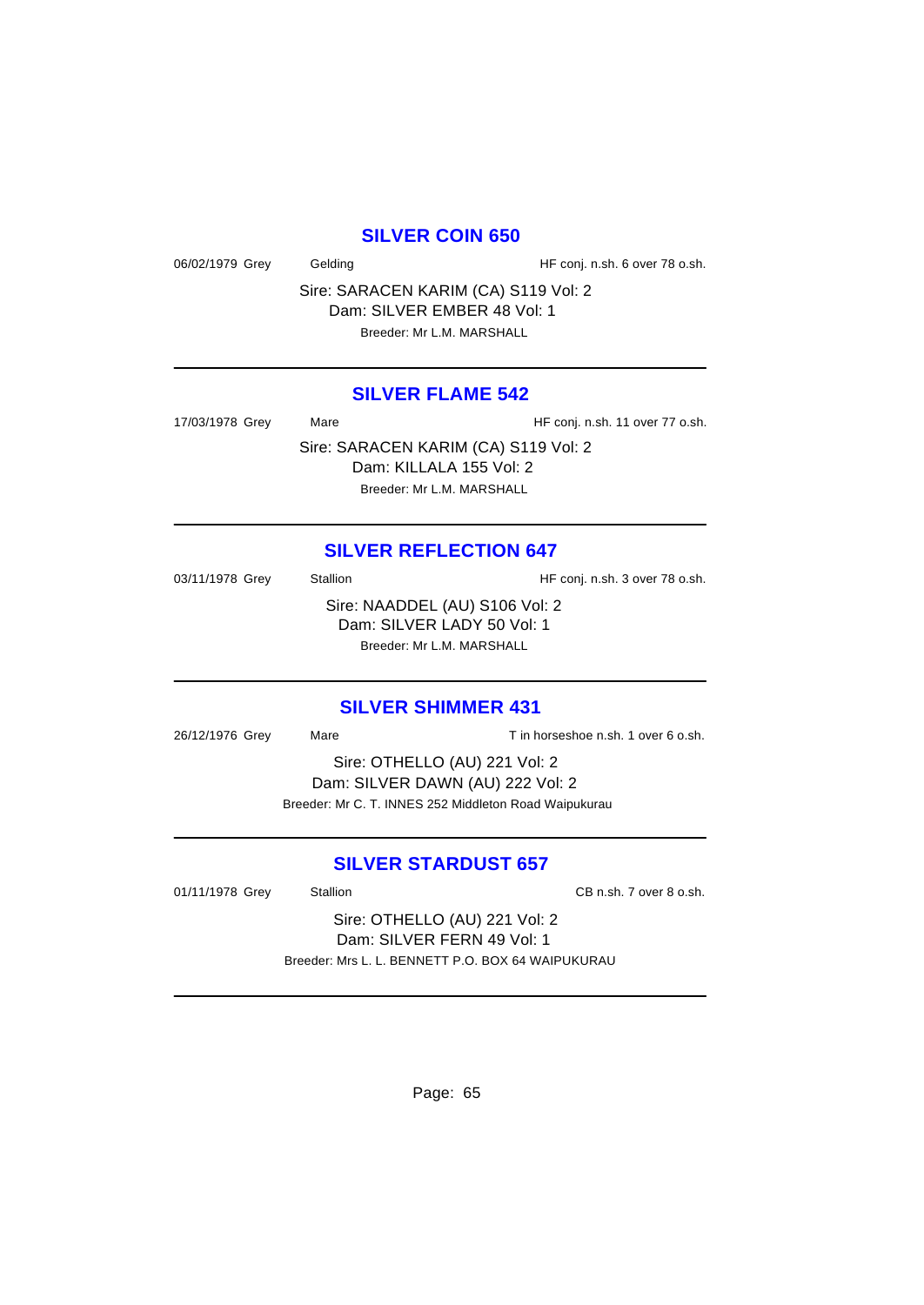#### **SILVER COIN 650**

06/02/1979 Grey Gelding Gelding HF conj. n.sh. 6 over 78 o.sh.

Sire: SARACEN KARIM (CA) S119 Vol: 2 Dam: SILVER EMBER 48 Vol: 1

## **SILVER FLAME 542**

17/03/1978 Grey Mare Mare HF conj. n.sh. 11 over 77 o.sh. Sire: SARACEN KARIM (CA) S119 Vol: 2 Dam: KILLALA 155 Vol: 2 Breeder: Mr L.M. MARSHALL

#### **SILVER REFLECTION 647**

03/11/1978 Grey Stallion Stallion HF conj. n.sh. 3 over 78 o.sh. Sire: NAADDEL (AU) S106 Vol: 2 Dam: SILVER LADY 50 Vol: 1 Breeder: Mr L.M. MARSHALL

#### **SILVER SHIMMER 431**

26/12/1976 Grey Mare Mare Tin horseshoe n.sh. 1 over 6 o.sh. Sire: OTHELLO (AU) 221 Vol: 2

Dam: SILVER DAWN (AU) 222 Vol: 2 Breeder: Mr C. T. INNES 252 Middleton Road Waipukurau

## **SILVER STARDUST 657**

01/11/1978 Grey Stallion Stallion CB n.sh. 7 over 8 o.sh.

Sire: OTHELLO (AU) 221 Vol: 2 Dam: SILVER FERN 49 Vol: 1 Breeder: Mrs L. L. BENNETT P.O. BOX 64 WAIPUKURAU

Page: 65

Breeder: Mr L.M. MARSHALL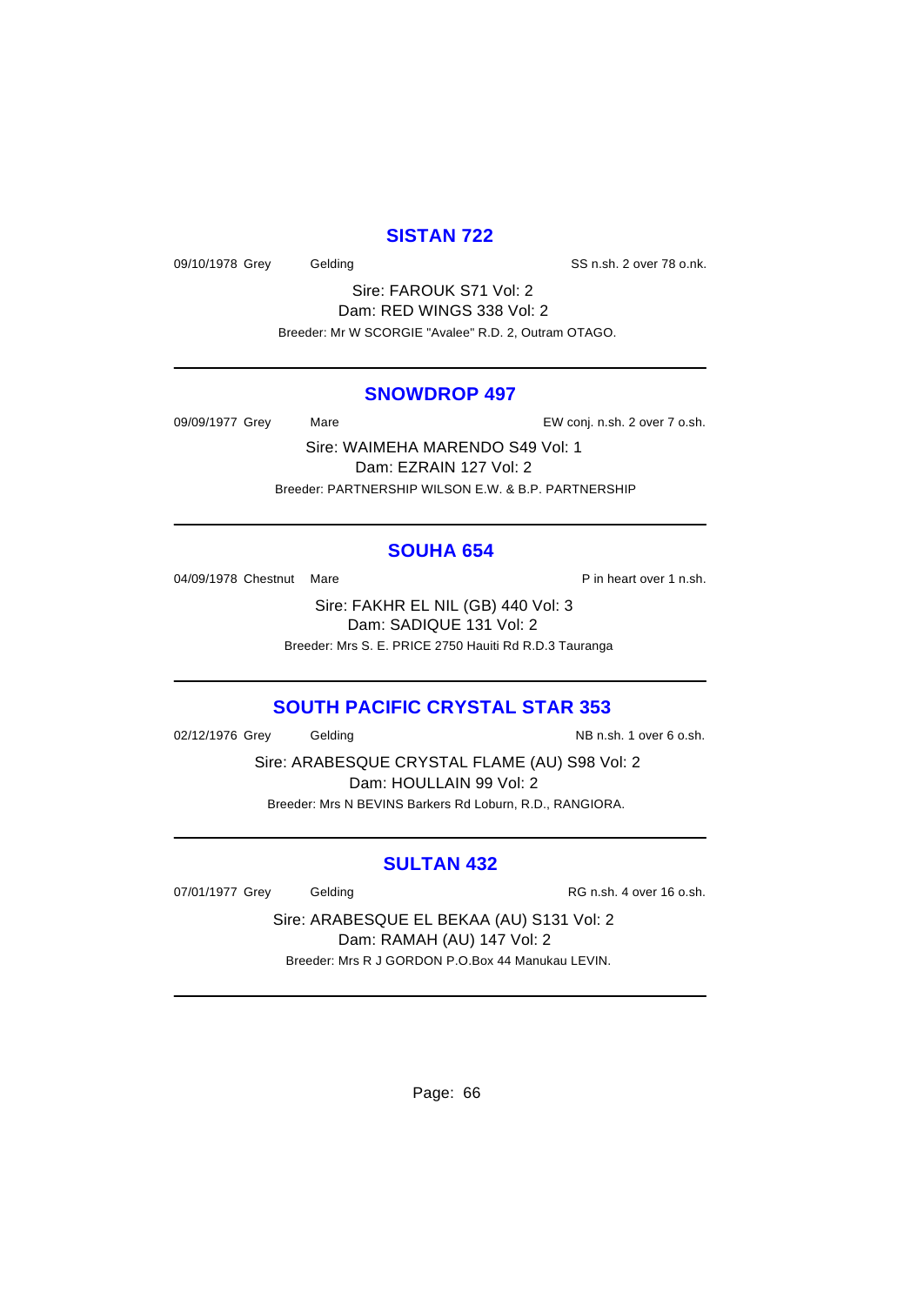# **SISTAN 722**

09/10/1978 Grey Gelding Gelding SS n.sh. 2 over 78 o.nk.

Sire: FAROUK S71 Vol: 2 Dam: RED WINGS 338 Vol: 2 Breeder: Mr W SCORGIE "Avalee" R.D. 2, Outram OTAGO.

#### **SNOWDROP 497**

09/09/1977 Grey Mare Mare EW conj. n.sh. 2 over 7 o.sh.

Sire: WAIMEHA MARENDO S49 Vol: 1 Dam: EZRAIN 127 Vol: 2 Breeder: PARTNERSHIP WILSON E.W. & B.P. PARTNERSHIP

# **SOUHA 654**

04/09/1978 Chestnut Mare **P** in heart over 1 n.sh.

Sire: FAKHR EL NIL (GB) 440 Vol: 3 Dam: SADIQUE 131 Vol: 2 Breeder: Mrs S. E. PRICE 2750 Hauiti Rd R.D.3 Tauranga

# **SOUTH PACIFIC CRYSTAL STAR 353**

02/12/1976 Grey Gelding Communication Communication Communication Communication Communication Communication Co

Sire: ARABESQUE CRYSTAL FLAME (AU) S98 Vol: 2 Dam: HOULLAIN 99 Vol: 2 Breeder: Mrs N BEVINS Barkers Rd Loburn, R.D., RANGIORA.

#### **SULTAN 432**

07/01/1977 Grey Gelding Gelding RG n.sh. 4 over 16 o.sh.

Sire: ARABESQUE EL BEKAA (AU) S131 Vol: 2 Dam: RAMAH (AU) 147 Vol: 2 Breeder: Mrs R J GORDON P.O.Box 44 Manukau LEVIN.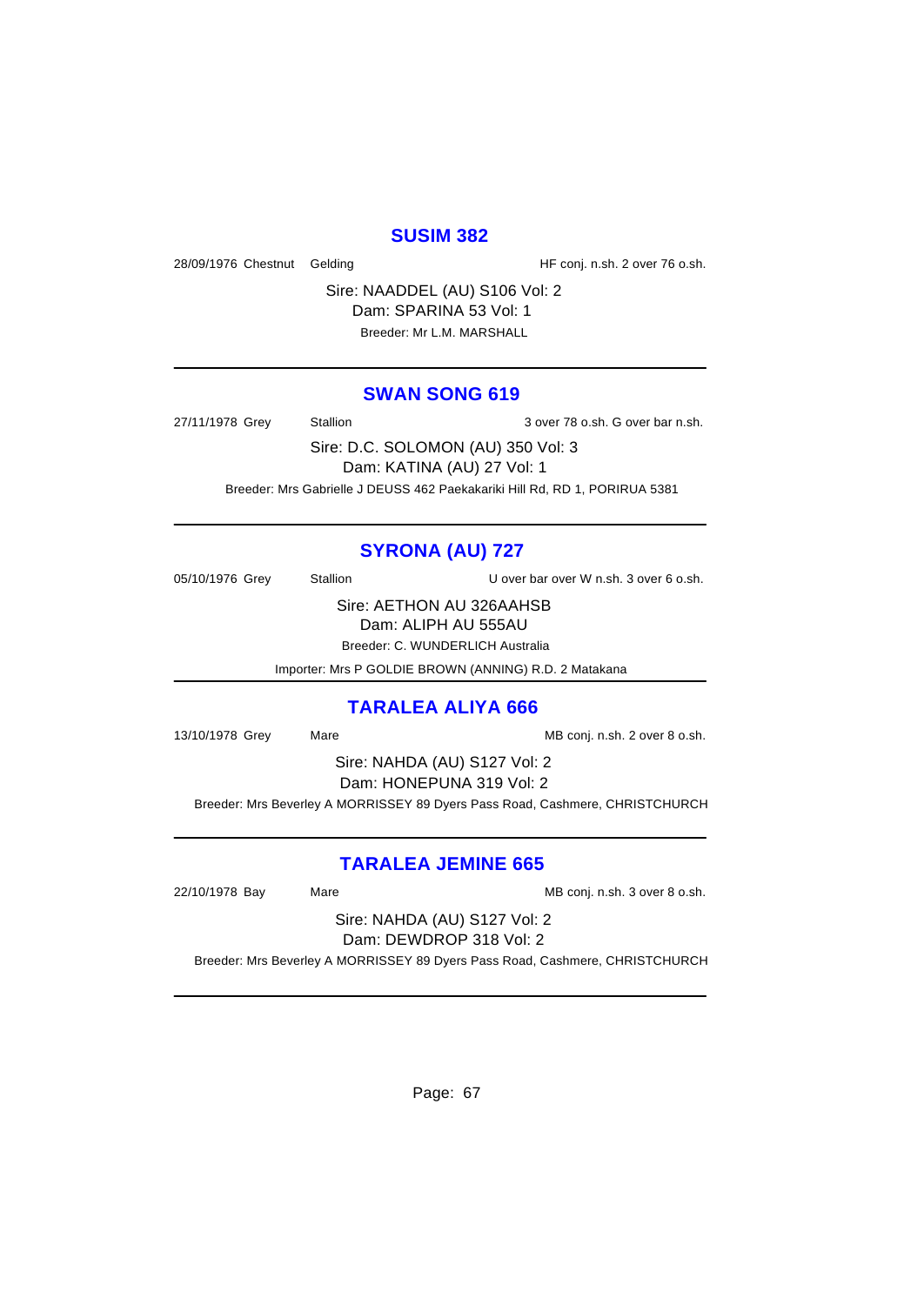#### **SUSIM 382**

28/09/1976 Chestnut Gelding The State of HF conj. n.sh. 2 over 76 o.sh.

Sire: NAADDEL (AU) S106 Vol: 2 Dam: SPARINA 53 Vol: 1 Breeder: Mr L.M. MARSHALL

#### **SWAN SONG 619**

27/11/1978 Grey Stallion 3 over 78 o.sh. G over bar n.sh.

Sire: D.C. SOLOMON (AU) 350 Vol: 3 Dam: KATINA (AU) 27 Vol: 1 Breeder: Mrs Gabrielle J DEUSS 462 Paekakariki Hill Rd, RD 1, PORIRUA 5381

# **SYRONA (AU) 727**

05/10/1976 Grey Stallion U over bar over W n.sh. 3 over 6 o.sh.

Sire: AETHON AU 326AAHSB

Dam: ALIPH AU 555AU

Breeder: C. WUNDERLICH Australia

Importer: Mrs P GOLDIE BROWN (ANNING) R.D. 2 Matakana

#### **TARALEA ALIYA 666**

13/10/1978 Grey Mare Mare MB conj. n.sh. 2 over 8 o.sh.

Sire: NAHDA (AU) S127 Vol: 2

Dam: HONEPUNA 319 Vol: 2

Breeder: Mrs Beverley A MORRISSEY 89 Dyers Pass Road, Cashmere, CHRISTCHURCH

# **TARALEA JEMINE 665**

22/10/1978 Bay Mare Mare MB conj. n.sh. 3 over 8 o.sh.

Sire: NAHDA (AU) S127 Vol: 2 Dam: DEWDROP 318 Vol: 2

Breeder: Mrs Beverley A MORRISSEY 89 Dyers Pass Road, Cashmere, CHRISTCHURCH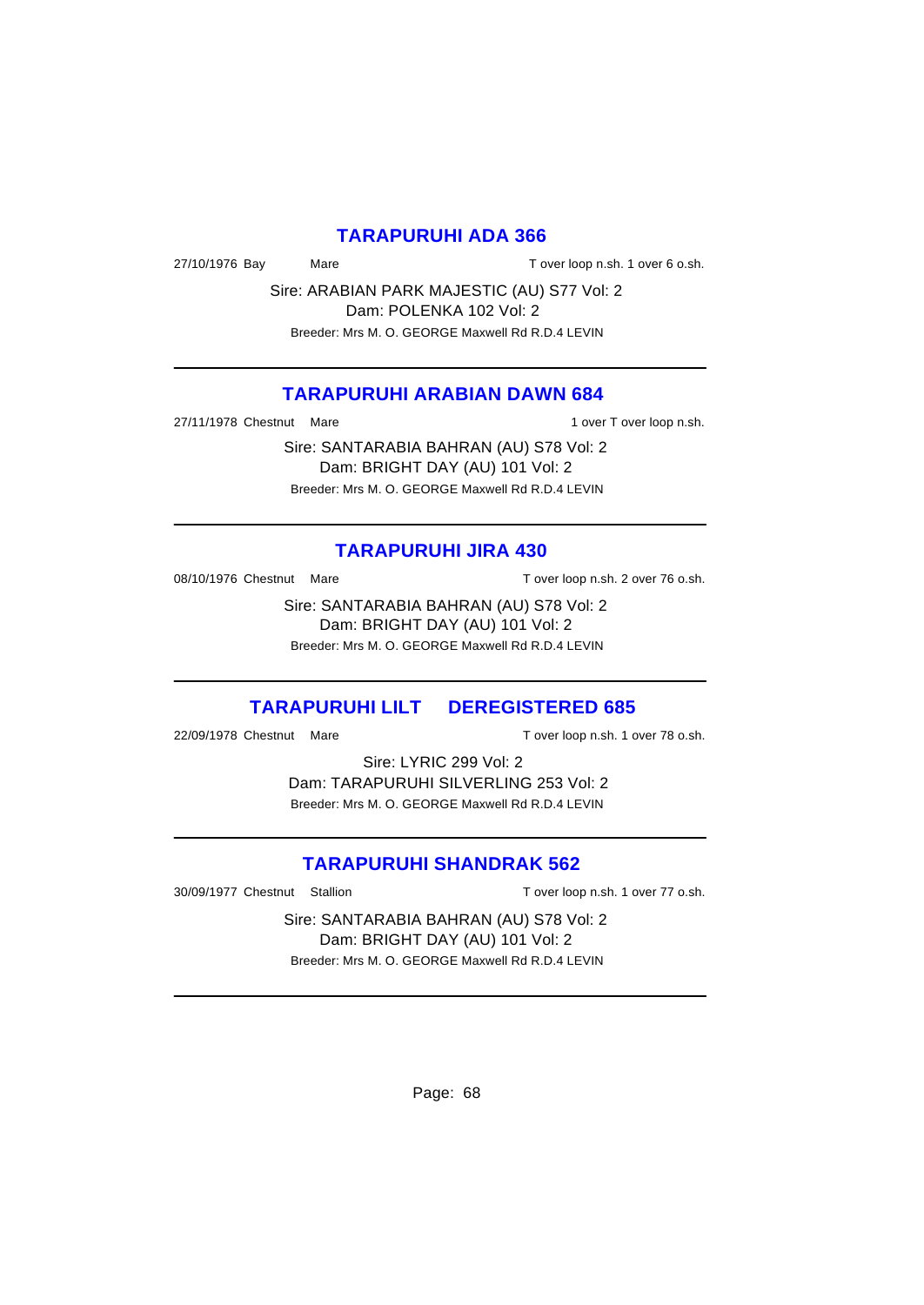#### **TARAPURUHI ADA 366**

27/10/1976 Bay Mare Mare T over loop n.sh. 1 over 6 o.sh.

Sire: ARABIAN PARK MAJESTIC (AU) S77 Vol: 2 Dam: POLENKA 102 Vol: 2 Breeder: Mrs M. O. GEORGE Maxwell Rd R.D.4 LEVIN

## **TARAPURUHI ARABIAN DAWN 684**

27/11/1978 Chestnut Mare 1 over T over loop n.sh.

Sire: SANTARABIA BAHRAN (AU) S78 Vol: 2 Dam: BRIGHT DAY (AU) 101 Vol: 2 Breeder: Mrs M. O. GEORGE Maxwell Rd R.D.4 LEVIN

#### **TARAPURUHI JIRA 430**

08/10/1976 Chestnut Mare T over loop n.sh. 2 over 76 o.sh.

Sire: SANTARABIA BAHRAN (AU) S78 Vol: 2 Dam: BRIGHT DAY (AU) 101 Vol: 2 Breeder: Mrs M. O. GEORGE Maxwell Rd R.D.4 LEVIN

# **TARAPURUHI LILT DEREGISTERED 685**

22/09/1978 Chestnut Mare T over loop n.sh. 1 over 78 o.sh.

Sire: LYRIC 299 Vol: 2 Dam: TARAPURUHI SILVERLING 253 Vol: 2 Breeder: Mrs M. O. GEORGE Maxwell Rd R.D.4 LEVIN

## **TARAPURUHI SHANDRAK 562**

30/09/1977 Chestnut Stallion T over loop n.sh. 1 over 77 o.sh.

Sire: SANTARABIA BAHRAN (AU) S78 Vol: 2 Dam: BRIGHT DAY (AU) 101 Vol: 2 Breeder: Mrs M. O. GEORGE Maxwell Rd R.D.4 LEVIN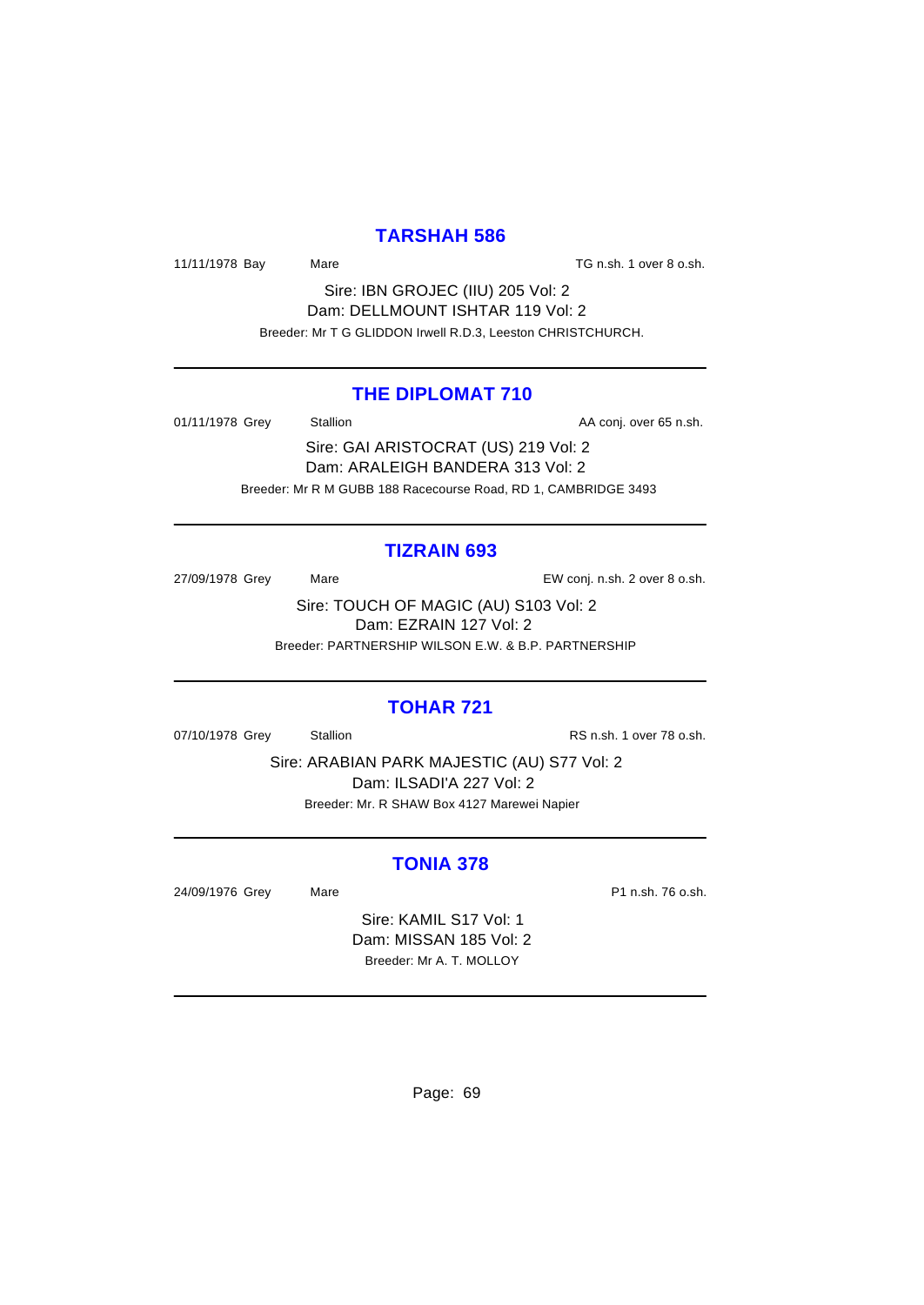## **TARSHAH 586**

11/11/1978 Bay Mare Mare TG n.sh. 1 over 8 o.sh.

Sire: IBN GROJEC (IIU) 205 Vol: 2 Dam: DELLMOUNT ISHTAR 119 Vol: 2 Breeder: Mr T G GLIDDON Irwell R.D.3, Leeston CHRISTCHURCH.

#### **THE DIPLOMAT 710**

01/11/1978 Grey Stallion Stallion State AA conj. over 65 n.sh.

Sire: GAI ARISTOCRAT (US) 219 Vol: 2 Dam: ARALEIGH BANDERA 313 Vol: 2 Breeder: Mr R M GUBB 188 Racecourse Road, RD 1, CAMBRIDGE 3493

#### **TIZRAIN 693**

27/09/1978 Grey Mare EW conj. n.sh. 2 over 8 o.sh.

Sire: TOUCH OF MAGIC (AU) S103 Vol: 2 Dam: EZRAIN 127 Vol: 2 Breeder: PARTNERSHIP WILSON E.W. & B.P. PARTNERSHIP

#### **TOHAR 721**

07/10/1978 Grey Stallion Stallion States States RS n.sh. 1 over 78 o.sh.

Sire: ARABIAN PARK MAJESTIC (AU) S77 Vol: 2 Dam: ILSADI'A 227 Vol: 2 Breeder: Mr. R SHAW Box 4127 Marewei Napier

## **TONIA 378**

24/09/1976 Grey Mare Mare P1 n.sh. 76 o.sh.

Sire: KAMIL S17 Vol: 1 Dam: MISSAN 185 Vol: 2 Breeder: Mr A. T. MOLLOY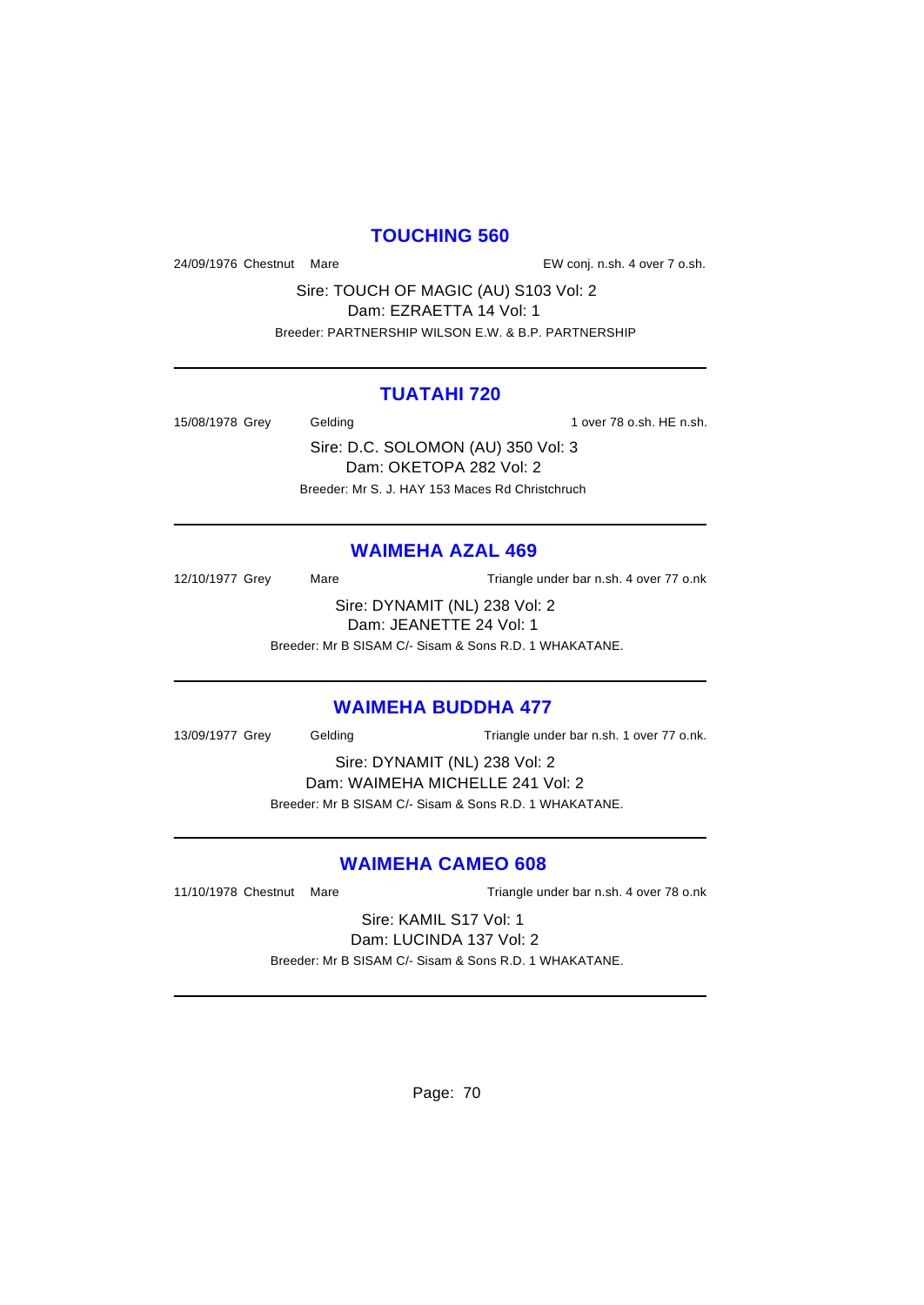## **TOUCHING 560**

24/09/1976 Chestnut Mare EW conj. n.sh. 4 over 7 o.sh.

Sire: TOUCH OF MAGIC (AU) S103 Vol: 2 Dam: EZRAETTA 14 Vol: 1 Breeder: PARTNERSHIP WILSON E.W. & B.P. PARTNERSHIP

#### **TUATAHI 720**

15/08/1978 Grey Gelding 15/08/1978 Grey Gelding

Sire: D.C. SOLOMON (AU) 350 Vol: 3 Dam: OKETOPA 282 Vol: 2 Breeder: Mr S. J. HAY 153 Maces Rd Christchruch

## **WAIMEHA AZAL 469**

12/10/1977 Grey Mare Mare Triangle under bar n.sh. 4 over 77 o.nk Sire: DYNAMIT (NL) 238 Vol: 2 Dam: JEANETTE 24 Vol: 1 Breeder: Mr B SISAM C/- Sisam & Sons R.D. 1 WHAKATANE.

#### **WAIMEHA BUDDHA 477**

13/09/1977 Grey Gelding Triangle under bar n.sh. 1 over 77 o.nk.

Sire: DYNAMIT (NL) 238 Vol: 2 Dam: WAIMEHA MICHELLE 241 Vol: 2

Breeder: Mr B SISAM C/- Sisam & Sons R.D. 1 WHAKATANE.

# **WAIMEHA CAMEO 608**

11/10/1978 Chestnut Mare Triangle under bar n.sh. 4 over 78 o.nk

Sire: KAMIL S17 Vol: 1 Dam: LUCINDA 137 Vol: 2

Breeder: Mr B SISAM C/- Sisam & Sons R.D. 1 WHAKATANE.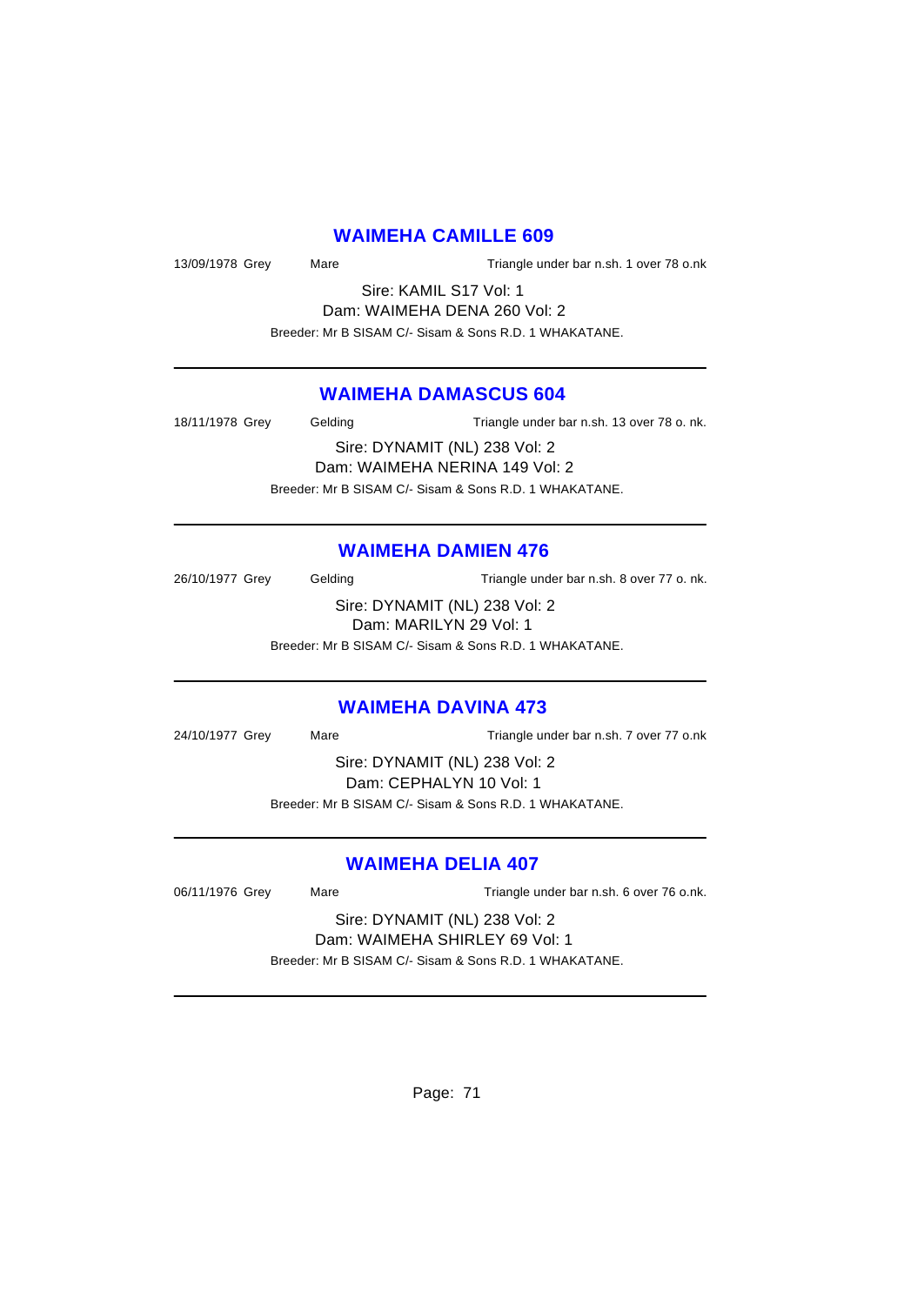## **WAIMEHA CAMILLE 609**

13/09/1978 Grey Mare Mare Triangle under bar n.sh. 1 over 78 o.nk

Sire: KAMIL S17 Vol: 1 Dam: WAIMEHA DENA 260 Vol: 2 Breeder: Mr B SISAM C/- Sisam & Sons R.D. 1 WHAKATANE.

#### **WAIMEHA DAMASCUS 604**

18/11/1978 Grey Gelding Triangle under bar n.sh. 13 over 78 o. nk. Sire: DYNAMIT (NL) 238 Vol: 2 Dam: WAIMEHA NERINA 149 Vol: 2

Breeder: Mr B SISAM C/- Sisam & Sons R.D. 1 WHAKATANE.

## **WAIMEHA DAMIEN 476**

26/10/1977 Grey Gelding Triangle under bar n.sh. 8 over 77 o. nk. Sire: DYNAMIT (NL) 238 Vol: 2 Dam: MARILYN 29 Vol: 1 Breeder: Mr B SISAM C/- Sisam & Sons R.D. 1 WHAKATANE.

## **WAIMEHA DAVINA 473**

24/10/1977 Grey Mare Triangle under bar n.sh. 7 over 77 o.nk

Sire: DYNAMIT (NL) 238 Vol: 2 Dam: CEPHALYN 10 Vol: 1 Breeder: Mr B SISAM C/- Sisam & Sons R.D. 1 WHAKATANE.

#### **WAIMEHA DELIA 407**

06/11/1976 Grey Mare Mare Triangle under bar n.sh. 6 over 76 o.nk.

# Sire: DYNAMIT (NL) 238 Vol: 2 Dam: WAIMEHA SHIRLEY 69 Vol: 1

Breeder: Mr B SISAM C/- Sisam & Sons R.D. 1 WHAKATANE.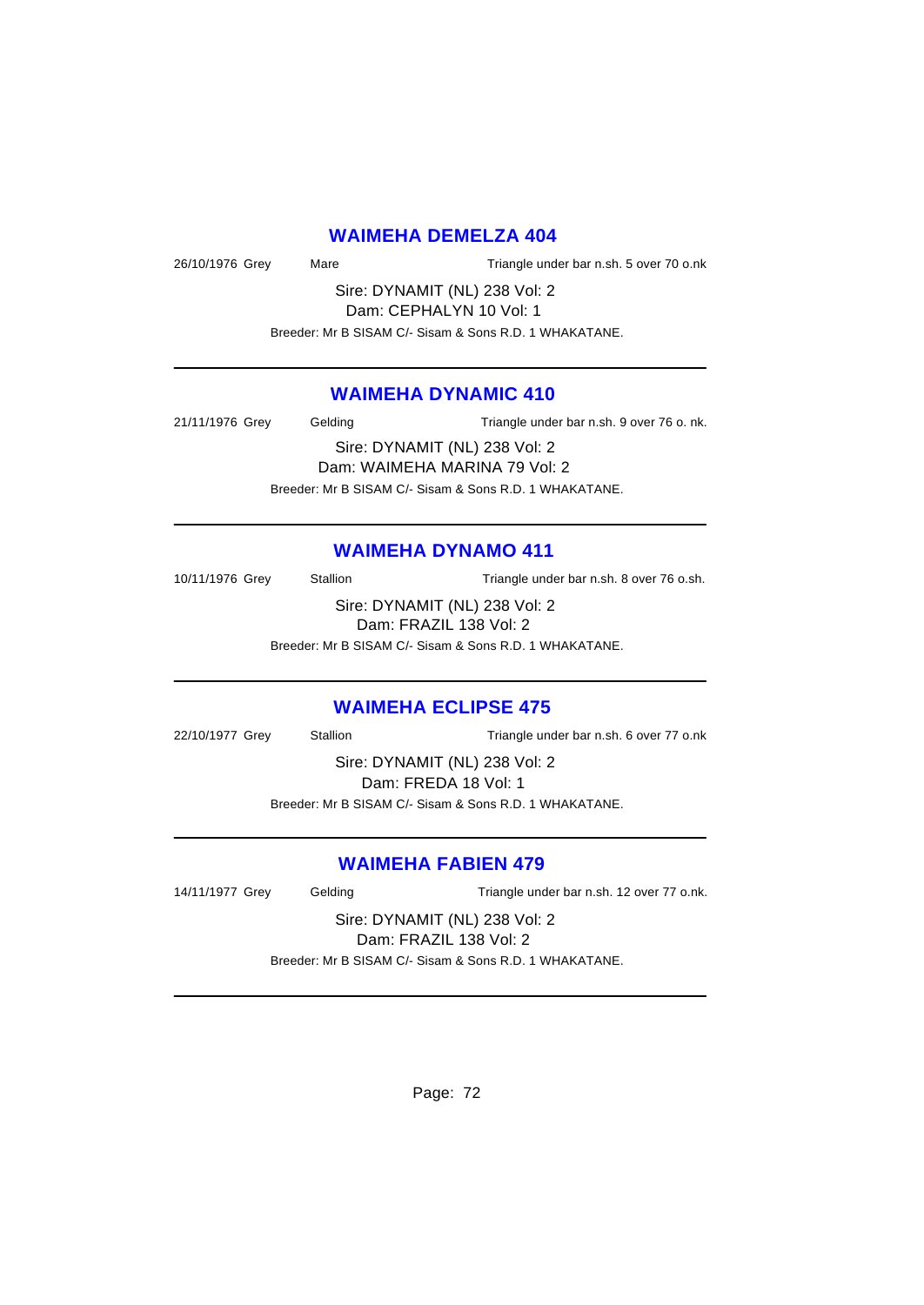#### **WAIMEHA DEMELZA 404**

26/10/1976 Grey Mare Triangle under bar n.sh. 5 over 70 o.nk

Sire: DYNAMIT (NL) 238 Vol: 2 Dam: CEPHALYN 10 Vol: 1

Breeder: Mr B SISAM C/- Sisam & Sons R.D. 1 WHAKATANE.

## **WAIMEHA DYNAMIC 410**

21/11/1976 Grey Gelding Triangle under bar n.sh. 9 over 76 o. nk. Sire: DYNAMIT (NL) 238 Vol: 2 Dam: WAIMEHA MARINA 79 Vol: 2 Breeder: Mr B SISAM C/- Sisam & Sons R.D. 1 WHAKATANE.

#### **WAIMEHA DYNAMO 411**

10/11/1976 Grey Stallion Triangle under bar n.sh. 8 over 76 o.sh. Sire: DYNAMIT (NL) 238 Vol: 2 Dam: FRAZIL 138 Vol: 2

Breeder: Mr B SISAM C/- Sisam & Sons R.D. 1 WHAKATANE.

#### **WAIMEHA ECLIPSE 475**

22/10/1977 Grey Stallion Triangle under bar n.sh. 6 over 77 o.nk

Sire: DYNAMIT (NL) 238 Vol: 2 Dam: FREDA 18 Vol: 1 Breeder: Mr B SISAM C/- Sisam & Sons R.D. 1 WHAKATANE.

# **WAIMEHA FABIEN 479**

14/11/1977 Grey Gelding Triangle under bar n.sh. 12 over 77 o.nk.

Sire: DYNAMIT (NL) 238 Vol: 2 Dam: FRAZIL 138 Vol: 2 Breeder: Mr B SISAM C/- Sisam & Sons R.D. 1 WHAKATANE.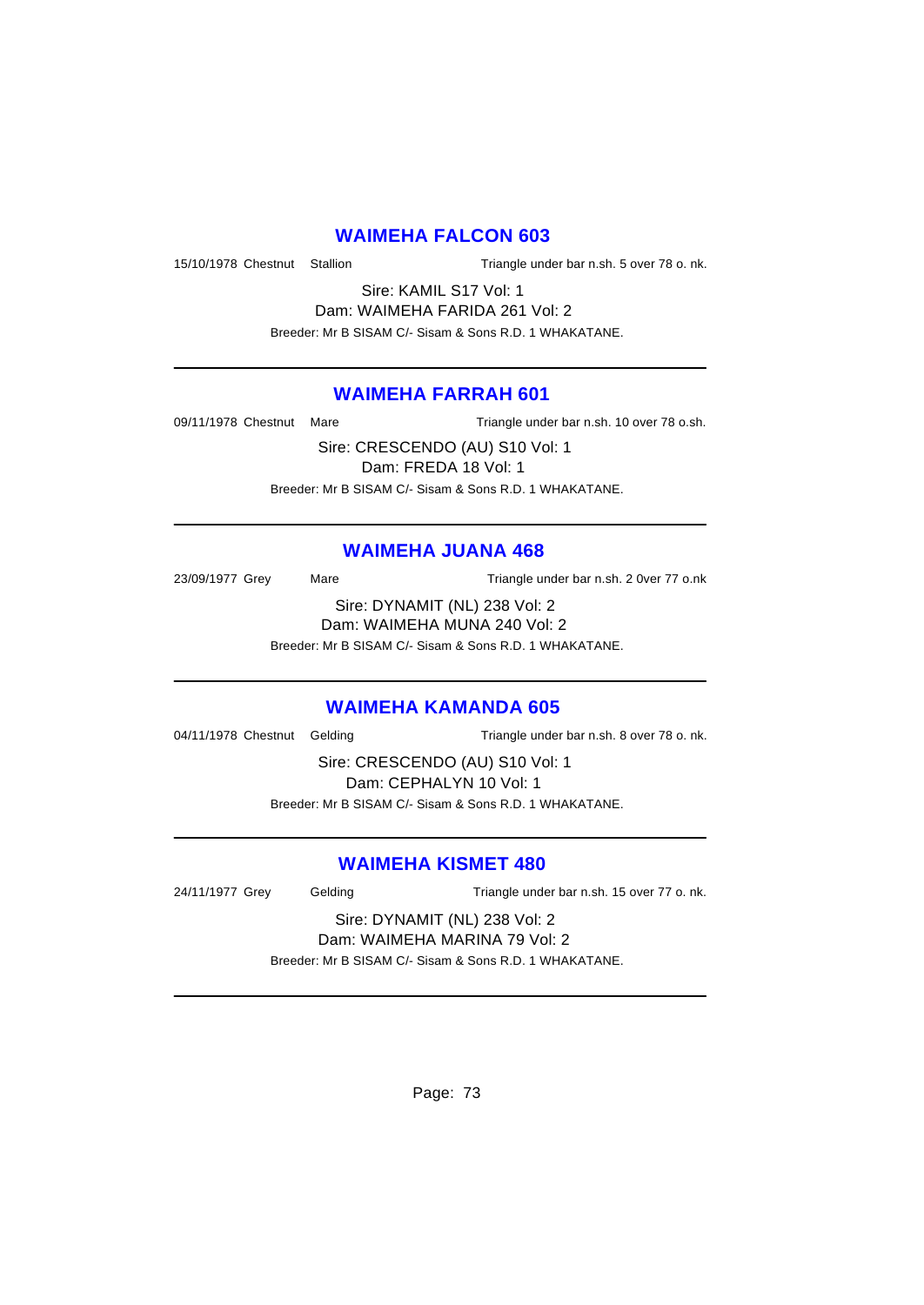# **WAIMEHA FALCON 603**

15/10/1978 Chestnut Stallion Triangle under bar n.sh. 5 over 78 o. nk.

Sire: KAMIL S17 Vol: 1 Dam: WAIMEHA FARIDA 261 Vol: 2 Breeder: Mr B SISAM C/- Sisam & Sons R.D. 1 WHAKATANE.

### **WAIMEHA FARRAH 601**

09/11/1978 Chestnut Mare Triangle under bar n.sh. 10 over 78 o.sh.

Sire: CRESCENDO (AU) S10 Vol: 1 Dam: FREDA 18 Vol: 1 Breeder: Mr B SISAM C/- Sisam & Sons R.D. 1 WHAKATANE.

## **WAIMEHA JUANA 468**

23/09/1977 Grey Mare Mare Triangle under bar n.sh. 2 0ver 77 o.nk

Sire: DYNAMIT (NL) 238 Vol: 2 Dam: WAIMEHA MUNA 240 Vol: 2

Breeder: Mr B SISAM C/- Sisam & Sons R.D. 1 WHAKATANE.

### **WAIMEHA KAMANDA 605**

04/11/1978 Chestnut Gelding Triangle under bar n.sh. 8 over 78 o. nk.

Sire: CRESCENDO (AU) S10 Vol: 1 Dam: CEPHALYN 10 Vol: 1 Breeder: Mr B SISAM C/- Sisam & Sons R.D. 1 WHAKATANE.

## **WAIMEHA KISMET 480**

24/11/1977 Grey Gelding Triangle under bar n.sh. 15 over 77 o. nk.

#### Sire: DYNAMIT (NL) 238 Vol: 2 Dam: WAIMEHA MARINA 79 Vol: 2

Breeder: Mr B SISAM C/- Sisam & Sons R.D. 1 WHAKATANE.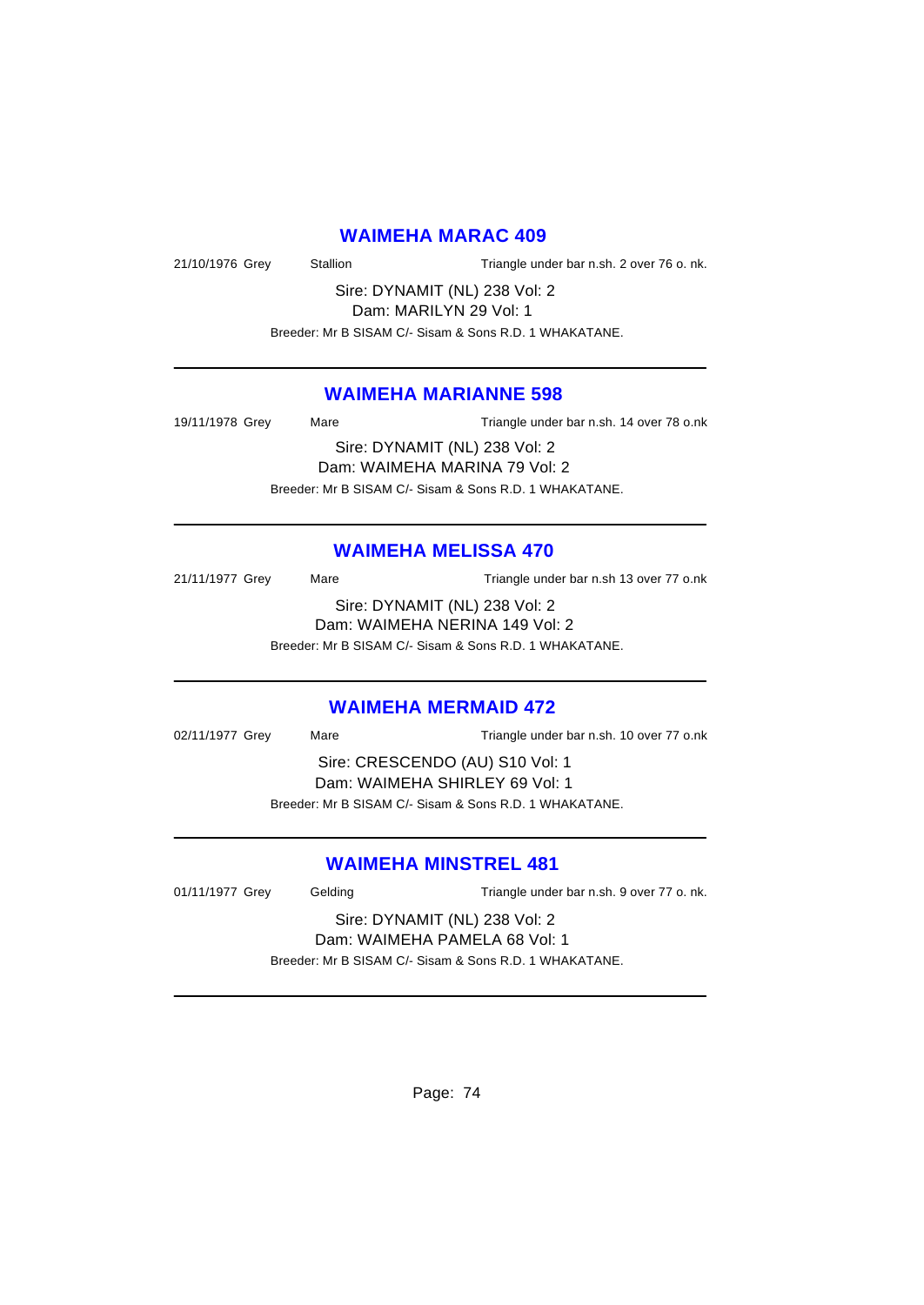#### **WAIMEHA MARAC 409**

21/10/1976 Grey Stallion Triangle under bar n.sh. 2 over 76 o. nk.

Sire: DYNAMIT (NL) 238 Vol: 2 Dam: MARILYN 29 Vol: 1

Breeder: Mr B SISAM C/- Sisam & Sons R.D. 1 WHAKATANE.

### **WAIMEHA MARIANNE 598**

19/11/1978 Grey Mare Mare Triangle under bar n.sh. 14 over 78 o.nk Sire: DYNAMIT (NL) 238 Vol: 2 Dam: WAIMEHA MARINA 79 Vol: 2 Breeder: Mr B SISAM C/- Sisam & Sons R.D. 1 WHAKATANE.

### **WAIMEHA MELISSA 470**

21/11/1977 Grey Mare Mare Triangle under bar n.sh 13 over 77 o.nk Sire: DYNAMIT (NL) 238 Vol: 2 Dam: WAIMEHA NERINA 149 Vol: 2 Breeder: Mr B SISAM C/- Sisam & Sons R.D. 1 WHAKATANE.

#### **WAIMEHA MERMAID 472**

02/11/1977 Grey Mare Mare Triangle under bar n.sh. 10 over 77 o.nk Sire: CRESCENDO (AU) S10 Vol: 1 Dam: WAIMEHA SHIRLEY 69 Vol: 1 Breeder: Mr B SISAM C/- Sisam & Sons R.D. 1 WHAKATANE.

## **WAIMEHA MINSTREL 481**

| 01/11/1977 Grey                                        | Gelding | Triangle under bar n.sh. 9 over 77 o. nk. |
|--------------------------------------------------------|---------|-------------------------------------------|
| Sire: DYNAMIT (NL) 238 Vol: 2                          |         |                                           |
| Dam: WAIMEHA PAMELA 68 Vol: 1                          |         |                                           |
| Breeder: Mr B SISAM C/- Sisam & Sons R.D. 1 WHAKATANE. |         |                                           |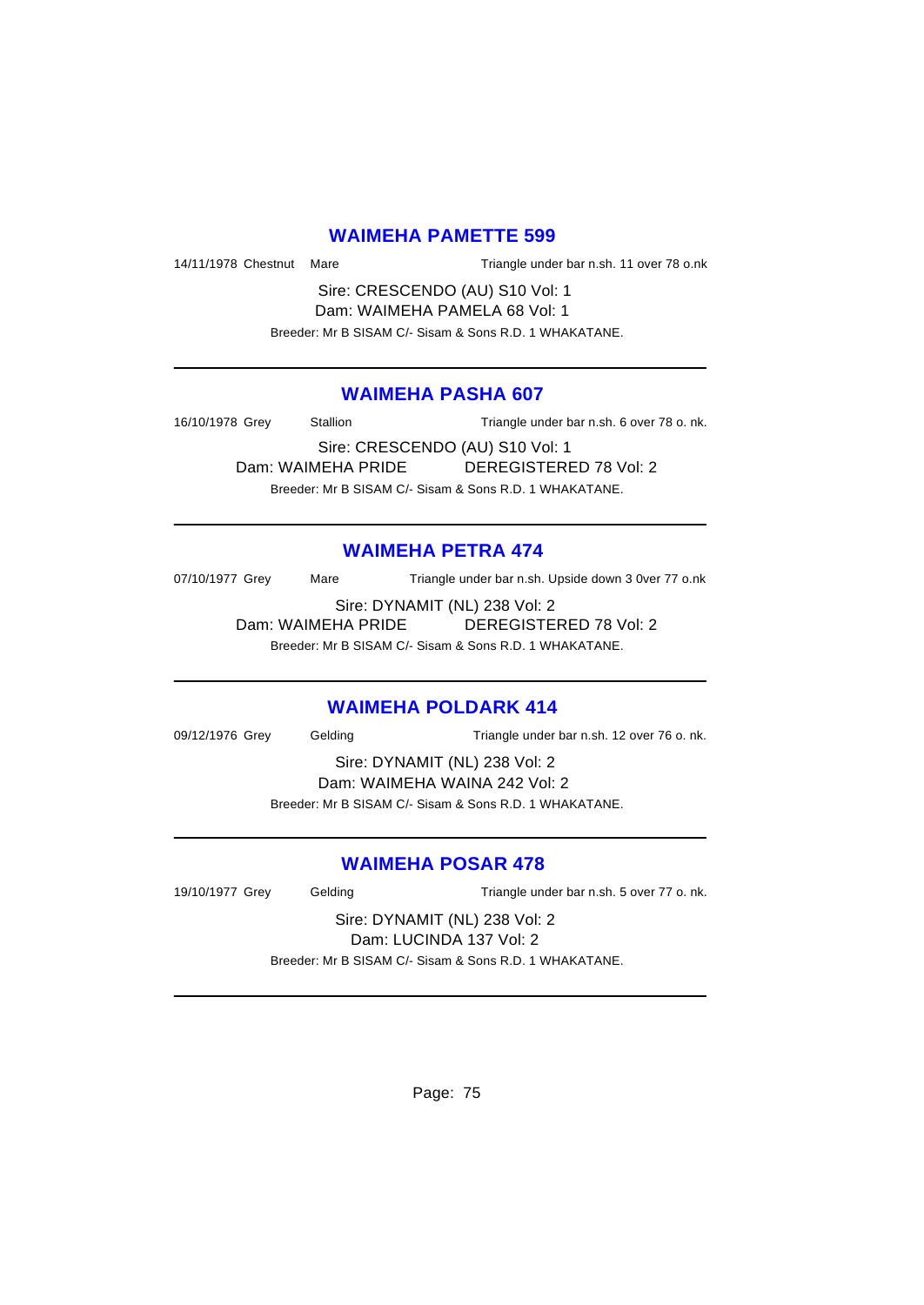# **WAIMEHA PAMETTE 599**

14/11/1978 Chestnut Mare Triangle under bar n.sh. 11 over 78 o.nk

Sire: CRESCENDO (AU) S10 Vol: 1 Dam: WAIMEHA PAMELA 68 Vol: 1 Breeder: Mr B SISAM C/- Sisam & Sons R.D. 1 WHAKATANE.

### **WAIMEHA PASHA 607**

16/10/1978 Grey Stallion Triangle under bar n.sh. 6 over 78 o. nk. Sire: CRESCENDO (AU) S10 Vol: 1 Dam: WAIMEHA PRIDE DEREGISTERED 78 Vol: 2 Breeder: Mr B SISAM C/- Sisam & Sons R.D. 1 WHAKATANE.

# **WAIMEHA PETRA 474**

07/10/1977 Grey Mare Triangle under bar n.sh. Upside down 3 0ver 77 o.nk

Sire: DYNAMIT (NL) 238 Vol: 2 Dam: WAIMEHA PRIDE DEREGISTERED 78 Vol: 2 Breeder: Mr B SISAM C/- Sisam & Sons R.D. 1 WHAKATANE.

### **WAIMEHA POLDARK 414**

09/12/1976 Grey Gelding Triangle under bar n.sh. 12 over 76 o. nk.

Sire: DYNAMIT (NL) 238 Vol: 2 Dam: WAIMEHA WAINA 242 Vol: 2 Breeder: Mr B SISAM C/- Sisam & Sons R.D. 1 WHAKATANE.

## **WAIMEHA POSAR 478**

19/10/1977 Grey Gelding Triangle under bar n.sh. 5 over 77 o. nk.

Sire: DYNAMIT (NL) 238 Vol: 2 Dam: LUCINDA 137 Vol: 2 Breeder: Mr B SISAM C/- Sisam & Sons R.D. 1 WHAKATANE.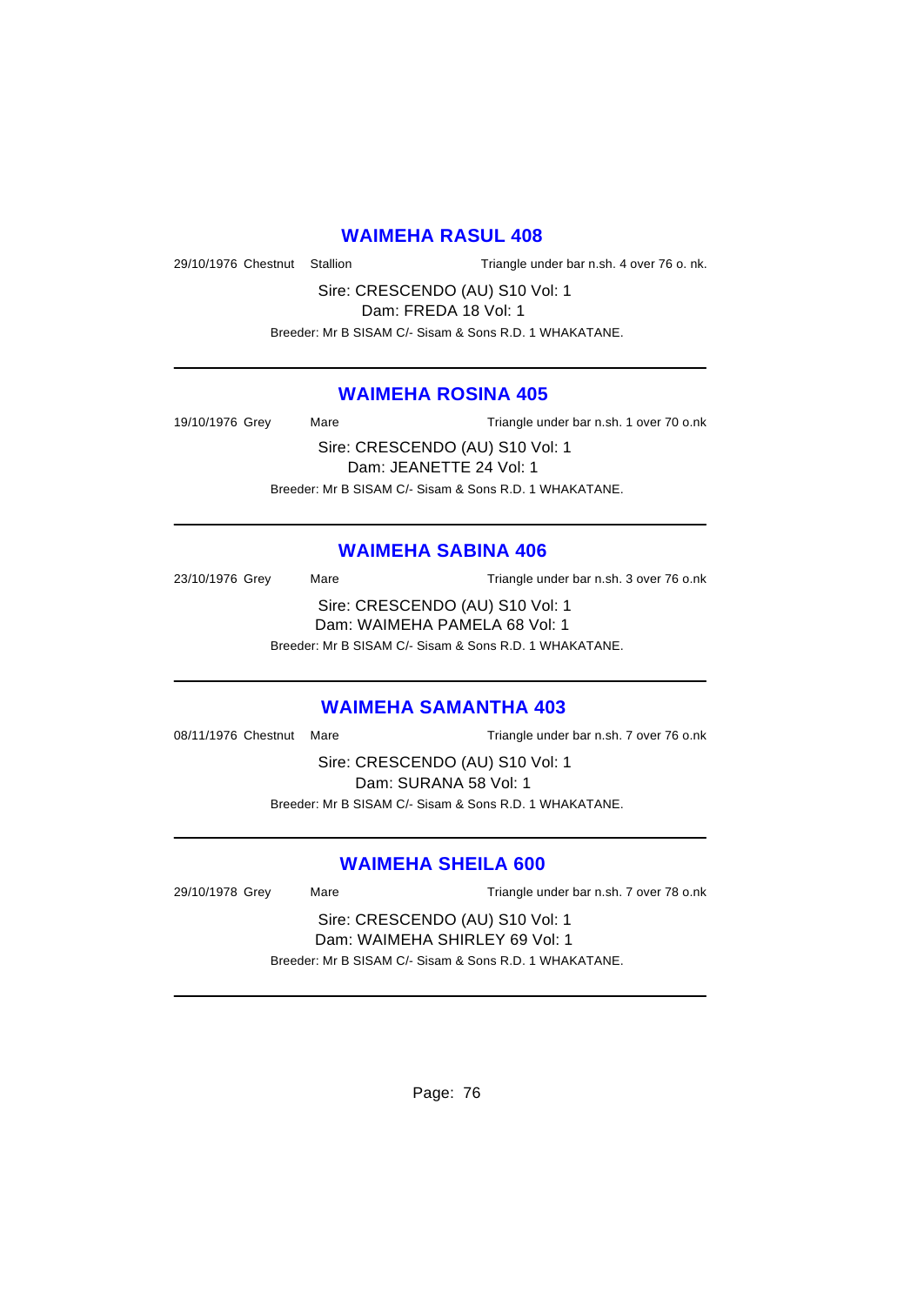#### **WAIMEHA RASUL 408**

29/10/1976 Chestnut Stallion Triangle under bar n.sh. 4 over 76 o. nk.

Sire: CRESCENDO (AU) S10 Vol: 1

Dam: FREDA 18 Vol: 1

Breeder: Mr B SISAM C/- Sisam & Sons R.D. 1 WHAKATANE.

### **WAIMEHA ROSINA 405**

19/10/1976 Grey Mare Mare Triangle under bar n.sh. 1 over 70 o.nk Sire: CRESCENDO (AU) S10 Vol: 1

Dam: JEANETTE 24 Vol: 1 Breeder: Mr B SISAM C/- Sisam & Sons R.D. 1 WHAKATANE.

### **WAIMEHA SABINA 406**

23/10/1976 Grey Mare Mare Triangle under bar n.sh. 3 over 76 o.nk Sire: CRESCENDO (AU) S10 Vol: 1 Dam: WAIMEHA PAMELA 68 Vol: 1 Breeder: Mr B SISAM C/- Sisam & Sons R.D. 1 WHAKATANE.

#### **WAIMEHA SAMANTHA 403**

08/11/1976 Chestnut Mare Triangle under bar n.sh. 7 over 76 o.nk

Sire: CRESCENDO (AU) S10 Vol: 1 Dam: SURANA 58 Vol: 1 Breeder: Mr B SISAM C/- Sisam & Sons R.D. 1 WHAKATANE.

### **WAIMEHA SHEILA 600**

29/10/1978 Grey Mare Mare Triangle under bar n.sh. 7 over 78 o.nk

Sire: CRESCENDO (AU) S10 Vol: 1 Dam: WAIMEHA SHIRLEY 69 Vol: 1 Breeder: Mr B SISAM C/- Sisam & Sons R.D. 1 WHAKATANE.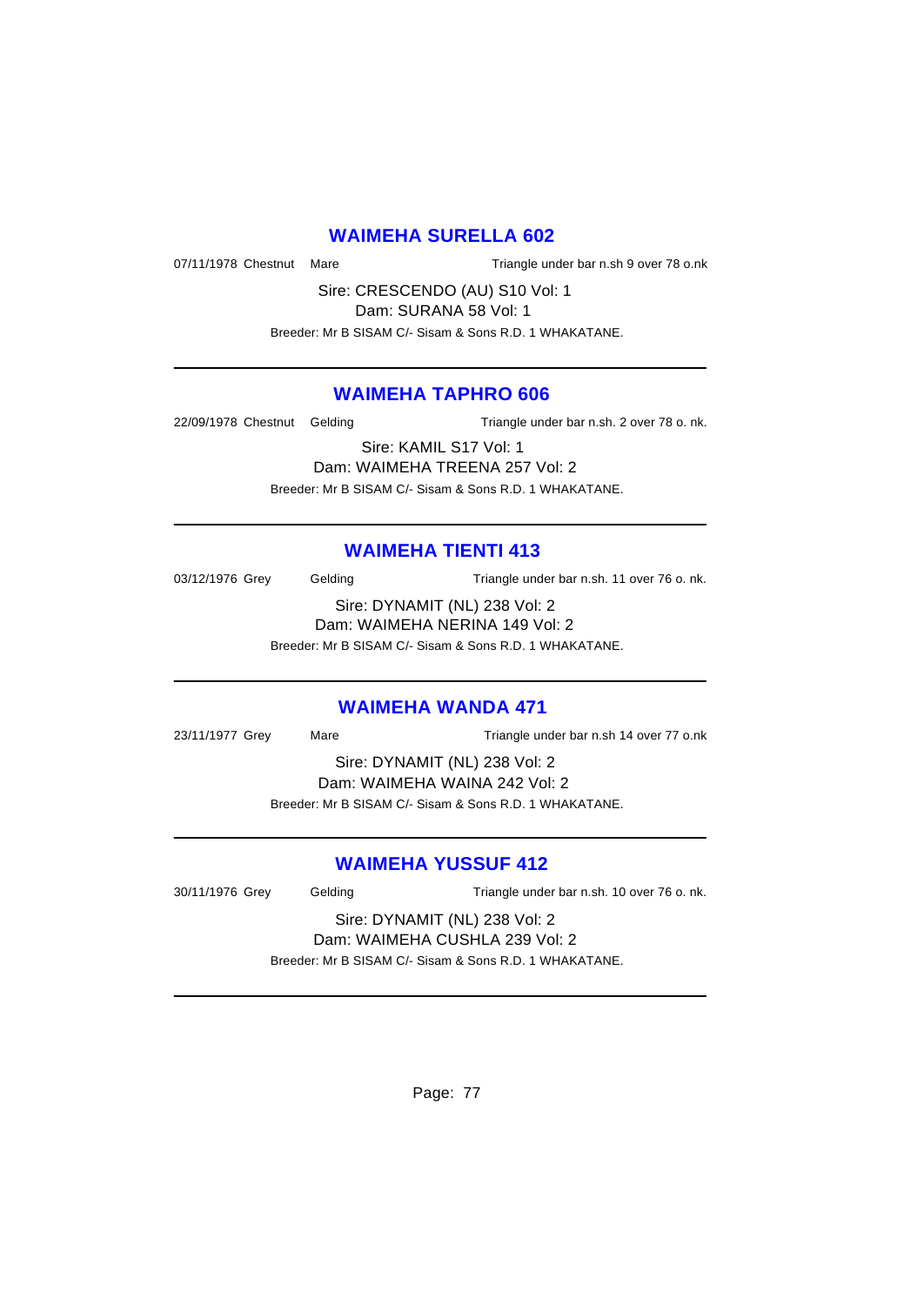# **WAIMEHA SURELLA 602**

07/11/1978 Chestnut Mare Triangle under bar n.sh 9 over 78 o.nk

Sire: CRESCENDO (AU) S10 Vol: 1

Dam: SURANA 58 Vol: 1 Breeder: Mr B SISAM C/- Sisam & Sons R.D. 1 WHAKATANE.

### **WAIMEHA TAPHRO 606**

22/09/1978 Chestnut Gelding Triangle under bar n.sh. 2 over 78 o. nk.

Sire: KAMIL S17 Vol: 1 Dam: WAIMEHA TREENA 257 Vol: 2 Breeder: Mr B SISAM C/- Sisam & Sons R.D. 1 WHAKATANE.

# **WAIMEHA TIENTI 413**

03/12/1976 Grey Gelding Triangle under bar n.sh. 11 over 76 o. nk. Sire: DYNAMIT (NL) 238 Vol: 2 Dam: WAIMEHA NERINA 149 Vol: 2

Breeder: Mr B SISAM C/- Sisam & Sons R.D. 1 WHAKATANE.

## **WAIMEHA WANDA 471**

23/11/1977 Grey Mare Triangle under bar n.sh 14 over 77 o.nk

Sire: DYNAMIT (NL) 238 Vol: 2 Dam: WAIMEHA WAINA 242 Vol: 2 Breeder: Mr B SISAM C/- Sisam & Sons R.D. 1 WHAKATANE.

## **WAIMEHA YUSSUF 412**

30/11/1976 Grey Gelding Triangle under bar n.sh. 10 over 76 o. nk. Sire: DYNAMIT (NL) 238 Vol: 2

Dam: WAIMEHA CUSHLA 239 Vol: 2

Breeder: Mr B SISAM C/- Sisam & Sons R.D. 1 WHAKATANE.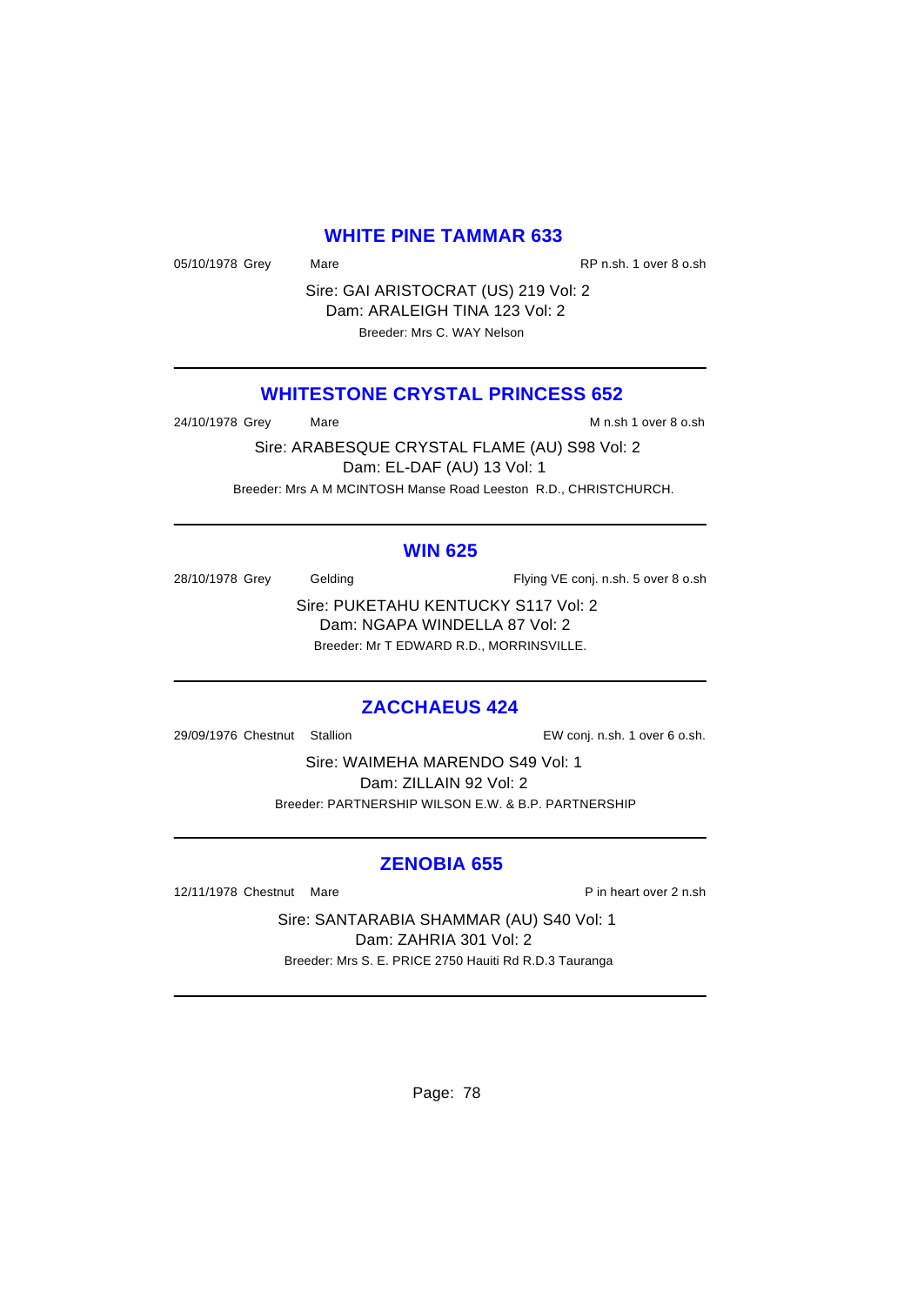#### **WHITE PINE TAMMAR 633**

05/10/1978 Grey Mare Mare RP n.sh. 1 over 8 o.sh

Sire: GAI ARISTOCRAT (US) 219 Vol: 2 Dam: ARALEIGH TINA 123 Vol: 2 Breeder: Mrs C. WAY Nelson

### **WHITESTONE CRYSTAL PRINCESS 652**

24/10/1978 Grey Mare Mare Manuscript Min.sh 1 over 8 o.sh

Sire: ARABESQUE CRYSTAL FLAME (AU) S98 Vol: 2 Dam: EL-DAF (AU) 13 Vol: 1 Breeder: Mrs A M MCINTOSH Manse Road Leeston R.D., CHRISTCHURCH.

#### **WIN 625**

28/10/1978 Grey Gelding Flying VE conj. n.sh. 5 over 8 o.sh

Sire: PUKETAHU KENTUCKY S117 Vol: 2 Dam: NGAPA WINDELLA 87 Vol: 2 Breeder: Mr T EDWARD R.D., MORRINSVILLE.

#### **ZACCHAEUS 424**

29/09/1976 Chestnut Stallion EW conj. n.sh. 1 over 6 o.sh.

Sire: WAIMEHA MARENDO S49 Vol: 1 Dam: ZILLAIN 92 Vol: 2 Breeder: PARTNERSHIP WILSON E.W. & B.P. PARTNERSHIP

### **ZENOBIA 655**

12/11/1978 Chestnut Mare **P** in heart over 2 n.sh

Sire: SANTARABIA SHAMMAR (AU) S40 Vol: 1 Dam: ZAHRIA 301 Vol: 2 Breeder: Mrs S. E. PRICE 2750 Hauiti Rd R.D.3 Tauranga